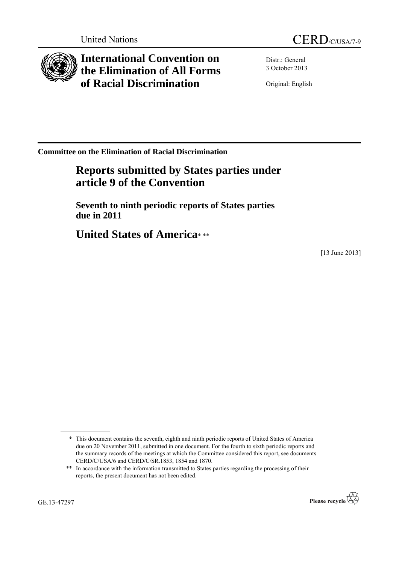

**International Convention on the Elimination of All Forms of Racial Discrimination**

Distr.: General 3 October 2013

Original: English

**Committee on the Elimination of Racial Discrimination**

# **Reports submitted by States parties under article 9 of the Convention**

**Seventh to ninth periodic reports of States parties due in 2011**

**United States of America**\* \*\*

[13 June 2013]

<sup>\*\*</sup> In accordance with the information transmitted to States parties regarding the processing of their reports, the present document has not been edited.



<sup>\*</sup> This document contains the seventh, eighth and ninth periodic reports of United States of America due on 20 November 2011, submitted in one document. For the fourth to sixth periodic reports and the summary records of the meetings at which the Committee considered this report, see documents CERD/C/USA/6 and CERD/C/SR.1853, 1854 and 1870.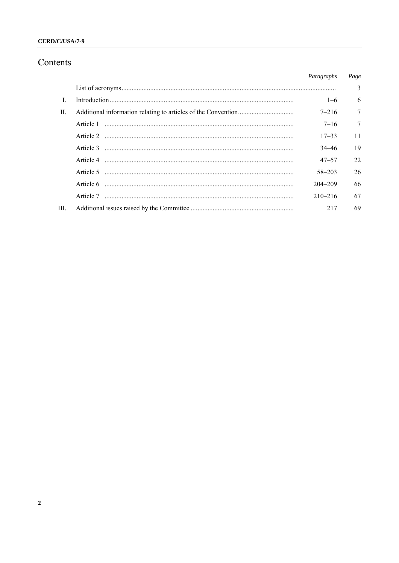# CERD/C/USA/7-9

# Contents

|              |           | Paragraphs  | Page   |
|--------------|-----------|-------------|--------|
|              |           |             | 3      |
| $\mathbf{I}$ |           | $1 - 6$     | 6      |
| II.          |           | $7 - 216$   | $\tau$ |
|              |           | $7 - 16$    | 7      |
|              |           | $17 - 33$   | 11     |
|              | Article 3 | $34 - 46$   | 19     |
|              |           | $47 - 57$   | 22     |
|              |           | $58 - 203$  | 26     |
|              |           | $204 - 209$ | 66     |
|              |           | $210 - 216$ | 67     |
| Ш            |           | 217         | 69     |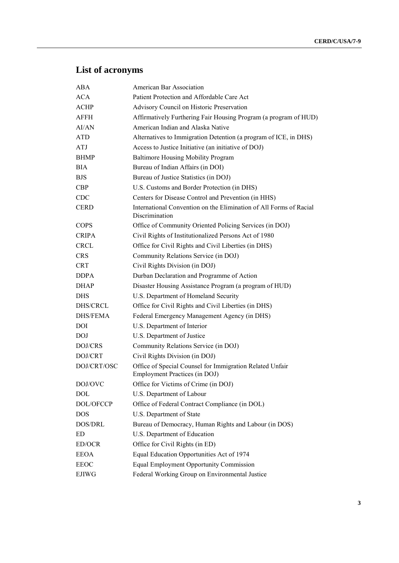# **List of acronyms**

| ABA          | American Bar Association                                                                  |
|--------------|-------------------------------------------------------------------------------------------|
| <b>ACA</b>   | Patient Protection and Affordable Care Act                                                |
| <b>ACHP</b>  | Advisory Council on Historic Preservation                                                 |
| AFFH         | Affirmatively Furthering Fair Housing Program (a program of HUD)                          |
| AI/AN        | American Indian and Alaska Native                                                         |
| <b>ATD</b>   | Alternatives to Immigration Detention (a program of ICE, in DHS)                          |
| ATJ          | Access to Justice Initiative (an initiative of DOJ)                                       |
| <b>BHMP</b>  | <b>Baltimore Housing Mobility Program</b>                                                 |
| <b>BIA</b>   | Bureau of Indian Affairs (in DOI)                                                         |
| <b>BJS</b>   | Bureau of Justice Statistics (in DOJ)                                                     |
| <b>CBP</b>   | U.S. Customs and Border Protection (in DHS)                                               |
| CDC          | Centers for Disease Control and Prevention (in HHS)                                       |
| <b>CERD</b>  | International Convention on the Elimination of All Forms of Racial<br>Discrimination      |
| <b>COPS</b>  | Office of Community Oriented Policing Services (in DOJ)                                   |
| <b>CRIPA</b> | Civil Rights of Institutionalized Persons Act of 1980                                     |
| <b>CRCL</b>  | Office for Civil Rights and Civil Liberties (in DHS)                                      |
| <b>CRS</b>   | Community Relations Service (in DOJ)                                                      |
| <b>CRT</b>   | Civil Rights Division (in DOJ)                                                            |
| <b>DDPA</b>  | Durban Declaration and Programme of Action                                                |
| <b>DHAP</b>  | Disaster Housing Assistance Program (a program of HUD)                                    |
| <b>DHS</b>   | U.S. Department of Homeland Security                                                      |
| DHS/CRCL     | Office for Civil Rights and Civil Liberties (in DHS)                                      |
| DHS/FEMA     | Federal Emergency Management Agency (in DHS)                                              |
| DOI          | U.S. Department of Interior                                                               |
| DOJ          | U.S. Department of Justice                                                                |
| DOJ/CRS      | Community Relations Service (in DOJ)                                                      |
| DOJ/CRT      | Civil Rights Division (in DOJ)                                                            |
| DOJ/CRT/OSC  | Office of Special Counsel for Immigration Related Unfair<br>Employment Practices (in DOJ) |
| DOJ/OVC      | Office for Victims of Crime (in DOJ)                                                      |
| DOL          | U.S. Department of Labour                                                                 |
| DOL/OFCCP    | Office of Federal Contract Compliance (in DOL)                                            |
| <b>DOS</b>   | U.S. Department of State                                                                  |
| DOS/DRL      | Bureau of Democracy, Human Rights and Labour (in DOS)                                     |
| ED           | U.S. Department of Education                                                              |
| ED/OCR       | Office for Civil Rights (in ED)                                                           |
| <b>EEOA</b>  | Equal Education Opportunities Act of 1974                                                 |
| EEOC         | <b>Equal Employment Opportunity Commission</b>                                            |
| EJIWG        | Federal Working Group on Environmental Justice                                            |
|              |                                                                                           |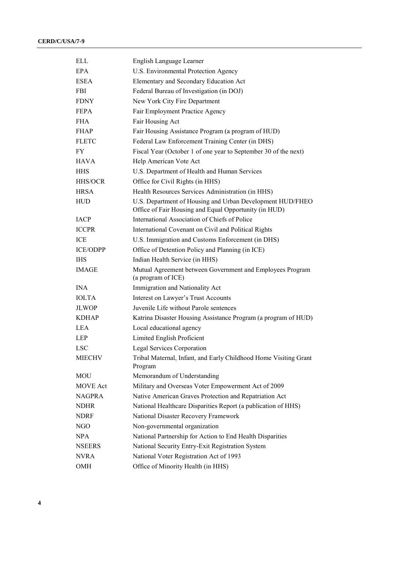| ELL             | English Language Learner                                                                                           |
|-----------------|--------------------------------------------------------------------------------------------------------------------|
| EPA             | U.S. Environmental Protection Agency                                                                               |
| <b>ESEA</b>     | Elementary and Secondary Education Act                                                                             |
| <b>FBI</b>      | Federal Bureau of Investigation (in DOJ)                                                                           |
| <b>FDNY</b>     | New York City Fire Department                                                                                      |
| <b>FEPA</b>     | Fair Employment Practice Agency                                                                                    |
| <b>FHA</b>      | Fair Housing Act                                                                                                   |
| <b>FHAP</b>     | Fair Housing Assistance Program (a program of HUD)                                                                 |
| <b>FLETC</b>    | Federal Law Enforcement Training Center (in DHS)                                                                   |
| FY.             | Fiscal Year (October 1 of one year to September 30 of the next)                                                    |
| <b>HAVA</b>     | Help American Vote Act                                                                                             |
| <b>HHS</b>      | U.S. Department of Health and Human Services                                                                       |
| HHS/OCR         | Office for Civil Rights (in HHS)                                                                                   |
| <b>HRSA</b>     | Health Resources Services Administration (in HHS)                                                                  |
| <b>HUD</b>      | U.S. Department of Housing and Urban Development HUD/FHEO<br>Office of Fair Housing and Equal Opportunity (in HUD) |
| <b>IACP</b>     | International Association of Chiefs of Police                                                                      |
| <b>ICCPR</b>    | International Covenant on Civil and Political Rights                                                               |
| ICE             | U.S. Immigration and Customs Enforcement (in DHS)                                                                  |
| <b>ICE/ODPP</b> | Office of Detention Policy and Planning (in ICE)                                                                   |
| <b>IHS</b>      | Indian Health Service (in HHS)                                                                                     |
| <b>IMAGE</b>    | Mutual Agreement between Government and Employees Program<br>(a program of ICE)                                    |
| <b>INA</b>      | Immigration and Nationality Act                                                                                    |
| <b>IOLTA</b>    | Interest on Lawyer's Trust Accounts                                                                                |
| <b>JLWOP</b>    | Juvenile Life without Parole sentences                                                                             |
| <b>KDHAP</b>    | Katrina Disaster Housing Assistance Program (a program of HUD)                                                     |
| LEA             | Local educational agency                                                                                           |
| <b>LEP</b>      | Limited English Proficient                                                                                         |
| <b>LSC</b>      | <b>Legal Services Corporation</b>                                                                                  |
| <b>MIECHV</b>   | Tribal Maternal, Infant, and Early Childhood Home Visiting Grant<br>Program                                        |
| MOU             | Memorandum of Understanding                                                                                        |
| <b>MOVE</b> Act | Military and Overseas Voter Empowerment Act of 2009                                                                |
| <b>NAGPRA</b>   | Native American Graves Protection and Repatriation Act                                                             |
| <b>NDHR</b>     | National Healthcare Disparities Report (a publication of HHS)                                                      |
| NDRF            | National Disaster Recovery Framework                                                                               |
| NGO             | Non-governmental organization                                                                                      |
| <b>NPA</b>      | National Partnership for Action to End Health Disparities                                                          |
| <b>NSEERS</b>   | National Security Entry-Exit Registration System                                                                   |
| <b>NVRA</b>     | National Voter Registration Act of 1993                                                                            |
| OMH             | Office of Minority Health (in HHS)                                                                                 |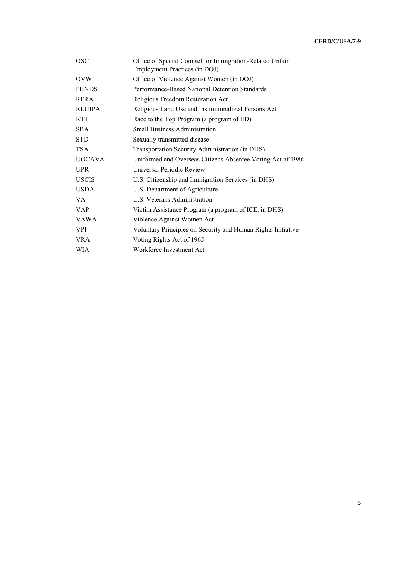| OSC           | Office of Special Counsel for Immigration-Related Unfair<br>Employment Practices (in DOJ) |
|---------------|-------------------------------------------------------------------------------------------|
| <b>OVW</b>    | Office of Violence Against Women (in DOJ)                                                 |
| <b>PBNDS</b>  | Performance-Based National Detention Standards                                            |
| <b>RFRA</b>   | Religious Freedom Restoration Act                                                         |
| <b>RLUIPA</b> | Religious Land Use and Institutionalized Persons Act                                      |
| <b>RTT</b>    | Race to the Top Program (a program of ED)                                                 |
| SBA.          | <b>Small Business Administration</b>                                                      |
| <b>STD</b>    | Sexually transmitted disease                                                              |
| <b>TSA</b>    | Transportation Security Administration (in DHS)                                           |
| <b>UOCAVA</b> | Uniformed and Overseas Citizens Absentee Voting Act of 1986                               |
| <b>UPR</b>    | Universal Periodic Review                                                                 |
| <b>USCIS</b>  | U.S. Citizenship and Immigration Services (in DHS)                                        |
| <b>USDA</b>   | U.S. Department of Agriculture                                                            |
| VA.           | U.S. Veterans Administration                                                              |
| <b>VAP</b>    | Victim Assistance Program (a program of ICE, in DHS)                                      |
| <b>VAWA</b>   | Violence Against Women Act                                                                |
| <b>VPI</b>    | Voluntary Principles on Security and Human Rights Initiative                              |
| <b>VRA</b>    | Voting Rights Act of 1965                                                                 |
| WIA           | Workforce Investment Act                                                                  |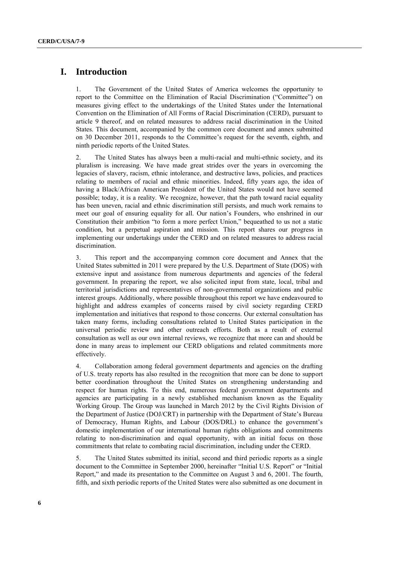# **I. Introduction**

1. The Government of the United States of America welcomes the opportunity to report to the Committee on the Elimination of Racial Discrimination ("Committee") on measures giving effect to the undertakings of the United States under the International Convention on the Elimination of All Forms of Racial Discrimination (CERD), pursuant to article 9 thereof, and on related measures to address racial discrimination in the United States. This document, accompanied by the common core document and annex submitted on 30 December 2011, responds to the Committee's request for the seventh, eighth, and ninth periodic reports of the United States.

2. The United States has always been a multi-racial and multi-ethnic society, and its pluralism is increasing. We have made great strides over the years in overcoming the legacies of slavery, racism, ethnic intolerance, and destructive laws, policies, and practices relating to members of racial and ethnic minorities. Indeed, fifty years ago, the idea of having a Black/African American President of the United States would not have seemed possible; today, it is a reality. We recognize, however, that the path toward racial equality has been uneven, racial and ethnic discrimination still persists, and much work remains to meet our goal of ensuring equality for all. Our nation's Founders, who enshrined in our Constitution their ambition "to form a more perfect Union," bequeathed to us not a static condition, but a perpetual aspiration and mission. This report shares our progress in implementing our undertakings under the CERD and on related measures to address racial discrimination.

3. This report and the accompanying common core document and Annex that the United States submitted in 2011 were prepared by the U.S. Department of State (DOS) with extensive input and assistance from numerous departments and agencies of the federal government. In preparing the report, we also solicited input from state, local, tribal and territorial jurisdictions and representatives of non-governmental organizations and public interest groups. Additionally, where possible throughout this report we have endeavoured to highlight and address examples of concerns raised by civil society regarding CERD implementation and initiatives that respond to those concerns. Our external consultation has taken many forms, including consultations related to United States participation in the universal periodic review and other outreach efforts. Both as a result of external consultation as well as our own internal reviews, we recognize that more can and should be done in many areas to implement our CERD obligations and related commitments more effectively.

4. Collaboration among federal government departments and agencies on the drafting of U.S. treaty reports has also resulted in the recognition that more can be done to support better coordination throughout the United States on strengthening understanding and respect for human rights. To this end, numerous federal government departments and agencies are participating in a newly established mechanism known as the Equality Working Group. The Group was launched in March 2012 by the Civil Rights Division of the Department of Justice (DOJ/CRT) in partnership with the Department of State's Bureau of Democracy, Human Rights, and Labour (DOS/DRL) to enhance the government's domestic implementation of our international human rights obligations and commitments relating to non-discrimination and equal opportunity, with an initial focus on those commitments that relate to combating racial discrimination, including under the CERD.

5. The United States submitted its initial, second and third periodic reports as a single document to the Committee in September 2000, hereinafter "Initial U.S. Report" or "Initial Report," and made its presentation to the Committee on August 3 and 6, 2001. The fourth, fifth, and sixth periodic reports of the United States were also submitted as one document in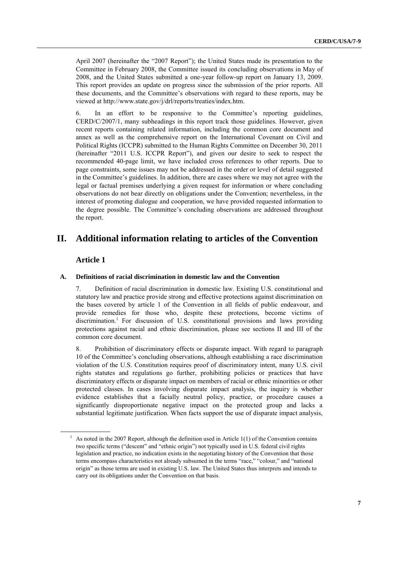April 2007 (hereinafter the "2007 Report"); the United States made its presentation to the Committee in February 2008, the Committee issued its concluding observations in May of 2008, and the United States submitted a one-year follow-up report on January 13, 2009. This report provides an update on progress since the submission of the prior reports. All these documents, and the Committee's observations with regard to these reports, may be viewed at [http://www.state.gov/j/drl/reports/treaties/index.htm.](http://www.state.gov/j/drl/reports/treaties/index.htm)

6. In an effort to be responsive to the Committee's reporting guidelines,  $CERD/C/2007/1$ , many subheadings in this report track those guidelines. However, given recent reports containing related information, including the common core document and annex as well as the comprehensive report on the International Covenant on Civil and Political Rights (ICCPR) submitted to the Human Rights Committee on December 30, 2011 (hereinafter "2011 U.S. ICCPR Report"), and given our desire to seek to respect the recommended 40-page limit, we have included cross references to other reports. Due to page constraints, some issues may not be addressed in the order or level of detail suggested in the Committee's guidelines. In addition, there are cases where we may not agree with the legal or factual premises underlying a given request for information or where concluding observations do not bear directly on obligations under the Convention; nevertheless, in the interest of promoting dialogue and cooperation, we have provided requested information to the degree possible. The Committee's concluding observations are addressed throughout the report.

# **II. Additional information relating to articles of the Convention**

# **Article 1**

#### **A. Definitions of racial discrimination in domestic law and the Convention**

7. Definition of racial discrimination in domestic law. Existing U.S. constitutional and statutory law and practice provide strong and effective protections against discrimination on the bases covered by article 1 of the Convention in all fields of public endeavour, and provide remedies for those who, despite these protections, become victims of discrimination.<sup>1</sup> For discussion of U.S. constitutional provisions and laws providing protections against racial and ethnic discrimination, please see sections II and III of the common core document.

8. Prohibition of discriminatory effects or disparate impact. With regard to paragraph 10 of the Committee's concluding observations, although establishing a race discrimination violation of the U.S. Constitution requires proof of discriminatory intent, many U.S. civil rights statutes and regulations go further, prohibiting policies or practices that have discriminatory effects or disparate impact on members of racial or ethnic minorities or other protected classes. In cases involving disparate impact analysis, the inquiry is whether evidence establishes that a facially neutral policy, practice, or procedure causes a significantly disproportionate negative impact on the protected group and lacks a substantial legitimate justification. When facts support the use of disparate impact analysis,

As noted in the 2007 Report, although the definition used in Article  $1(1)$  of the Convention contains two specific terms ("descent" and "ethnic origin") not typically used in U.S. federal civil rights legislation and practice, no indication exists in the negotiating history of the Convention that those terms encompass characteristics not already subsumed in the terms "race," "colour," and "national origin" as those terms are used in existing U.S. law. The United States thus interprets and intends to carry out its obligations under the Convention on that basis.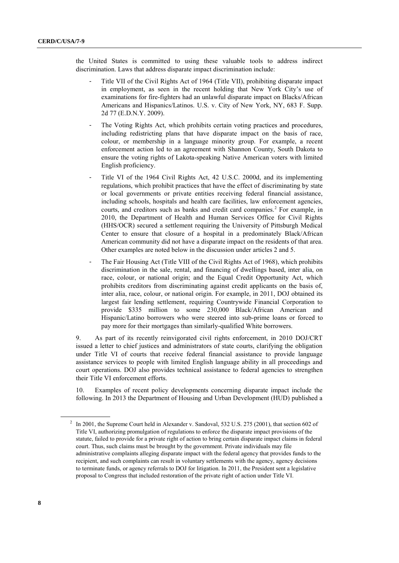the United States is committed to using these valuable tools to address indirect discrimination. Laws that address disparate impact discrimination include:

- Title VII of the Civil Rights Act of 1964 (Title VII), prohibiting disparate impact in employment, as seen in the recent holding that New York City's use of examinations for fire-fighters had an unlawful disparate impact on Blacks/African Americans and Hispanics/Latinos. U.S. v. City of New York, NY, 683 F. Supp. 2d 77 (E.D.N.Y. 2009).
- The Voting Rights Act, which prohibits certain voting practices and procedures, including redistricting plans that have disparate impact on the basis of race, colour, or membership in a language minority group. For example, a recent enforcement action led to an agreement with Shannon County, South Dakota to ensure the voting rights of Lakota-speaking Native American voters with limited English proficiency.
- Title VI of the 1964 Civil Rights Act, 42 U.S.C. 2000d, and its implementing regulations, which prohibit practices that have the effect of discriminating by state or local governments or private entities receiving federal financial assistance, including schools, hospitals and health care facilities, law enforcement agencies, courts, and creditors such as banks and credit card companies.<sup>2</sup> For example, in 2010, the Department of Health and Human Services Office for Civil Rights (HHS/OCR) secured a settlement requiring the University of Pittsburgh Medical Center to ensure that closure of a hospital in a predominately Black/African American community did not have a disparate impact on the residents of that area. Other examples are noted below in the discussion under articles 2 and 5.
- The Fair Housing Act (Title VIII of the Civil Rights Act of 1968), which prohibits discrimination in the sale, rental, and financing of dwellings based, inter alia, on race, colour, or national origin; and the Equal Credit Opportunity Act, which prohibits creditors from discriminating against credit applicants on the basis of, inter alia, race, colour, or national origin. For example, in 2011, DOJ obtained its largest fair lending settlement, requiring Countrywide Financial Corporation to provide \$335 million to some 230,000 Black/African American and Hispanic/Latino borrowers who were steered into sub-prime loans or forced to pay more for their mortgages than similarly-qualified White borrowers.

9. As part of its recently reinvigorated civil rights enforcement, in 2010 DOJ/CRT issued a letter to chief justices and administrators of state courts, clarifying the obligation under Title VI of courts that receive federal financial assistance to provide language assistance services to people with limited English language ability in all proceedings and court operations. DOJ also provides technical assistance to federal agencies to strengthen their Title VI enforcement efforts.

10. Examples of recent policy developments concerning disparate impact include the following. In 2013 the Department of Housing and Urban Development (HUD) published a

<sup>&</sup>lt;sup>2</sup> In 2001, the Supreme Court held in Alexander v. Sandoval, 532 U.S. 275 (2001), that section 602 of Title VI, authorizing promulgation of regulations to enforce the disparate impact provisions of the statute, failed to provide for a private right of action to bring certain disparate impact claims in federal court. Thus, such claims must be brought by the government. Private individuals may file administrative complaints alleging disparate impact with the federal agency that provides funds to the recipient, and such complaints can result in voluntary settlements with the agency, agency decisions to terminate funds, or agency referrals to DOJ for litigation. In 2011, the President sent a legislative proposal to Congress that included restoration of the private right of action under Title VI.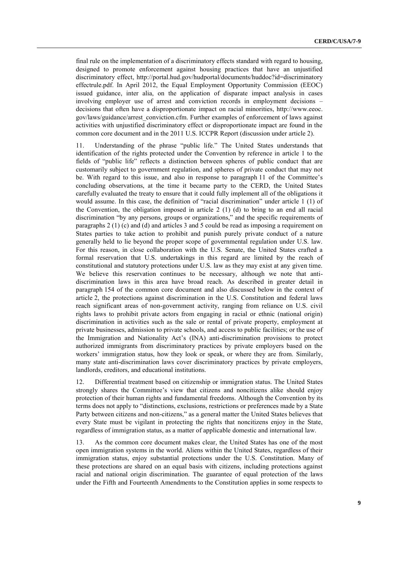final rule on the implementation of a discriminatory effects standard with regard to housing, designed to promote enforcement against housing practices that have an unjustified discriminatory effect, [http://portal.hud.gov/hudportal/documents/huddoc?id=discriminatory](http://portal.hud.gov/hudportal/documents/huddoc?id=discriminatory%20effectrule.pdf)  [effectrule.pdf.](http://portal.hud.gov/hudportal/documents/huddoc?id=discriminatory%20effectrule.pdf) In April 2012, the Equal Employment Opportunity Commission (EEOC) issued guidance, inter alia, on the application of disparate impact analysis in cases involving employer use of arrest and conviction records in employment decisions – decisions that often have a disproportionate impact on racial minorities, http://www.eeoc. gov/laws/guidance/arrest\_conviction.cfm. Further examples of enforcement of laws against activities with unjustified discriminatory effect or disproportionate impact are found in the common core document and in the 2011 U.S. ICCPR Report (discussion under article 2).

11. Understanding of the phrase "public life." The United States understands that identification of the rights protected under the Convention by reference in article 1 to the fields of "public life" reflects a distinction between spheres of public conduct that are customarily subject to government regulation, and spheres of private conduct that may not be. With regard to this issue, and also in response to paragraph 11 of the Committee's concluding observations, at the time it became party to the CERD, the United States carefully evaluated the treaty to ensure that it could fully implement all of the obligations it would assume. In this case, the definition of "racial discrimination" under article 1 (1) of the Convention, the obligation imposed in article  $2(1)(d)$  to bring to an end all racial discrimination "by any persons, groups or organizations," and the specific requirements of paragraphs 2 (1) (c) and (d) and articles 3 and 5 could be read as imposing a requirement on States parties to take action to prohibit and punish purely private conduct of a nature generally held to lie beyond the proper scope of governmental regulation under U.S. law. For this reason, in close collaboration with the U.S. Senate, the United States crafted a formal reservation that U.S. undertakings in this regard are limited by the reach of constitutional and statutory protections under U.S. law as they may exist at any given time. We believe this reservation continues to be necessary, although we note that antidiscrimination laws in this area have broad reach. As described in greater detail in paragraph 154 of the common core document and also discussed below in the context of article 2, the protections against discrimination in the U.S. Constitution and federal laws reach significant areas of non-government activity, ranging from reliance on U.S. civil rights laws to prohibit private actors from engaging in racial or ethnic (national origin) discrimination in activities such as the sale or rental of private property, employment at private businesses, admission to private schools, and access to public facilities; or the use of the Immigration and Nationality Act's (INA) anti-discrimination provisions to protect authorized immigrants from discriminatory practices by private employers based on the workers' immigration status, how they look or speak, or where they are from. Similarly, many state anti-discrimination laws cover discriminatory practices by private employers, landlords, creditors, and educational institutions.

12. Differential treatment based on citizenship or immigration status. The United States strongly shares the Committee's view that citizens and noncitizens alike should enjoy protection of their human rights and fundamental freedoms. Although the Convention by its terms does not apply to "distinctions, exclusions, restrictions or preferences made by a State Party between citizens and non-citizens," as a general matter the United States believes that every State must be vigilant in protecting the rights that noncitizens enjoy in the State, regardless of immigration status, as a matter of applicable domestic and international law.

13. As the common core document makes clear, the United States has one of the most open immigration systems in the world. Aliens within the United States, regardless of their immigration status, enjoy substantial protections under the U.S. Constitution. Many of these protections are shared on an equal basis with citizens, including protections against racial and national origin discrimination. The guarantee of equal protection of the laws under the Fifth and Fourteenth Amendments to the Constitution applies in some respects to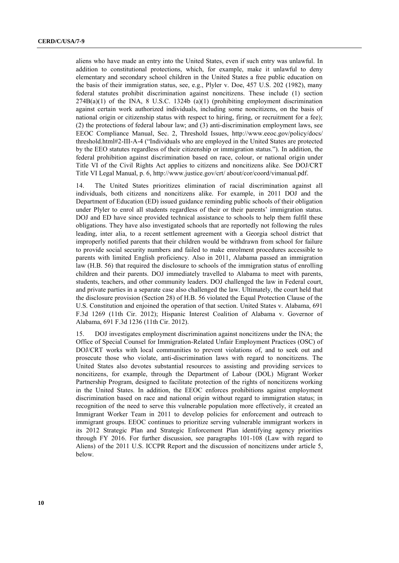aliens who have made an entry into the United States, even if such entry was unlawful. In addition to constitutional protections, which, for example, make it unlawful to deny elementary and secondary school children in the United States a free public education on the basis of their immigration status, see, e.g., Plyler v. Doe, 457 U.S. 202 (1982), many federal statutes prohibit discrimination against noncitizens. These include (1) section  $274B(a)(1)$  of the INA, 8 U.S.C. 1324b (a)(1) (prohibiting employment discrimination against certain work authorized individuals, including some noncitizens, on the basis of national origin or citizenship status with respect to hiring, firing, or recruitment for a fee); (2) the protections of federal labour law; and (3) anti-discrimination employment laws, see EEOC Compliance Manual, Sec. 2, Threshold Issues, [http://www.eeoc.gov/policy/docs/](http://www.eeoc.gov/policy/docs/%20threshold.html#2-III-A-4)  [threshold.html#2-III-A-4](http://www.eeoc.gov/policy/docs/%20threshold.html#2-III-A-4) ("Individuals who are employed in the United States are protected by the EEO statutes regardless of their citizenship or immigration status."). In addition, the federal prohibition against discrimination based on race, colour, or national origin under Title VI of the Civil Rights Act applies to citizens and noncitizens alike. See DOJ/CRT Title VI Legal Manual, p. 6, [http://www.justice.gov/crt/ about/cor/coord/vimanual.pdf.](http://www.justice.gov/crt/%20about/cor/coord/vimanual.pdf)

14. The United States prioritizes elimination of racial discrimination against all individuals, both citizens and noncitizens alike. For example, in 2011 DOJ and the Department of Education (ED) issued guidance reminding public schools of their obligation under Plyler to enrol all students regardless of their or their parents' immigration status. DOJ and ED have since provided technical assistance to schools to help them fulfil these obligations. They have also investigated schools that are reportedly not following the rules leading, inter alia, to a recent settlement agreement with a Georgia school district that improperly notified parents that their children would be withdrawn from school for failure to provide social security numbers and failed to make enrolment procedures accessible to parents with limited English proficiency. Also in 2011, Alabama passed an immigration law (H.B. 56) that required the disclosure to schools of the immigration status of enrolling children and their parents. DOJ immediately travelled to Alabama to meet with parents, students, teachers, and other community leaders. DOJ challenged the law in Federal court, and private parties in a separate case also challenged the law. Ultimately, the court held that the disclosure provision (Section 28) of H.B. 56 violated the Equal Protection Clause of the U.S. Constitution and enjoined the operation of that section. United States v. Alabama, 691 F.3d 1269 (11th Cir. 2012); Hispanic Interest Coalition of Alabama v. Governor of Alabama, 691 F.3d 1236 (11th Cir. 2012).

15. DOJ investigates employment discrimination against noncitizens under the INA; the Office of Special Counsel for Immigration-Related Unfair Employment Practices (OSC) of DOJ/CRT works with local communities to prevent violations of, and to seek out and prosecute those who violate, anti-discrimination laws with regard to noncitizens. The United States also devotes substantial resources to assisting and providing services to noncitizens, for example, through the Department of Labour (DOL) Migrant Worker Partnership Program, designed to facilitate protection of the rights of noncitizens working in the United States. In addition, the EEOC enforces prohibitions against employment discrimination based on race and national origin without regard to immigration status; in recognition of the need to serve this vulnerable population more effectively, it created an Immigrant Worker Team in 2011 to develop policies for enforcement and outreach to immigrant groups. EEOC continues to prioritize serving vulnerable immigrant workers in its 2012 Strategic Plan and Strategic Enforcement Plan identifying agency priorities through FY 2016. For further discussion, see paragraphs 101-108 (Law with regard to Aliens) of the 2011 U.S. ICCPR Report and the discussion of noncitizens under article 5, below.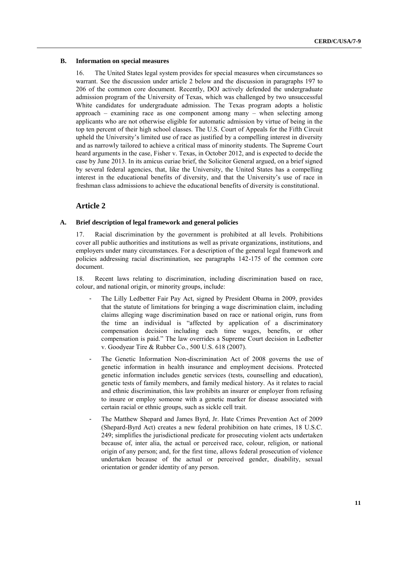#### **B. Information on special measures**

16. The United States legal system provides for special measures when circumstances so warrant. See the discussion under article 2 below and the discussion in paragraphs 197 to 206 of the common core document. Recently, DOJ actively defended the undergraduate admission program of the University of Texas, which was challenged by two unsuccessful White candidates for undergraduate admission. The Texas program adopts a holistic approach – examining race as one component among many – when selecting among applicants who are not otherwise eligible for automatic admission by virtue of being in the top ten percent of their high school classes. The U.S. Court of Appeals for the Fifth Circuit upheld the University's limited use of race as justified by a compelling interest in diversity and as narrowly tailored to achieve a critical mass of minority students. The Supreme Court heard arguments in the case, Fisher v. Texas, in October 2012, and is expected to decide the case by June 2013. In its amicus curiae brief, the Solicitor General argued, on a brief signed by several federal agencies, that, like the University, the United States has a compelling interest in the educational benefits of diversity, and that the University's use of race in freshman class admissions to achieve the educational benefits of diversity is constitutional.

## **Article 2**

#### **A. Brief description of legal framework and general policies**

17. Racial discrimination by the government is prohibited at all levels. Prohibitions cover all public authorities and institutions as well as private organizations, institutions, and employers under many circumstances. For a description of the general legal framework and policies addressing racial discrimination, see paragraphs 142-175 of the common core document.

18. Recent laws relating to discrimination, including discrimination based on race, colour, and national origin, or minority groups, include:

- The Lilly Ledbetter Fair Pay Act, signed by President Obama in 2009, provides that the statute of limitations for bringing a wage discrimination claim, including claims alleging wage discrimination based on race or national origin, runs from the time an individual is "affected by application of a discriminatory compensation decision including each time wages, benefits, or other compensation is paid." The law overrides a Supreme Court decision in Ledbetter v. Goodyear Tire & Rubber Co., 500 U.S. 618 (2007).
- The Genetic Information Non-discrimination Act of 2008 governs the use of genetic information in health insurance and employment decisions. Protected genetic information includes genetic services (tests, counselling and education), genetic tests of family members, and family medical history. As it relates to racial and ethnic discrimination, this law prohibits an insurer or employer from refusing to insure or employ someone with a genetic marker for disease associated with certain racial or ethnic groups, such as sickle cell trait.
- The Matthew Shepard and James Byrd, Jr. Hate Crimes Prevention Act of 2009 (Shepard-Byrd Act) creates a new federal prohibition on hate crimes, 18 U.S.C. 249; simplifies the jurisdictional predicate for prosecuting violent acts undertaken because of, inter alia, the actual or perceived race, colour, religion, or national origin of any person; and, for the first time, allows federal prosecution of violence undertaken because of the actual or perceived gender, disability, sexual orientation or gender identity of any person.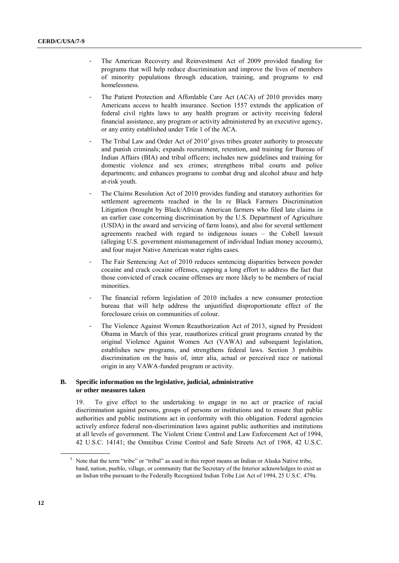- The American Recovery and Reinvestment Act of 2009 provided funding for programs that will help reduce discrimination and improve the lives of members of minority populations through education, training, and programs to end homelessness.
- The Patient Protection and Affordable Care Act (ACA) of 2010 provides many Americans access to health insurance. Section 1557 extends the application of federal civil rights laws to any health program or activity receiving federal financial assistance, any program or activity administered by an executive agency, or any entity established under Title 1 of the ACA.
- The Tribal Law and Order Act of  $2010<sup>3</sup>$  gives tribes greater authority to prosecute and punish criminals; expands recruitment, retention, and training for Bureau of Indian Affairs (BIA) and tribal officers; includes new guidelines and training for domestic violence and sex crimes; strengthens tribal courts and police departments; and enhances programs to combat drug and alcohol abuse and help at-risk youth.
- The Claims Resolution Act of 2010 provides funding and statutory authorities for settlement agreements reached in the In re Black Farmers Discrimination Litigation (brought by Black/African American farmers who filed late claims in an earlier case concerning discrimination by the U.S. Department of Agriculture (USDA) in the award and servicing of farm loans), and also for several settlement agreements reached with regard to indigenous issues – the Cobell lawsuit (alleging U.S. government mismanagement of individual Indian money accounts), and four major Native American water rights cases.
- The Fair Sentencing Act of 2010 reduces sentencing disparities between powder cocaine and crack cocaine offenses, capping a long effort to address the fact that those convicted of crack cocaine offenses are more likely to be members of racial minorities.
- The financial reform legislation of 2010 includes a new consumer protection bureau that will help address the unjustified disproportionate effect of the foreclosure crisis on communities of colour.
- The Violence Against Women Reauthorization Act of 2013, signed by President Obama in March of this year, reauthorizes critical grant programs created by the original Violence Against Women Act (VAWA) and subsequent legislation, establishes new programs, and strengthens federal laws. Section 3 prohibits discrimination on the basis of, inter alia, actual or perceived race or national origin in any VAWA-funded program or activity.

#### **B. Specific information on the legislative, judicial, administrative or other measures taken**

19. To give effect to the undertaking to engage in no act or practice of racial discrimination against persons, groups of persons or institutions and to ensure that public authorities and public institutions act in conformity with this obligation. Federal agencies actively enforce federal non-discrimination laws against public authorities and institutions at all levels of government. The Violent Crime Control and Law Enforcement Act of 1994, 42 U.S.C. 14141; the Omnibus Crime Control and Safe Streets Act of 1968, 42 U.S.C.

<sup>3</sup> Note that the term "tribe" or "tribal" as used in this report means an Indian or Alaska Native tribe, band, nation, pueblo, village, or community that the Secretary of the Interior acknowledges to exist as an Indian tribe pursuant to the Federally Recognized Indian Tribe List Act of 1994, 25 U.S.C. 479a.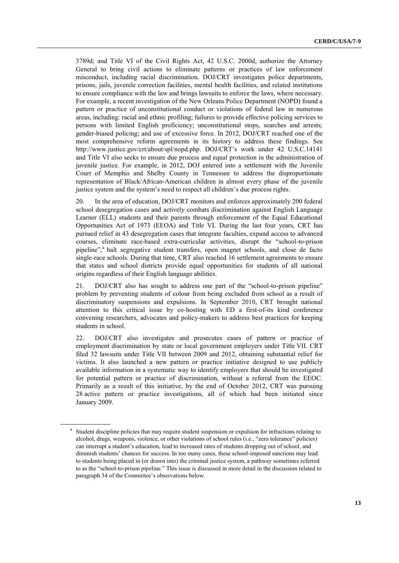3789d; and Title VI of the Civil Rights Act, 42 U.S.C. 2000d, authorize the Attorney General to bring civil actions to eliminate patterns or practices of law enforcement misconduct, including racial discrimination. DOJ/CRT investigates police departments, prisons, jails, juvenile correction facilities, mental health facilities, and related institutions to ensure compliance with the law and brings lawsuits to enforce the laws, where necessary. For example, a recent investigation of the New Orleans Police Department (NOPD) found a pattern or practice of unconstitutional conduct or violations of federal law in numerous areas, including: racial and ethnic profiling; failures to provide effective policing services to persons with limited English proficiency; unconstitutional stops, searches and arrests; gender-biased policing; and use of excessive force. In 2012, DOJ/CRT reached one of the most comprehensive reform agreements in its history to address these findings. See [http://www.justice.gov/crt/about/spl/nopd.php.](http://www.justice.gov/crt/about/spl/nopd.php) DOJ/CRT's work under 42 U.S.C.14141 and Title VI also seeks to ensure due process and equal protection in the administration of juvenile justice. For example, in 2012, DOJ entered into a settlement with the Juvenile Court of Memphis and Shelby County in Tennessee to address the disproportionate representation of Black/African-American children in almost every phase of the juvenile justice system and the system's need to respect all children's due process rights.

20. In the area of education, DOJ/CRT monitors and enforces approximately 200 federal school desegregation cases and actively combats discrimination against English Language Learner (ELL) students and their parents through enforcement of the Equal Educational Opportunities Act of 1973 (EEOA) and Title VI. During the last four years, CRT has pursued relief in 43 desegregation cases that integrate faculties, expand access to advanced courses, eliminate race-based extra-curricular activities, disrupt the "school-to-prison pipeline",<sup>4</sup> halt segregative student transfers, open magnet schools, and close de facto single-race schools. During that time, CRT also reached 16 settlement agreements to ensure that states and school districts provide equal opportunities for students of all national origins regardless of their English language abilities.

21. DOJ/CRT also has sought to address one part of the "school-to-prison pipeline" problem by preventing students of colour from being excluded from school as a result of discriminatory suspensions and expulsions. In September 2010, CRT brought national attention to this critical issue by co-hosting with ED a first-of-its kind conference convening researchers, advocates and policy-makers to address best practices for keeping students in school.

22. DOJ/CRT also investigates and prosecutes cases of pattern or practice of employment discrimination by state or local government employers under Title VII. CRT filed 32 lawsuits under Title VII between 2009 and 2012, obtaining substantial relief for victims. It also launched a new pattern or practice initiative designed to use publicly available information in a systematic way to identify employers that should be investigated for potential pattern or practice of discrimination, without a referral from the EEOC. Primarily as a result of this initiative, by the end of October 2012, CRT was pursuing 28 active pattern or practice investigations, all of which had been initiated since January 2009.

<sup>&</sup>lt;sup>4</sup> Student discipline policies that may require student suspension or expulsion for infractions relating to alcohol, drugs, weapons, violence, or other violations of school rules (i.e., "zero tolerance" policies) can interrupt a student's education, lead to increased rates of students dropping out of school, and diminish students' chances for success. In too many cases, these school-imposed sanctions may lead to students being placed in (or drawn into) the criminal justice system, a pathway sometimes referred to as the "school-to-prison pipeline." This issue is discussed in more detail in the discussion related to paragraph 34 of the Committee's observations below.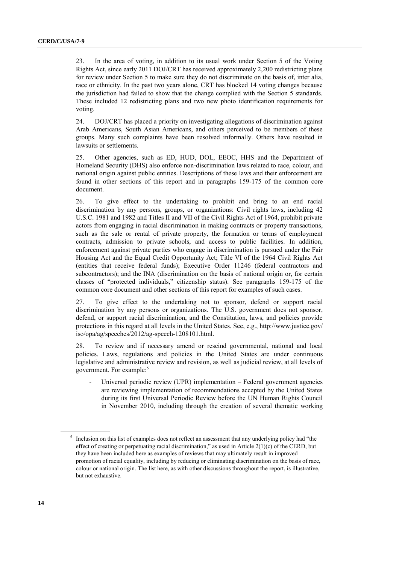23. In the area of voting, in addition to its usual work under Section 5 of the Voting Rights Act, since early 2011 DOJ/CRT has received approximately 2,200 redistricting plans for review under Section 5 to make sure they do not discriminate on the basis of, inter alia, race or ethnicity. In the past two years alone, CRT has blocked 14 voting changes because the jurisdiction had failed to show that the change complied with the Section 5 standards. These included 12 redistricting plans and two new photo identification requirements for voting.

24. DOJ/CRT has placed a priority on investigating allegations of discrimination against Arab Americans, South Asian Americans, and others perceived to be members of these groups. Many such complaints have been resolved informally. Others have resulted in lawsuits or settlements.

25. Other agencies, such as ED, HUD, DOL, EEOC, HHS and the Department of Homeland Security (DHS) also enforce non-discrimination laws related to race, colour, and national origin against public entities. Descriptions of these laws and their enforcement are found in other sections of this report and in paragraphs 159-175 of the common core document.

26. To give effect to the undertaking to prohibit and bring to an end racial discrimination by any persons, groups, or organizations: Civil rights laws, including 42 U.S.C. 1981 and 1982 and Titles II and VII of the Civil Rights Act of 1964, prohibit private actors from engaging in racial discrimination in making contracts or property transactions, such as the sale or rental of private property, the formation or terms of employment contracts, admission to private schools, and access to public facilities. In addition, enforcement against private parties who engage in discrimination is pursued under the Fair Housing Act and the Equal Credit Opportunity Act; Title VI of the 1964 Civil Rights Act (entities that receive federal funds); Executive Order 11246 (federal contractors and subcontractors); and the INA (discrimination on the basis of national origin or, for certain classes of "protected individuals," citizenship status). See paragraphs 159-175 of the common core document and other sections of this report for examples of such cases.

27. To give effect to the undertaking not to sponsor, defend or support racial discrimination by any persons or organizations. The U.S. government does not sponsor, defend, or support racial discrimination, and the Constitution, laws, and policies provide protections in this regard at all levels in the United States. See, e.g., [http://www.justice.gov/](http://www.justice.gov/%20iso/opa/ag/speeches/2012/ag-speech-1208101.html)  [iso/opa/ag/speeches/2012/ag-speech-1208101.html.](http://www.justice.gov/%20iso/opa/ag/speeches/2012/ag-speech-1208101.html)

28. To review and if necessary amend or rescind governmental, national and local policies. Laws, regulations and policies in the United States are under continuous legislative and administrative review and revision, as well as judicial review, at all levels of government. For example:<sup>5</sup>

Universal periodic review (UPR) implementation – Federal government agencies are reviewing implementation of recommendations accepted by the United States during its first Universal Periodic Review before the UN Human Rights Council in November 2010, including through the creation of several thematic working

<sup>&</sup>lt;sup>5</sup> Inclusion on this list of examples does not reflect an assessment that any underlying policy had "the effect of creating or perpetuating racial discrimination," as used in Article 2(1)(c) of the CERD, but they have been included here as examples of reviews that may ultimately result in improved promotion of racial equality, including by reducing or eliminating discrimination on the basis of race, colour or national origin. The list here, as with other discussions throughout the report, is illustrative, but not exhaustive.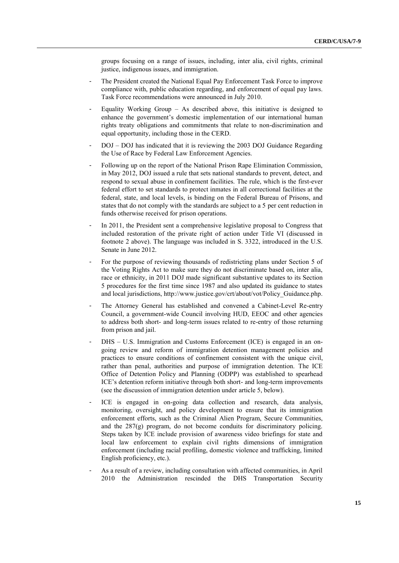groups focusing on a range of issues, including, inter alia, civil rights, criminal justice, indigenous issues, and immigration.

- The President created the National Equal Pay Enforcement Task Force to improve compliance with, public education regarding, and enforcement of equal pay laws. Task Force recommendations were announced in July 2010.
- Equality Working Group As described above, this initiative is designed to enhance the government's domestic implementation of our international human rights treaty obligations and commitments that relate to non-discrimination and equal opportunity, including those in the CERD.
- DOJ DOJ has indicated that it is reviewing the 2003 DOJ Guidance Regarding the Use of Race by Federal Law Enforcement Agencies.
- Following up on the report of the National Prison Rape Elimination Commission, in May 2012, DOJ issued a rule that sets national standards to prevent, detect, and respond to sexual abuse in confinement facilities. The rule, which is the first-ever federal effort to set standards to protect inmates in all correctional facilities at the federal, state, and local levels, is binding on the Federal Bureau of Prisons, and states that do not comply with the standards are subject to a 5 per cent reduction in funds otherwise received for prison operations.
- In 2011, the President sent a comprehensive legislative proposal to Congress that included restoration of the private right of action under Title VI (discussed in footnote 2 above). The language was included in S. 3322, introduced in the U.S. Senate in June 2012.
- For the purpose of reviewing thousands of redistricting plans under Section 5 of the Voting Rights Act to make sure they do not discriminate based on, inter alia, race or ethnicity, in 2011 DOJ made significant substantive updates to its Section 5 procedures for the first time since 1987 and also updated its guidance to states and local jurisdictions, [http://www.justice.gov/crt/about/vot/Policy\\_Guidance.php.](http://www.justice.gov/crt/about/vot/Policy_Guidance.php)
- The Attorney General has established and convened a Cabinet-Level Re-entry Council, a government-wide Council involving HUD, EEOC and other agencies to address both short- and long-term issues related to re-entry of those returning from prison and jail.
- DHS U.S. Immigration and Customs Enforcement (ICE) is engaged in an ongoing review and reform of immigration detention management policies and practices to ensure conditions of confinement consistent with the unique civil, rather than penal, authorities and purpose of immigration detention. The ICE Office of Detention Policy and Planning (ODPP) was established to spearhead ICE's detention reform initiative through both short- and long-term improvements (see the discussion of immigration detention under article 5, below).
- ICE is engaged in on-going data collection and research, data analysis, monitoring, oversight, and policy development to ensure that its immigration enforcement efforts, such as the Criminal Alien Program, Secure Communities, and the 287(g) program, do not become conduits for discriminatory policing. Steps taken by ICE include provision of awareness video briefings for state and local law enforcement to explain civil rights dimensions of immigration enforcement (including racial profiling, domestic violence and trafficking, limited English proficiency, etc.).
- As a result of a review, including consultation with affected communities, in April 2010 the Administration rescinded the DHS Transportation Security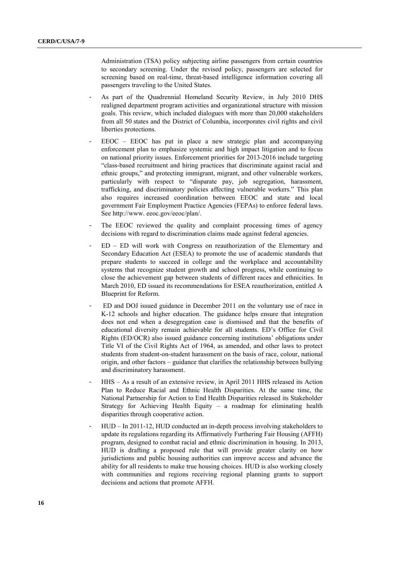Administration (TSA) policy subjecting airline passengers from certain countries to secondary screening. Under the revised policy, passengers are selected for screening based on real-time, threat-based intelligence information covering all passengers traveling to the United States.

- As part of the Quadrennial Homeland Security Review, in July 2010 DHS realigned department program activities and organizational structure with mission goals. This review, which included dialogues with more than 20,000 stakeholders from all 50 states and the District of Columbia, incorporates civil rights and civil liberties protections.
- $EEOC EEOC$  has put in place a new strategic plan and accompanying enforcement plan to emphasize systemic and high impact litigation and to focus on national priority issues. Enforcement priorities for 2013-2016 include targeting "class-based recruitment and hiring practices that discriminate against racial and ethnic groups," and protecting immigrant, migrant, and other vulnerable workers, particularly with respect to "disparate pay, job segregation, harassment, trafficking, and discriminatory policies affecting vulnerable workers." This plan also requires increased coordination between EEOC and state and local government Fair Employment Practice Agencies (FEPAs) to enforce federal laws. See http://www. eeoc.gov/eeoc/plan/.
- The EEOC reviewed the quality and complaint processing times of agency decisions with regard to discrimination claims made against federal agencies.
- ED ED will work with Congress on reauthorization of the Elementary and Secondary Education Act (ESEA) to promote the use of academic standards that prepare students to succeed in college and the workplace and accountability systems that recognize student growth and school progress, while continuing to close the achievement gap between students of different races and ethnicities. In March 2010, ED issued its recommendations for ESEA reauthorization, entitled A Blueprint for Reform.
- ED and DOJ issued guidance in December 2011 on the voluntary use of race in K-12 schools and higher education. The guidance helps ensure that integration does not end when a desegregation case is dismissed and that the benefits of educational diversity remain achievable for all students. ED's Office for Civil Rights (ED/OCR) also issued guidance concerning institutions' obligations under Title VI of the Civil Rights Act of 1964, as amended, and other laws to protect students from student-on-student harassment on the basis of race, colour, national origin, and other factors – guidance that clarifies the relationship between bullying and discriminatory harassment.
- HHS As a result of an extensive review, in April 2011 HHS released its Action Plan to Reduce Racial and Ethnic Health Disparities. At the same time, the National Partnership for Action to End Health Disparities released its Stakeholder Strategy for Achieving Health Equity – a roadmap for eliminating health disparities through cooperative action.
- HUD In 2011-12, HUD conducted an in-depth process involving stakeholders to update its regulations regarding its Affirmatively Furthering Fair Housing (AFFH) program, designed to combat racial and ethnic discrimination in housing. In 2013, HUD is drafting a proposed rule that will provide greater clarity on how jurisdictions and public housing authorities can improve access and advance the ability for all residents to make true housing choices. HUD is also working closely with communities and regions receiving regional planning grants to support decisions and actions that promote AFFH.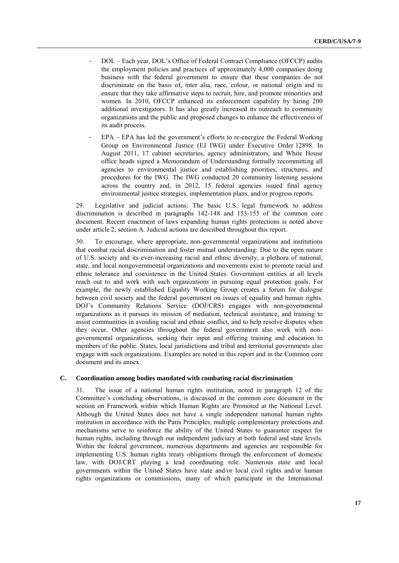- DOL Each year, DOL's Office of Federal Contract Compliance (OFCCP) audits the employment policies and practices of approximately 4,000 companies doing business with the federal government to ensure that these companies do not discriminate on the basis of, inter alia, race, colour, or national origin and to ensure that they take affirmative steps to recruit, hire, and promote minorities and women. In 2010, OFCCP enhanced its enforcement capability by hiring 200 additional investigators. It has also greatly increased its outreach to community organizations and the public and proposed changes to enhance the effectiveness of its audit process.
- EPA EPA has led the government's efforts to re-energize the Federal Working Group on Environmental Justice (EJ IWG) under Executive Order 12898. In August 2011, 17 cabinet secretaries, agency administrators, and White House office heads signed a Memorandum of Understanding formally recommitting all agencies to environmental justice and establishing priorities, structures, and procedures for the IWG. The IWG conducted 20 community listening sessions across the country and, in 2012, 15 federal agencies issued final agency environmental justice strategies, implementation plans, and/or progress reports.

29. Legislative and judicial actions: The basic U.S. legal framework to address discrimination is described in paragraphs 142-148 and 153-155 of the common core document. Recent enactment of laws expanding human rights protections is noted above under article 2, section A. Judicial actions are described throughout this report.

30. To encourage, where appropriate, non-governmental organizations and institutions that combat racial discrimination and foster mutual understanding: Due to the open nature of U.S. society and its ever-increasing racial and ethnic diversity, a plethora of national, state, and local nongovernmental organizations and movements exist to promote racial and ethnic tolerance and coexistence in the United States. Government entities at all levels reach out to and work with such organizations in pursuing equal protection goals. For example, the newly established Equality Working Group creates a forum for dialogue between civil society and the federal government on issues of equality and human rights. DOJ's Community Relations Service (DOJ/CRS) engages with non-governmental organizations as it pursues its mission of mediation, technical assistance, and training to assist communities in avoiding racial and ethnic conflict, and to help resolve disputes when they occur. Other agencies throughout the federal government also work with nongovernmental organizations, seeking their input and offering training and education to members of the public. States, local jurisdictions and tribal and territorial governments also engage with such organizations. Examples are noted in this report and in the Common core document and its annex.

#### **C. Coordination among bodies mandated with combating racial discrimination**

31. The issue of a national human rights institution, noted in paragraph 12 of the Committee's concluding observations, is discussed in the common core document in the section on Framework within which Human Rights are Promoted at the National Level. Although the United States does not have a single independent national human rights institution in accordance with the Paris Principles, multiple complementary protections and mechanisms serve to reinforce the ability of the United States to guarantee respect for human rights, including through our independent judiciary at both federal and state levels. Within the federal government, numerous departments and agencies are responsible for implementing U.S. human rights treaty obligations through the enforcement of domestic law, with DOJ/CRT playing a lead coordinating role. Numerous state and local governments within the United States have state and/or local civil rights and/or human rights organizations or commissions, many of which participate in the International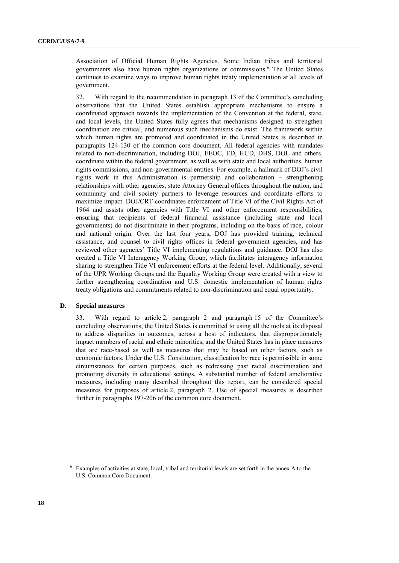Association of Official Human Rights Agencies. Some Indian tribes and territorial governments also have human rights organizations or commissions.<sup>6</sup> The United States continues to examine ways to improve human rights treaty implementation at all levels of government.

32. With regard to the recommendation in paragraph 13 of the Committee's concluding observations that the United States establish appropriate mechanisms to ensure a coordinated approach towards the implementation of the Convention at the federal, state, and local levels, the United States fully agrees that mechanisms designed to strengthen coordination are critical, and numerous such mechanisms do exist. The framework within which human rights are promoted and coordinated in the United States is described in paragraphs 124-130 of the common core document. All federal agencies with mandates related to non-discrimination, including DOJ, EEOC, ED, HUD, DHS, DOL and others, coordinate within the federal government, as well as with state and local authorities, human rights commissions, and non-governmental entities. For example, a hallmark of DOJ's civil rights work in this Administration is partnership and collaboration – strengthening relationships with other agencies, state Attorney General offices throughout the nation, and community and civil society partners to leverage resources and coordinate efforts to maximize impact. DOJ/CRT coordinates enforcement of Title VI of the Civil Rights Act of 1964 and assists other agencies with Title VI and other enforcement responsibilities, ensuring that recipients of federal financial assistance (including state and local governments) do not discriminate in their programs, including on the basis of race, colour and national origin. Over the last four years, DOJ has provided training, technical assistance, and counsel to civil rights offices in federal government agencies, and has reviewed other agencies' Title VI implementing regulations and guidance. DOJ has also created a Title VI Interagency Working Group, which facilitates interagency information sharing to strengthen Title VI enforcement efforts at the federal level. Additionally, several of the UPR Working Groups and the Equality Working Group were created with a view to further strengthening coordination and U.S. domestic implementation of human rights treaty obligations and commitments related to non-discrimination and equal opportunity.

#### **D. Special measures**

33. With regard to article 2, paragraph 2 and paragraph 15 of the Committee's concluding observations, the United States is committed to using all the tools at its disposal to address disparities in outcomes, across a host of indicators, that disproportionately impact members of racial and ethnic minorities, and the United States has in place measures that are race-based as well as measures that may be based on other factors, such as economic factors. Under the U.S. Constitution, classification by race is permissible in some circumstances for certain purposes, such as redressing past racial discrimination and promoting diversity in educational settings. A substantial number of federal ameliorative measures, including many described throughout this report, can be considered special measures for purposes of article 2, paragraph 2. Use of special measures is described further in paragraphs 197-206 of the common core document.

<sup>6</sup> Examples of activities at state, local, tribal and territorial levels are set forth in the annex A to the U.S. Common Core Document.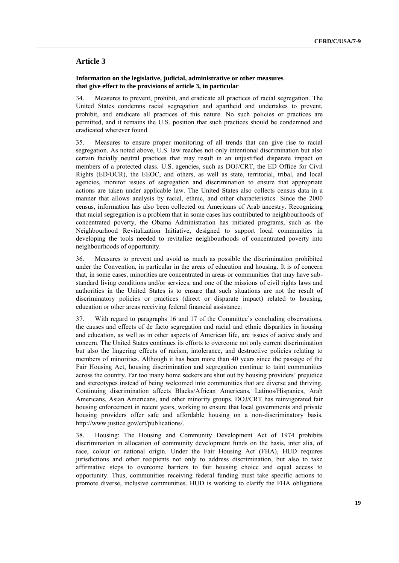# **Article 3**

#### **Information on the legislative, judicial, administrative or other measures that give effect to the provisions of article 3, in particular**

34. Measures to prevent, prohibit, and eradicate all practices of racial segregation. The United States condemns racial segregation and apartheid and undertakes to prevent, prohibit, and eradicate all practices of this nature. No such policies or practices are permitted, and it remains the U.S. position that such practices should be condemned and eradicated wherever found.

35. Measures to ensure proper monitoring of all trends that can give rise to racial segregation. As noted above, U.S. law reaches not only intentional discrimination but also certain facially neutral practices that may result in an unjustified disparate impact on members of a protected class. U.S. agencies, such as DOJ/CRT, the ED Office for Civil Rights (ED/OCR), the EEOC, and others, as well as state, territorial, tribal, and local agencies, monitor issues of segregation and discrimination to ensure that appropriate actions are taken under applicable law. The United States also collects census data in a manner that allows analysis by racial, ethnic, and other characteristics. Since the 2000 census, information has also been collected on Americans of Arab ancestry. Recognizing that racial segregation is a problem that in some cases has contributed to neighbourhoods of concentrated poverty, the Obama Administration has initiated programs, such as the Neighbourhood Revitalization Initiative, designed to support local communities in developing the tools needed to revitalize neighbourhoods of concentrated poverty into neighbourhoods of opportunity.

36. Measures to prevent and avoid as much as possible the discrimination prohibited under the Convention, in particular in the areas of education and housing. It is of concern that, in some cases, minorities are concentrated in areas or communities that may have substandard living conditions and/or services, and one of the missions of civil rights laws and authorities in the United States is to ensure that such situations are not the result of discriminatory policies or practices (direct or disparate impact) related to housing, education or other areas receiving federal financial assistance.

37. With regard to paragraphs 16 and 17 of the Committee's concluding observations, the causes and effects of de facto segregation and racial and ethnic disparities in housing and education, as well as in other aspects of American life, are issues of active study and concern. The United States continues its efforts to overcome not only current discrimination but also the lingering effects of racism, intolerance, and destructive policies relating to members of minorities. Although it has been more than 40 years since the passage of the Fair Housing Act, housing discrimination and segregation continue to taint communities across the country. Far too many home seekers are shut out by housing providers' prejudice and stereotypes instead of being welcomed into communities that are diverse and thriving. Continuing discrimination affects Blacks/African Americans, Latinos/Hispanics, Arab Americans, Asian Americans, and other minority groups. DOJ/CRT has reinvigorated fair housing enforcement in recent years, working to ensure that local governments and private housing providers offer safe and affordable housing on a non-discriminatory basis, [http://www.justice.gov/crt/publications/.](http://www.justice.gov/crt/publications/)

38. Housing: The Housing and Community Development Act of 1974 prohibits discrimination in allocation of community development funds on the basis, inter alia, of race, colour or national origin. Under the Fair Housing Act (FHA), HUD requires jurisdictions and other recipients not only to address discrimination, but also to take affirmative steps to overcome barriers to fair housing choice and equal access to opportunity. Thus, communities receiving federal funding must take specific actions to promote diverse, inclusive communities. HUD is working to clarify the FHA obligations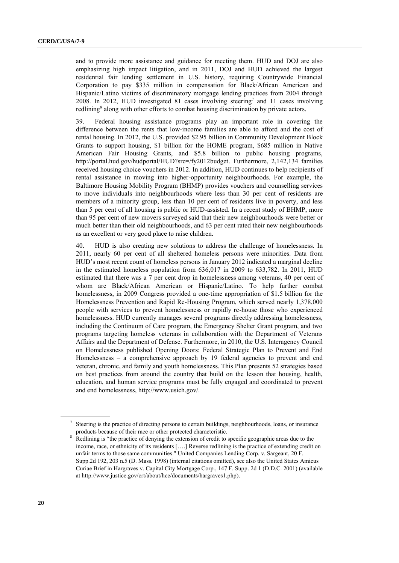and to provide more assistance and guidance for meeting them. HUD and DOJ are also emphasizing high impact litigation, and in 2011, DOJ and HUD achieved the largest residential fair lending settlement in U.S. history, requiring Countrywide Financial Corporation to pay \$335 million in compensation for Black/African American and Hispanic/Latino victims of discriminatory mortgage lending practices from 2004 through 2008. In 2012, HUD investigated 81 cases involving steering<sup>7</sup> and 11 cases involving redlining<sup>8</sup> along with other efforts to combat housing discrimination by private actors.

39. Federal housing assistance programs play an important role in covering the difference between the rents that low-income families are able to afford and the cost of rental housing. In 2012, the U.S. provided \$2.95 billion in Community Development Block Grants to support housing, \$1 billion for the HOME program, \$685 million in Native American Fair Housing Grants, and \$5.8 billion to public housing programs, [http://portal.hud.gov/hudportal/HUD?src=/fy2012budget.](http://portal.hud.gov/hudportal/HUD?src=/fy2012budget) Furthermore, 2,142,134 families received housing choice vouchers in 2012. In addition, HUD continues to help recipients of rental assistance in moving into higher-opportunity neighbourhoods. For example, the Baltimore Housing Mobility Program (BHMP) provides vouchers and counselling services to move individuals into neighbourhoods where less than 30 per cent of residents are members of a minority group, less than 10 per cent of residents live in poverty, and less than 5 per cent of all housing is public or HUD-assisted. In a recent study of BHMP, more than 95 per cent of new movers surveyed said that their new neighbourhoods were better or much better than their old neighbourhoods, and 63 per cent rated their new neighbourhoods as an excellent or very good place to raise children.

40. HUD is also creating new solutions to address the challenge of homelessness. In 2011, nearly 60 per cent of all sheltered homeless persons were minorities. Data from HUD's most recent count of homeless persons in January 2012 indicated a marginal decline in the estimated homeless population from 636,017 in 2009 to 633,782. In 2011, HUD estimated that there was a 7 per cent drop in homelessness among veterans, 40 per cent of whom are Black/African American or Hispanic/Latino. To help further combat homelessness, in 2009 Congress provided a one-time appropriation of \$1.5 billion for the Homelessness Prevention and Rapid Re-Housing Program, which served nearly 1,378,000 people with services to prevent homelessness or rapidly re-house those who experienced homelessness. HUD currently manages several programs directly addressing homelessness, including the Continuum of Care program, the Emergency Shelter Grant program, and two programs targeting homeless veterans in collaboration with the Department of Veterans Affairs and the Department of Defense. Furthermore, in 2010, the U.S. Interagency Council on Homelessness published Opening Doors: Federal Strategic Plan to Prevent and End Homelessness – a comprehensive approach by 19 federal agencies to prevent and end veteran, chronic, and family and youth homelessness. This Plan presents 52 strategies based on best practices from around the country that build on the lesson that housing, health, education, and human service programs must be fully engaged and coordinated to prevent and end homelessness, [http://www.usich.gov/.](http://www.usich.gov/about_us/)

<sup>&</sup>lt;sup>7</sup> Steering is the practice of directing persons to certain buildings, neighbourhoods, loans, or insurance products because of their race or other protected characteristic.

Redlining is "the practice of denying the extension of credit to specific geographic areas due to the income, race, or ethnicity of its residents [….] Reverse redlining is the practice of extending credit on unfair terms to those same communities." United Companies Lending Corp. v. Sargeant, 20 F. Supp.2d 192, 203 n.5 (D. Mass. 1998) (internal citations omitted), see also the United States Amicus Curiae Brief in Hargraves v. Capital City Mortgage Corp., 147 F. Supp. 2d 1 (D.D.C. 2001) (available at [http://www.justice.gov/crt/about/hce/documents/hargraves1.php\)](http://www.justice.gov/crt/about/hce/documents/hargraves1.php).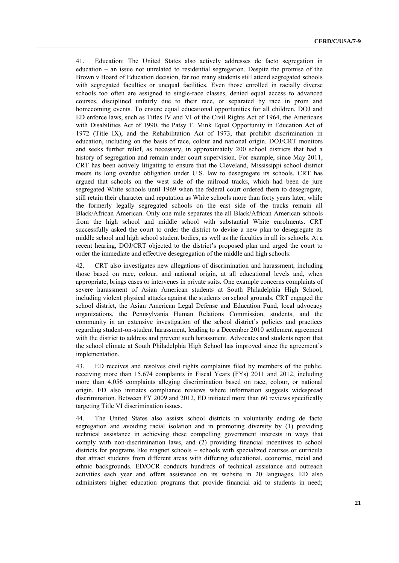41. Education: The United States also actively addresses de facto segregation in education – an issue not unrelated to residential segregation. Despite the promise of the Brown v Board of Education decision, far too many students still attend segregated schools with segregated faculties or unequal facilities. Even those enrolled in racially diverse schools too often are assigned to single-race classes, denied equal access to advanced courses, disciplined unfairly due to their race, or separated by race in prom and homecoming events. To ensure equal educational opportunities for all children, DOJ and ED enforce laws, such as Titles IV and VI of the Civil Rights Act of 1964, the Americans with Disabilities Act of 1990, the Patsy T. Mink Equal Opportunity in Education Act of 1972 (Title IX), and the Rehabilitation Act of 1973, that prohibit discrimination in education, including on the basis of race, colour and national origin. DOJ/CRT monitors and seeks further relief, as necessary, in approximately 200 school districts that had a history of segregation and remain under court supervision. For example, since May 2011, CRT has been actively litigating to ensure that the Cleveland, Mississippi school district meets its long overdue obligation under U.S. law to desegregate its schools. CRT has argued that schools on the west side of the railroad tracks, which had been de jure segregated White schools until 1969 when the federal court ordered them to desegregate, still retain their character and reputation as White schools more than forty years later, while the formerly legally segregated schools on the east side of the tracks remain all Black/African American. Only one mile separates the all Black/African American schools from the high school and middle school with substantial White enrolments. CRT successfully asked the court to order the district to devise a new plan to desegregate its middle school and high school student bodies, as well as the faculties in all its schools. At a recent hearing, DOJ/CRT objected to the district's proposed plan and urged the court to order the immediate and effective desegregation of the middle and high schools.

42. CRT also investigates new allegations of discrimination and harassment, including those based on race, colour, and national origin, at all educational levels and, when appropriate, brings cases or intervenes in private suits. One example concerns complaints of severe harassment of Asian American students at South Philadelphia High School, including violent physical attacks against the students on school grounds. CRT engaged the school district, the Asian American Legal Defense and Education Fund, local advocacy organizations, the Pennsylvania Human Relations Commission, students, and the community in an extensive investigation of the school district's policies and practices regarding student-on-student harassment, leading to a December 2010 settlement agreement with the district to address and prevent such harassment. Advocates and students report that the school climate at South Philadelphia High School has improved since the agreement's implementation.

43. ED receives and resolves civil rights complaints filed by members of the public, receiving more than 15,674 complaints in Fiscal Years (FYs) 2011 and 2012, including more than 4,056 complaints alleging discrimination based on race, colour, or national origin. ED also initiates compliance reviews where information suggests widespread discrimination. Between FY 2009 and 2012, ED initiated more than 60 reviews specifically targeting Title VI discrimination issues.

44. The United States also assists school districts in voluntarily ending de facto segregation and avoiding racial isolation and in promoting diversity by (1) providing technical assistance in achieving these compelling government interests in ways that comply with non-discrimination laws, and (2) providing financial incentives to school districts for programs like magnet schools – schools with specialized courses or curricula that attract students from different areas with differing educational, economic, racial and ethnic backgrounds. ED/OCR conducts hundreds of technical assistance and outreach activities each year and offers assistance on its website in 20 languages. ED also administers higher education programs that provide financial aid to students in need;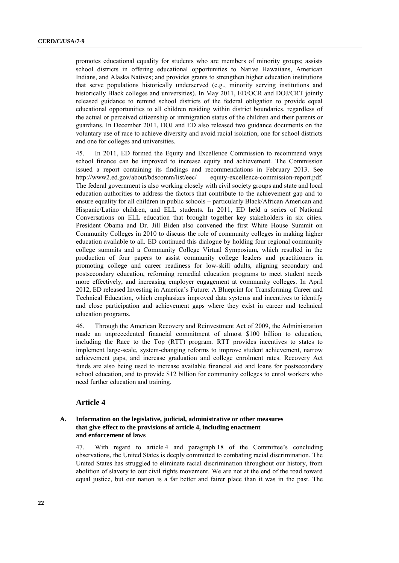promotes educational equality for students who are members of minority groups; assists school districts in offering educational opportunities to Native Hawaiians, American Indians, and Alaska Natives; and provides grants to strengthen higher education institutions that serve populations historically underserved (e.g., minority serving institutions and historically Black colleges and universities). In May 2011, ED/OCR and DOJ/CRT jointly released guidance to remind school districts of the federal obligation to provide equal educational opportunities to all children residing within district boundaries, regardless of the actual or perceived citizenship or immigration status of the children and their parents or guardians. In December 2011, DOJ and ED also released two guidance documents on the voluntary use of race to achieve diversity and avoid racial isolation, one for school districts and one for colleges and universities.

45. In 2011, ED formed the Equity and Excellence Commission to recommend ways school finance can be improved to increase equity and achievement. The Commission issued a report containing its findings and recommendations in February 2013. See http://www2.ed.gov/about/bdscomm/list/eec/ equity-excellence-commission-report.pdf. http://www2.ed.gov/about/bdscomm/list/eec/ The federal government is also working closely with civil society groups and state and local education authorities to address the factors that contribute to the achievement gap and to ensure equality for all children in public schools – particularly Black/African American and Hispanic/Latino children, and ELL students. In 2011, ED held a series of National Conversations on ELL education that brought together key stakeholders in six cities. President Obama and Dr. Jill Biden also convened the first White House Summit on Community Colleges in 2010 to discuss the role of community colleges in making higher education available to all. ED continued this dialogue by holding four regional community college summits and a Community College Virtual Symposium, which resulted in the production of four papers to assist community college leaders and practitioners in promoting college and career readiness for low-skill adults, aligning secondary and postsecondary education, reforming remedial education programs to meet student needs more effectively, and increasing employer engagement at community colleges. In April 2012, ED released Investing in America's Future: A Blueprint for Transforming Career and Technical Education, which emphasizes improved data systems and incentives to identify and close participation and achievement gaps where they exist in career and technical education programs.

46. Through the American Recovery and Reinvestment Act of 2009, the Administration made an unprecedented financial commitment of almost \$100 billion to education, including the Race to the Top (RTT) program. RTT provides incentives to states to implement large-scale, system-changing reforms to improve student achievement, narrow achievement gaps, and increase graduation and college enrolment rates. Recovery Act funds are also being used to increase available financial aid and loans for postsecondary school education, and to provide \$12 billion for community colleges to enrol workers who need further education and training.

## **Article 4**

#### **A. Information on the legislative, judicial, administrative or other measures that give effect to the provisions of article 4, including enactment and enforcement of laws**

47. With regard to article 4 and paragraph 18 of the Committee's concluding observations, the United States is deeply committed to combating racial discrimination. The United States has struggled to eliminate racial discrimination throughout our history, from abolition of slavery to our civil rights movement. We are not at the end of the road toward equal justice, but our nation is a far better and fairer place than it was in the past. The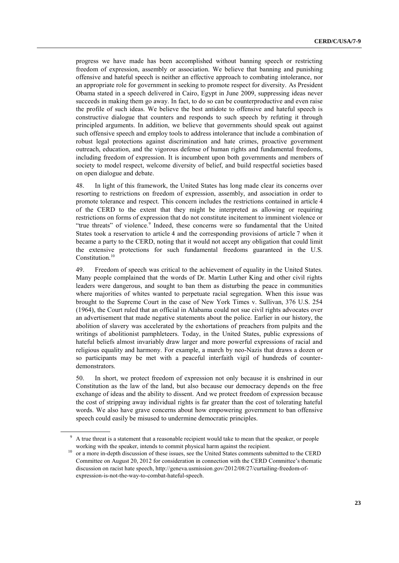progress we have made has been accomplished without banning speech or restricting freedom of expression, assembly or association. We believe that banning and punishing offensive and hateful speech is neither an effective approach to combating intolerance, nor an appropriate role for government in seeking to promote respect for diversity. As President Obama stated in a speech delivered in Cairo, Egypt in June 2009, suppressing ideas never succeeds in making them go away. In fact, to do so can be counterproductive and even raise the profile of such ideas. We believe the best antidote to offensive and hateful speech is constructive dialogue that counters and responds to such speech by refuting it through principled arguments. In addition, we believe that governments should speak out against such offensive speech and employ tools to address intolerance that include a combination of robust legal protections against discrimination and hate crimes, proactive government outreach, education, and the vigorous defense of human rights and fundamental freedoms, including freedom of expression. It is incumbent upon both governments and members of society to model respect, welcome diversity of belief, and build respectful societies based on open dialogue and debate.

48. In light of this framework, the United States has long made clear its concerns over resorting to restrictions on freedom of expression, assembly, and association in order to promote tolerance and respect. This concern includes the restrictions contained in article 4 of the CERD to the extent that they might be interpreted as allowing or requiring restrictions on forms of expression that do not constitute incitement to imminent violence or "true threats" of violence.<sup>9</sup> Indeed, these concerns were so fundamental that the United States took a reservation to article 4 and the corresponding provisions of article 7 when it became a party to the CERD, noting that it would not accept any obligation that could limit the extensive protections for such fundamental freedoms guaranteed in the U.S. Constitution.<sup>10</sup>

49. Freedom of speech was critical to the achievement of equality in the United States. Many people complained that the words of Dr. Martin Luther King and other civil rights leaders were dangerous, and sought to ban them as disturbing the peace in communities where majorities of whites wanted to perpetuate racial segregation. When this issue was brought to the Supreme Court in the case of New York Times v. Sullivan, 376 U.S. 254 (1964), the Court ruled that an official in Alabama could not sue civil rights advocates over an advertisement that made negative statements about the police. Earlier in our history, the abolition of slavery was accelerated by the exhortations of preachers from pulpits and the writings of abolitionist pamphleteers. Today, in the United States, public expressions of hateful beliefs almost invariably draw larger and more powerful expressions of racial and religious equality and harmony. For example, a march by neo-Nazis that draws a dozen or so participants may be met with a peaceful interfaith vigil of hundreds of counterdemonstrators.

50. In short, we protect freedom of expression not only because it is enshrined in our Constitution as the law of the land, but also because our democracy depends on the free exchange of ideas and the ability to dissent. And we protect freedom of expression because the cost of stripping away individual rights is far greater than the cost of tolerating hateful words. We also have grave concerns about how empowering government to ban offensive speech could easily be misused to undermine democratic principles.

<sup>9</sup> A true threat is a statement that a reasonable recipient would take to mean that the speaker, or people working with the speaker, intends to commit physical harm against the recipient.

<sup>&</sup>lt;sup>10</sup> or a more in-depth discussion of these issues, see the United States comments submitted to the CERD Committee on August 20, 2012 for consideration in connection with the CERD Committee's thematic discussion on racist hate speech[, http://geneva.usmission.gov/2012/08/27/curtailing-freedom-of](http://geneva.usmission.gov/2012/08/27/curtailing-freedom-of-expression-is-not-the-way-to-combat-hateful-speech/)[expression-is-not-the-way-to-combat-hateful-speech.](http://geneva.usmission.gov/2012/08/27/curtailing-freedom-of-expression-is-not-the-way-to-combat-hateful-speech/)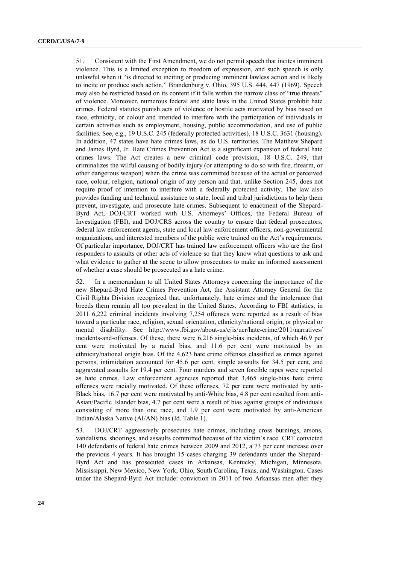51. Consistent with the First Amendment, we do not permit speech that incites imminent violence. This is a limited exception to freedom of expression, and such speech is only unlawful when it "is directed to inciting or producing imminent lawless action and is likely to incite or produce such action." Brandenburg v. Ohio, 395 U.S. 444, 447 (1969). Speech may also be restricted based on its content if it falls within the narrow class of "true threats" of violence. Moreover, numerous federal and state laws in the United States prohibit hate crimes. Federal statutes punish acts of violence or hostile acts motivated by bias based on race, ethnicity, or colour and intended to interfere with the participation of individuals in certain activities such as employment, housing, public accommodation, and use of public facilities. See, e.g., 19 U.S.C. 245 (federally protected activities), 18 U.S.C. 3631 (housing). In addition, 47 states have hate crimes laws, as do U.S. territories. The Matthew Shepard and James Byrd, Jr. Hate Crimes Prevention Act is a significant expansion of federal hate crimes laws. The Act creates a new criminal code provision, 18 U.S.C. 249, that criminalizes the wilful causing of bodily injury (or attempting to do so with fire, firearm, or other dangerous weapon) when the crime was committed because of the actual or perceived race, colour, religion, national origin of any person and that, unlike Section 245, does not require proof of intention to interfere with a federally protected activity. The law also provides funding and technical assistance to state, local and tribal jurisdictions to help them prevent, investigate, and prosecute hate crimes. Subsequent to enactment of the Shepard-Byrd Act, DOJ/CRT worked with U.S. Attorneys' Offices, the Federal Bureau of Investigation (FBI), and DOJ/CRS across the country to ensure that federal prosecutors, federal law enforcement agents, state and local law enforcement officers, non-governmental organizations, and interested members of the public were trained on the Act's requirements. Of particular importance, DOJ/CRT has trained law enforcement officers who are the first responders to assaults or other acts of violence so that they know what questions to ask and what evidence to gather at the scene to allow prosecutors to make an informed assessment of whether a case should be prosecuted as a hate crime.

52. In a memorandum to all United States Attorneys concerning the importance of the new Shepard-Byrd Hate Crimes Prevention Act, the Assistant Attorney General for the Civil Rights Division recognized that, unfortunately, hate crimes and the intolerance that breeds them remain all too prevalent in the United States. According to FBI statistics, in 2011 6,222 criminal incidents involving 7,254 offenses were reported as a result of bias toward a particular race, religion, sexual orientation, ethnicity/national origin, or physical or mental disability. See [http://www.fbi.gov/about-us/cjis/ucr/hate-crime/2011/narratives/](http://www.fbi.gov/about-us/cjis/ucr/hate-crime/2011/narratives/%20incidents-and-offenses)  [incidents-and-offenses.](http://www.fbi.gov/about-us/cjis/ucr/hate-crime/2011/narratives/%20incidents-and-offenses) Of these, there were 6,216 single-bias incidents, of which 46.9 per cent were motivated by a racial bias, and 11.6 per cent were motivated by an ethnicity/national origin bias. Of the 4,623 hate crime offenses classified as crimes against persons, intimidation accounted for 45.6 per cent, simple assaults for 34.5 per cent, and aggravated assaults for 19.4 per cent. Four murders and seven forcible rapes were reported as hate crimes. Law enforcement agencies reported that 3,465 single-bias hate crime offenses were racially motivated. Of these offenses, 72 per cent were motivated by anti-Black bias, 16.7 per cent were motivated by anti-White bias, 4.8 per cent resulted from anti-Asian/Pacific Islander bias, 4.7 per cent were a result of bias against groups of individuals consisting of more than one race, and 1.9 per cent were motivated by anti-American Indian/Alaska Native (AI/AN) bias (Id. Table 1).

53. DOJ/CRT aggressively prosecutes hate crimes, including cross burnings, arsons, vandalisms, shootings, and assaults committed because of the victim's race. CRT convicted 140 defendants of federal hate crimes between 2009 and 2012, a 73 per cent increase over the previous 4 years. It has brought 15 cases charging 39 defendants under the Shepard-Byrd Act and has prosecuted cases in Arkansas, Kentucky, Michigan, Minnesota, Mississippi, New Mexico, New York, Ohio, South Carolina, Texas, and Washington. Cases under the Shepard-Byrd Act include: conviction in 2011 of two Arkansas men after they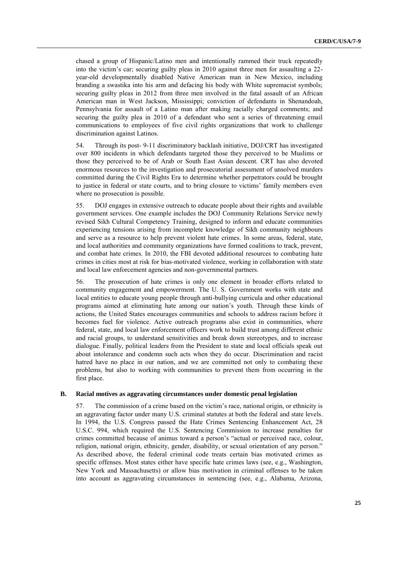chased a group of Hispanic/Latino men and intentionally rammed their truck repeatedly into the victim's car; securing guilty pleas in 2010 against three men for assaulting a 22 year-old developmentally disabled Native American man in New Mexico, including branding a swastika into his arm and defacing his body with White supremacist symbols; securing guilty pleas in 2012 from three men involved in the fatal assault of an African American man in West Jackson, Mississippi; conviction of defendants in Shenandoah, Pennsylvania for assault of a Latino man after making racially charged comments; and securing the guilty plea in 2010 of a defendant who sent a series of threatening email communications to employees of five civil rights organizations that work to challenge discrimination against Latinos.

54. Through its post- 9-11 discriminatory backlash initiative, DOJ/CRT has investigated over 800 incidents in which defendants targeted those they perceived to be Muslims or those they perceived to be of Arab or South East Asian descent. CRT has also devoted enormous resources to the investigation and prosecutorial assessment of unsolved murders committed during the Civil Rights Era to determine whether perpetrators could be brought to justice in federal or state courts, and to bring closure to victims' family members even where no prosecution is possible.

55. DOJ engages in extensive outreach to educate people about their rights and available government services. One example includes the DOJ Community Relations Service newly revised Sikh Cultural Competency Training, designed to inform and educate communities experiencing tensions arising from incomplete knowledge of Sikh community neighbours and serve as a resource to help prevent violent hate crimes. In some areas, federal, state, and local authorities and community organizations have formed coalitions to track, prevent, and combat hate crimes. In 2010, the FBI devoted additional resources to combating hate crimes in cities most at risk for bias-motivated violence, working in collaboration with state and local law enforcement agencies and non-governmental partners.

56. The prosecution of hate crimes is only one element in broader efforts related to community engagement and empowerment. The U. S. Government works with state and local entities to educate young people through anti-bullying curricula and other educational programs aimed at eliminating hate among our nation's youth. Through these kinds of actions, the United States encourages communities and schools to address racism before it becomes fuel for violence. Active outreach programs also exist in communities, where federal, state, and local law enforcement officers work to build trust among different ethnic and racial groups, to understand sensitivities and break down stereotypes, and to increase dialogue. Finally, political leaders from the President to state and local officials speak out about intolerance and condemn such acts when they do occur. Discrimination and racist hatred have no place in our nation, and we are committed not only to combating these problems, but also to working with communities to prevent them from occurring in the first place.

#### **B. Racial motives as aggravating circumstances under domestic penal legislation**

57. The commission of a crime based on the victim's race, national origin, or ethnicity is an aggravating factor under many U.S. criminal statutes at both the federal and state levels. In 1994, the U.S. Congress passed the Hate Crimes Sentencing Enhancement Act, 28 U.S.C. 994, which required the U.S. Sentencing Commission to increase penalties for crimes committed because of animus toward a person's "actual or perceived race, colour, religion, national origin, ethnicity, gender, disability, or sexual orientation of any person." As described above, the federal criminal code treats certain bias motivated crimes as specific offenses. Most states either have specific hate crimes laws (see, e.g., Washington, New York and Massachusetts) or allow bias motivation in criminal offenses to be taken into account as aggravating circumstances in sentencing (see, e.g., Alabama, Arizona,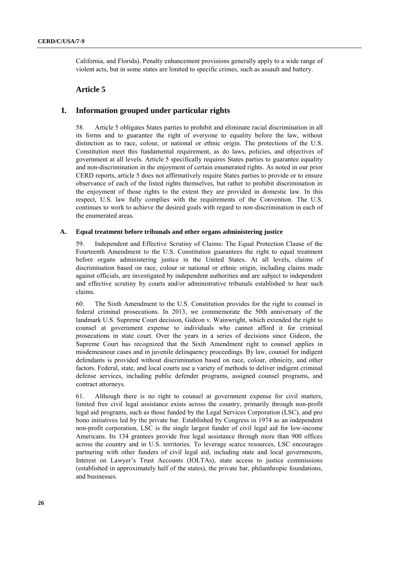California, and Florida). Penalty enhancement provisions generally apply to a wide range of violent acts, but in some states are limited to specific crimes, such as assault and battery.

# **Article 5**

# **I. Information grouped under particular rights**

58. Article 5 obligates States parties to prohibit and eliminate racial discrimination in all its forms and to guarantee the right of everyone to equality before the law, without distinction as to race, colour, or national or ethnic origin. The protections of the U.S. Constitution meet this fundamental requirement, as do laws, policies, and objectives of government at all levels. Article 5 specifically requires States parties to guarantee equality and non-discrimination in the enjoyment of certain enumerated rights. As noted in our prior CERD reports, article 5 does not affirmatively require States parties to provide or to ensure observance of each of the listed rights themselves, but rather to prohibit discrimination in the enjoyment of those rights to the extent they are provided in domestic law. In this respect, U.S. law fully complies with the requirements of the Convention. The U.S. continues to work to achieve the desired goals with regard to non-discrimination in each of the enumerated areas.

#### **A. Equal treatment before tribunals and other organs administering justice**

59. Independent and Effective Scrutiny of Claims: The Equal Protection Clause of the Fourteenth Amendment to the U.S. Constitution guarantees the right to equal treatment before organs administering justice in the United States. At all levels, claims of discrimination based on race, colour or national or ethnic origin, including claims made against officials, are investigated by independent authorities and are subject to independent and effective scrutiny by courts and/or administrative tribunals established to hear such claims.

60. The Sixth Amendment to the U.S. Constitution provides for the right to counsel in federal criminal prosecutions. In 2013, we commemorate the 50th anniversary of the landmark U.S. Supreme Court decision, Gideon v. Wainwright, which extended the right to counsel at government expense to individuals who cannot afford it for criminal prosecutions in state court. Over the years in a series of decisions since Gideon, the Supreme Court has recognized that the Sixth Amendment right to counsel applies in misdemeanour cases and in juvenile delinquency proceedings. By law, counsel for indigent defendants is provided without discrimination based on race, colour, ethnicity, and other factors. Federal, state, and local courts use a variety of methods to deliver indigent criminal defense services, including public defender programs, assigned counsel programs, and contract attorneys.

61. Although there is no right to counsel at government expense for civil matters, limited free civil legal assistance exists across the country, primarily through non-profit legal aid programs, such as those funded by the Legal Services Corporation (LSC), and pro bono initiatives led by the private bar. Established by Congress in 1974 as an independent non-profit corporation, LSC is the single largest funder of civil legal aid for low-income Americans. Its 134 grantees provide free legal assistance through more than 900 offices across the country and in U.S. territories. To leverage scarce resources, LSC encourages partnering with other funders of civil legal aid, including state and local governments, Interest on Lawyer's Trust Accounts (IOLTAs), state access to justice commissions (established in approximately half of the states), the private bar, philanthropic foundations, and businesses.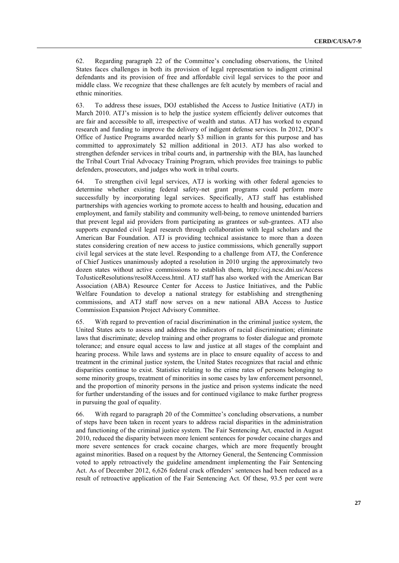62. Regarding paragraph 22 of the Committee's concluding observations, the United States faces challenges in both its provision of legal representation to indigent criminal defendants and its provision of free and affordable civil legal services to the poor and middle class. We recognize that these challenges are felt acutely by members of racial and ethnic minorities.

63. To address these issues, DOJ established the Access to Justice Initiative (ATJ) in March 2010. ATJ's mission is to help the justice system efficiently deliver outcomes that are fair and accessible to all, irrespective of wealth and status. ATJ has worked to expand research and funding to improve the delivery of indigent defense services. In 2012, DOJ's Office of Justice Programs awarded nearly \$3 million in grants for this purpose and has committed to approximately \$2 million additional in 2013. ATJ has also worked to strengthen defender services in tribal courts and, in partnership with the BIA, has launched the Tribal Court Trial Advocacy Training Program, which provides free trainings to public defenders, prosecutors, and judges who work in tribal courts.

64. To strengthen civil legal services, ATJ is working with other federal agencies to determine whether existing federal safety-net grant programs could perform more successfully by incorporating legal services. Specifically, ATJ staff has established partnerships with agencies working to promote access to health and housing, education and employment, and family stability and community well-being, to remove unintended barriers that prevent legal aid providers from participating as grantees or sub-grantees. ATJ also supports expanded civil legal research through collaboration with legal scholars and the American Bar Foundation. ATJ is providing technical assistance to more than a dozen states considering creation of new access to justice commissions, which generally support civil legal services at the state level. Responding to a challenge from ATJ, the Conference of Chief Justices unanimously adopted a resolution in 2010 urging the approximately two dozen states without active commissions to establish them, [http://ccj.ncsc.dni.us/Access](http://ccj.ncsc.dni.us/Access%20ToJusticeResolutions/resol8Access.html)  [ToJusticeResolutions/resol8Access.html.](http://ccj.ncsc.dni.us/Access%20ToJusticeResolutions/resol8Access.html) ATJ staff has also worked with the American Bar Association (ABA) Resource Center for Access to Justice Initiatives, and the Public Welfare Foundation to develop a national strategy for establishing and strengthening commissions, and ATJ staff now serves on a new national ABA Access to Justice Commission Expansion Project Advisory Committee.

65. With regard to prevention of racial discrimination in the criminal justice system, the United States acts to assess and address the indicators of racial discrimination; eliminate laws that discriminate; develop training and other programs to foster dialogue and promote tolerance; and ensure equal access to law and justice at all stages of the complaint and hearing process. While laws and systems are in place to ensure equality of access to and treatment in the criminal justice system, the United States recognizes that racial and ethnic disparities continue to exist. Statistics relating to the crime rates of persons belonging to some minority groups, treatment of minorities in some cases by law enforcement personnel, and the proportion of minority persons in the justice and prison systems indicate the need for further understanding of the issues and for continued vigilance to make further progress in pursuing the goal of equality.

66. With regard to paragraph 20 of the Committee's concluding observations, a number of steps have been taken in recent years to address racial disparities in the administration and functioning of the criminal justice system. The Fair Sentencing Act, enacted in August 2010, reduced the disparity between more lenient sentences for powder cocaine charges and more severe sentences for crack cocaine charges, which are more frequently brought against minorities. Based on a request by the Attorney General, the Sentencing Commission voted to apply retroactively the guideline amendment implementing the Fair Sentencing Act. As of December 2012, 6,626 federal crack offenders' sentences had been reduced as a result of retroactive application of the Fair Sentencing Act. Of these, 93.5 per cent were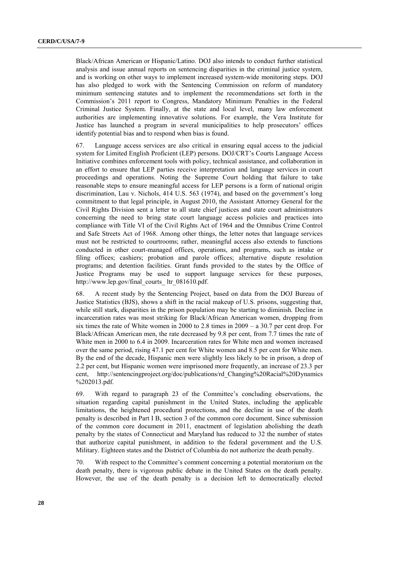Black/African American or Hispanic/Latino. DOJ also intends to conduct further statistical analysis and issue annual reports on sentencing disparities in the criminal justice system, and is working on other ways to implement increased system-wide monitoring steps. DOJ has also pledged to work with the Sentencing Commission on reform of mandatory minimum sentencing statutes and to implement the recommendations set forth in the Commission's 2011 report to Congress, Mandatory Minimum Penalties in the Federal Criminal Justice System. Finally, at the state and local level, many law enforcement authorities are implementing innovative solutions. For example, the Vera Institute for Justice has launched a program in several municipalities to help prosecutors' offices identify potential bias and to respond when bias is found.

67. Language access services are also critical in ensuring equal access to the judicial system for Limited English Proficient (LEP) persons. DOJ/CRT's Courts Language Access Initiative combines enforcement tools with policy, technical assistance, and collaboration in an effort to ensure that LEP parties receive interpretation and language services in court proceedings and operations. Noting the Supreme Court holding that failure to take reasonable steps to ensure meaningful access for LEP persons is a form of national origin discrimination, Lau v. Nichols, 414 U.S. 563 (1974), and based on the government's long commitment to that legal principle, in August 2010, the Assistant Attorney General for the Civil Rights Division sent a letter to all state chief justices and state court administrators concerning the need to bring state court language access policies and practices into compliance with Title VI of the Civil Rights Act of 1964 and the Omnibus Crime Control and Safe Streets Act of 1968. Among other things, the letter notes that language services must not be restricted to courtrooms; rather, meaningful access also extends to functions conducted in other court-managed offices, operations, and programs, such as intake or filing offices; cashiers; probation and parole offices; alternative dispute resolution programs; and detention facilities. Grant funds provided to the states by the Office of Justice Programs may be used to support language services for these purposes, http://www.lep.gov/final\_courts\_ltr\_081610.pdf.

68. A recent study by the Sentencing Project, based on data from the DOJ Bureau of Justice Statistics (BJS), shows a shift in the racial makeup of U.S. prisons, suggesting that, while still stark, disparities in the prison population may be starting to diminish. Decline in incarceration rates was most striking for Black/African American women, dropping from six times the rate of White women in 2000 to 2.8 times in 2009 – a 30.7 per cent drop. For Black/African American men, the rate decreased by 9.8 per cent, from 7.7 times the rate of White men in 2000 to 6.4 in 2009. Incarceration rates for White men and women increased over the same period, rising 47.1 per cent for White women and 8.5 per cent for White men. By the end of the decade, Hispanic men were slightly less likely to be in prison, a drop of 2.2 per cent, but Hispanic women were imprisoned more frequently, an increase of 23.3 per cent, [http://sentencingproject.org/doc/publications/rd\\_Changing%20Racial%20Dynamics](http://sentencingproject.org/doc/publications/rd_Changing%20Racial%20Dynamics%20%202013.pdf)  [%202013.pdf.](http://sentencingproject.org/doc/publications/rd_Changing%20Racial%20Dynamics%20%202013.pdf)

69. With regard to paragraph 23 of the Committee's concluding observations, the situation regarding capital punishment in the United States, including the applicable limitations, the heightened procedural protections, and the decline in use of the death penalty is described in Part I B, section 3 of the common core document. Since submission of the common core document in 2011, enactment of legislation abolishing the death penalty by the states of Connecticut and Maryland has reduced to 32 the number of states that authorize capital punishment, in addition to the federal government and the U.S. Military. Eighteen states and the District of Columbia do not authorize the death penalty.

70. With respect to the Committee's comment concerning a potential moratorium on the death penalty, there is vigorous public debate in the United States on the death penalty. However, the use of the death penalty is a decision left to democratically elected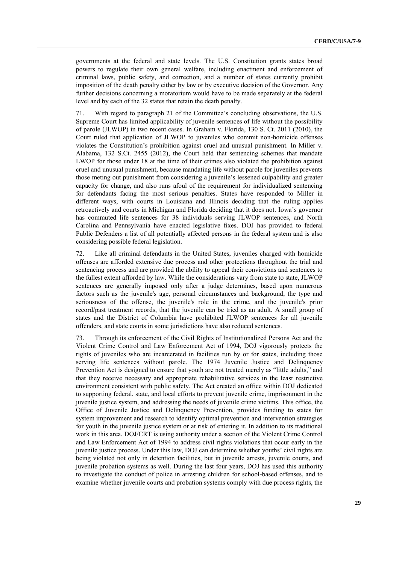governments at the federal and state levels. The U.S. Constitution grants states broad powers to regulate their own general welfare, including enactment and enforcement of criminal laws, public safety, and correction, and a number of states currently prohibit imposition of the death penalty either by law or by executive decision of the Governor. Any further decisions concerning a moratorium would have to be made separately at the federal level and by each of the 32 states that retain the death penalty.

71. With regard to paragraph 21 of the Committee's concluding observations, the U.S. Supreme Court has limited applicability of juvenile sentences of life without the possibility of parole (JLWOP) in two recent cases. In Graham v. Florida, 130 S. Ct. 2011 (2010), the Court ruled that application of JLWOP to juveniles who commit non-homicide offenses violates the Constitution's prohibition against cruel and unusual punishment. In Miller v. Alabama, 132 S.Ct. 2455 (2012), the Court held that sentencing schemes that mandate LWOP for those under 18 at the time of their crimes also violated the prohibition against cruel and unusual punishment, because mandating life without parole for juveniles prevents those meting out punishment from considering a juvenile's lessened culpability and greater capacity for change, and also runs afoul of the requirement for individualized sentencing for defendants facing the most serious penalties. States have responded to Miller in different ways, with courts in Louisiana and Illinois deciding that the ruling applies retroactively and courts in Michigan and Florida deciding that it does not. Iowa's governor has commuted life sentences for 38 individuals serving JLWOP sentences, and North Carolina and Pennsylvania have enacted legislative fixes. DOJ has provided to federal Public Defenders a list of all potentially affected persons in the federal system and is also considering possible federal legislation.

72. Like all criminal defendants in the United States, juveniles charged with homicide offenses are afforded extensive due process and other protections throughout the trial and sentencing process and are provided the ability to appeal their convictions and sentences to the fullest extent afforded by law. While the considerations vary from state to state, JLWOP sentences are generally imposed only after a judge determines, based upon numerous factors such as the juvenile's age, personal circumstances and background, the type and seriousness of the offense, the juvenile's role in the crime, and the juvenile's prior record/past treatment records, that the juvenile can be tried as an adult. A small group of states and the District of Columbia have prohibited JLWOP sentences for all juvenile offenders, and state courts in some jurisdictions have also reduced sentences.

73. Through its enforcement of the Civil Rights of Institutionalized Persons Act and the Violent Crime Control and Law Enforcement Act of 1994, DOJ vigorously protects the rights of juveniles who are incarcerated in facilities run by or for states, including those serving life sentences without parole. The 1974 Juvenile Justice and Delinquency Prevention Act is designed to ensure that youth are not treated merely as "little adults," and that they receive necessary and appropriate rehabilitative services in the least restrictive environment consistent with public safety. The Act created an office within DOJ dedicated to supporting federal, state, and local efforts to prevent juvenile crime, imprisonment in the juvenile justice system, and addressing the needs of juvenile crime victims. This office, the Office of Juvenile Justice and Delinquency Prevention, provides funding to states for system improvement and research to identify optimal prevention and intervention strategies for youth in the juvenile justice system or at risk of entering it. In addition to its traditional work in this area, DOJ/CRT is using authority under a section of the Violent Crime Control and Law Enforcement Act of 1994 to address civil rights violations that occur early in the juvenile justice process. Under this law, DOJ can determine whether youths' civil rights are being violated not only in detention facilities, but in juvenile arrests, juvenile courts, and juvenile probation systems as well. During the last four years, DOJ has used this authority to investigate the conduct of police in arresting children for school-based offenses, and to examine whether juvenile courts and probation systems comply with due process rights, the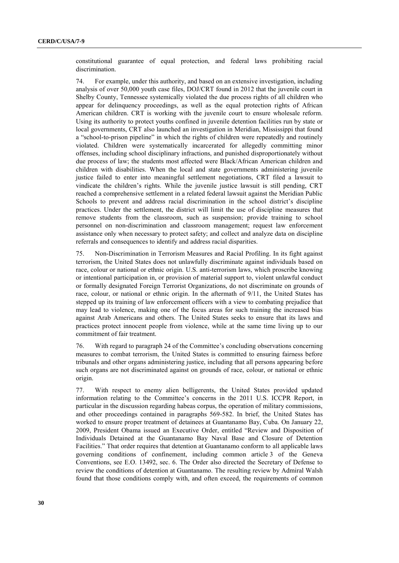constitutional guarantee of equal protection, and federal laws prohibiting racial discrimination.

74. For example, under this authority, and based on an extensive investigation, including analysis of over 50,000 youth case files, DOJ/CRT found in 2012 that the juvenile court in Shelby County, Tennessee systemically violated the due process rights of all children who appear for delinquency proceedings, as well as the equal protection rights of African American children. CRT is working with the juvenile court to ensure wholesale reform. Using its authority to protect youths confined in juvenile detention facilities run by state or local governments, CRT also launched an investigation in Meridian, Mississippi that found a "school-to-prison pipeline" in which the rights of children were repeatedly and routinely violated. Children were systematically incarcerated for allegedly committing minor offenses, including school disciplinary infractions, and punished disproportionately without due process of law; the students most affected were Black/African American children and children with disabilities. When the local and state governments administering juvenile justice failed to enter into meaningful settlement negotiations, CRT filed a lawsuit to vindicate the children's rights. While the juvenile justice lawsuit is still pending, CRT reached a comprehensive settlement in a related federal lawsuit against the Meridian Public Schools to prevent and address racial discrimination in the school district's discipline practices. Under the settlement, the district will limit the use of discipline measures that remove students from the classroom, such as suspension; provide training to school personnel on non-discrimination and classroom management; request law enforcement assistance only when necessary to protect safety; and collect and analyze data on discipline referrals and consequences to identify and address racial disparities.

75. Non-Discrimination in Terrorism Measures and Racial Profiling. In its fight against terrorism, the United States does not unlawfully discriminate against individuals based on race, colour or national or ethnic origin. U.S. anti-terrorism laws, which proscribe knowing or intentional participation in, or provision of material support to, violent unlawful conduct or formally designated Foreign Terrorist Organizations, do not discriminate on grounds of race, colour, or national or ethnic origin. In the aftermath of 9/11, the United States has stepped up its training of law enforcement officers with a view to combating prejudice that may lead to violence, making one of the focus areas for such training the increased bias against Arab Americans and others. The United States seeks to ensure that its laws and practices protect innocent people from violence, while at the same time living up to our commitment of fair treatment.

76. With regard to paragraph 24 of the Committee's concluding observations concerning measures to combat terrorism, the United States is committed to ensuring fairness before tribunals and other organs administering justice, including that all persons appearing before such organs are not discriminated against on grounds of race, colour, or national or ethnic origin.

77. With respect to enemy alien belligerents, the United States provided updated information relating to the Committee's concerns in the 2011 U.S. ICCPR Report, in particular in the discussion regarding habeas corpus, the operation of military commissions, and other proceedings contained in paragraphs 569-582. In brief, the United States has worked to ensure proper treatment of detainees at Guantanamo Bay, Cuba. On January 22, 2009, President Obama issued an Executive Order, entitled "Review and Disposition of Individuals Detained at the Guantanamo Bay Naval Base and Closure of Detention Facilities." That order requires that detention at Guantanamo conform to all applicable laws governing conditions of confinement, including common article 3 of the Geneva Conventions, see E.O. 13492, sec. 6. The Order also directed the Secretary of Defense to review the conditions of detention at Guantanamo. The resulting review by Admiral Walsh found that those conditions comply with, and often exceed, the requirements of common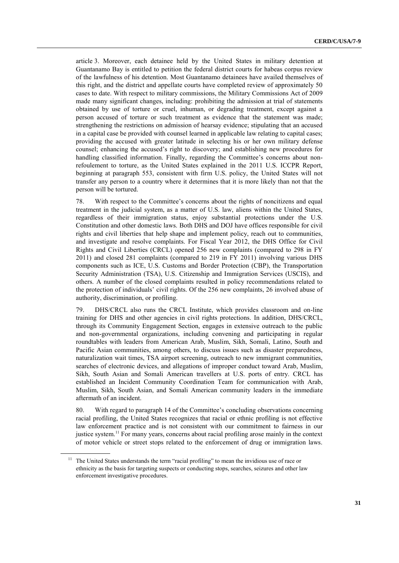article 3. Moreover, each detainee held by the United States in military detention at Guantanamo Bay is entitled to petition the federal district courts for habeas corpus review of the lawfulness of his detention. Most Guantanamo detainees have availed themselves of this right, and the district and appellate courts have completed review of approximately 50 cases to date. With respect to military commissions, the Military Commissions Act of 2009 made many significant changes, including: prohibiting the admission at trial of statements obtained by use of torture or cruel, inhuman, or degrading treatment, except against a person accused of torture or such treatment as evidence that the statement was made; strengthening the restrictions on admission of hearsay evidence; stipulating that an accused in a capital case be provided with counsel learned in applicable law relating to capital cases; providing the accused with greater latitude in selecting his or her own military defense counsel; enhancing the accused's right to discovery; and establishing new procedures for handling classified information. Finally, regarding the Committee's concerns about nonrefoulement to torture, as the United States explained in the 2011 U.S. ICCPR Report, beginning at paragraph 553, consistent with firm U.S. policy, the United States will not transfer any person to a country where it determines that it is more likely than not that the person will be tortured.

78. With respect to the Committee's concerns about the rights of noncitizens and equal treatment in the judicial system, as a matter of U.S. law, aliens within the United States, regardless of their immigration status, enjoy substantial protections under the U.S. Constitution and other domestic laws. Both DHS and DOJ have offices responsible for civil rights and civil liberties that help shape and implement policy, reach out to communities, and investigate and resolve complaints. For Fiscal Year 2012, the DHS Office for Civil Rights and Civil Liberties (CRCL) opened 256 new complaints (compared to 298 in FY 2011) and closed 281 complaints (compared to 219 in FY 2011) involving various DHS components such as ICE, U.S. Customs and Border Protection (CBP), the Transportation Security Administration (TSA), U.S. Citizenship and Immigration Services (USCIS), and others. A number of the closed complaints resulted in policy recommendations related to the protection of individuals' civil rights. Of the 256 new complaints, 26 involved abuse of authority, discrimination, or profiling.

79. DHS/CRCL also runs the CRCL Institute, which provides classroom and on-line training for DHS and other agencies in civil rights protections. In addition, DHS/CRCL, through its Community Engagement Section, engages in extensive outreach to the public and non-governmental organizations, including convening and participating in regular roundtables with leaders from American Arab, Muslim, Sikh, Somali, Latino, South and Pacific Asian communities, among others, to discuss issues such as disaster preparedness, naturalization wait times, TSA airport screening, outreach to new immigrant communities, searches of electronic devices, and allegations of improper conduct toward Arab, Muslim, Sikh, South Asian and Somali American travellers at U.S. ports of entry. CRCL has established an Incident Community Coordination Team for communication with Arab, Muslim, Sikh, South Asian, and Somali American community leaders in the immediate aftermath of an incident.

80. With regard to paragraph 14 of the Committee's concluding observations concerning racial profiling, the United States recognizes that racial or ethnic profiling is not effective law enforcement practice and is not consistent with our commitment to fairness in our justice system.<sup>11</sup> For many years, concerns about racial profiling arose mainly in the context of motor vehicle or street stops related to the enforcement of drug or immigration laws.

<sup>&</sup>lt;sup>11</sup> The United States understands the term "racial profiling" to mean the invidious use of race or ethnicity as the basis for targeting suspects or conducting stops, searches, seizures and other law enforcement investigative procedures.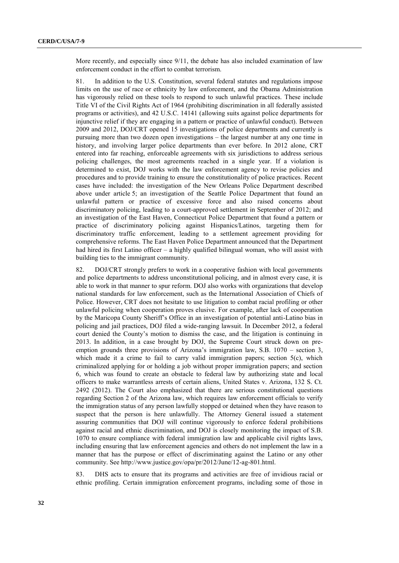More recently, and especially since  $9/11$ , the debate has also included examination of law enforcement conduct in the effort to combat terrorism.

81. In addition to the U.S. Constitution, several federal statutes and regulations impose limits on the use of race or ethnicity by law enforcement, and the Obama Administration has vigorously relied on these tools to respond to such unlawful practices. These include Title VI of the Civil Rights Act of 1964 (prohibiting discrimination in all federally assisted programs or activities), and 42 U.S.C. 14141 (allowing suits against police departments for injunctive relief if they are engaging in a pattern or practice of unlawful conduct). Between 2009 and 2012, DOJ/CRT opened 15 investigations of police departments and currently is pursuing more than two dozen open investigations – the largest number at any one time in history, and involving larger police departments than ever before. In 2012 alone, CRT entered into far reaching, enforceable agreements with six jurisdictions to address serious policing challenges, the most agreements reached in a single year. If a violation is determined to exist, DOJ works with the law enforcement agency to revise policies and procedures and to provide training to ensure the constitutionality of police practices. Recent cases have included: the investigation of the New Orleans Police Department described above under article 5; an investigation of the Seattle Police Department that found an unlawful pattern or practice of excessive force and also raised concerns about discriminatory policing, leading to a court-approved settlement in September of 2012; and an investigation of the East Haven, Connecticut Police Department that found a pattern or practice of discriminatory policing against Hispanics/Latinos, targeting them for discriminatory traffic enforcement, leading to a settlement agreement providing for comprehensive reforms. The East Haven Police Department announced that the Department had hired its first Latino officer – a highly qualified bilingual woman, who will assist with building ties to the immigrant community.

82. DOJ/CRT strongly prefers to work in a cooperative fashion with local governments and police departments to address unconstitutional policing, and in almost every case, it is able to work in that manner to spur reform. DOJ also works with organizations that develop national standards for law enforcement, such as the International Association of Chiefs of Police. However, CRT does not hesitate to use litigation to combat racial profiling or other unlawful policing when cooperation proves elusive. For example, after lack of cooperation by the Maricopa County Sheriff's Office in an investigation of potential anti-Latino bias in policing and jail practices, DOJ filed a wide-ranging lawsuit. In December 2012, a federal court denied the County's motion to dismiss the case, and the litigation is continuing in 2013. In addition, in a case brought by DOJ, the Supreme Court struck down on preemption grounds three provisions of Arizona's immigration law, S.B. 1070 – section 3, which made it a crime to fail to carry valid immigration papers; section  $5(c)$ , which criminalized applying for or holding a job without proper immigration papers; and section 6, which was found to create an obstacle to federal law by authorizing state and local officers to make warrantless arrests of certain aliens, United States v. Arizona, 132 S. Ct. 2492 (2012). The Court also emphasized that there are serious constitutional questions regarding Section 2 of the Arizona law, which requires law enforcement officials to verify the immigration status of any person lawfully stopped or detained when they have reason to suspect that the person is here unlawfully. The Attorney General issued a statement assuring communities that DOJ will continue vigorously to enforce federal prohibitions against racial and ethnic discrimination, and DOJ is closely monitoring the impact of S.B. 1070 to ensure compliance with federal immigration law and applicable civil rights laws, including ensuring that law enforcement agencies and others do not implement the law in a manner that has the purpose or effect of discriminating against the Latino or any other community. See [http://www.justice.gov/opa/pr/2012/June/12-ag-801.html.](http://www.justice.gov/opa/pr/2012/June/12-ag-801.html)

83. DHS acts to ensure that its programs and activities are free of invidious racial or ethnic profiling. Certain immigration enforcement programs, including some of those in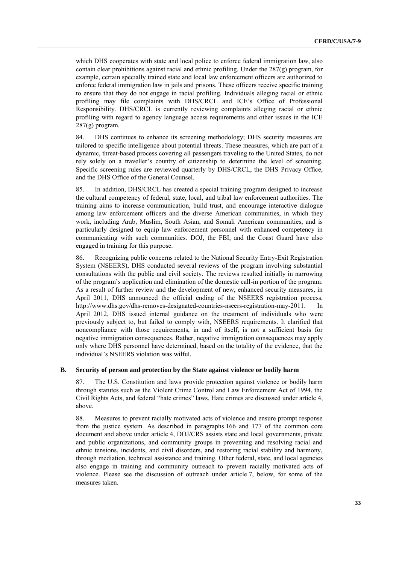which DHS cooperates with state and local police to enforce federal immigration law, also contain clear prohibitions against racial and ethnic profiling. Under the 287(g) program, for example, certain specially trained state and local law enforcement officers are authorized to enforce federal immigration law in jails and prisons. These officers receive specific training to ensure that they do not engage in racial profiling. Individuals alleging racial or ethnic profiling may file complaints with DHS/CRCL and ICE's Office of Professional Responsibility. DHS/CRCL is currently reviewing complaints alleging racial or ethnic profiling with regard to agency language access requirements and other issues in the ICE  $287(g)$  program.

84. DHS continues to enhance its screening methodology; DHS security measures are tailored to specific intelligence about potential threats. These measures, which are part of a dynamic, threat-based process covering all passengers traveling to the United States, do not rely solely on a traveller's country of citizenship to determine the level of screening. Specific screening rules are reviewed quarterly by DHS/CRCL, the DHS Privacy Office, and the DHS Office of the General Counsel.

85. In addition, DHS/CRCL has created a special training program designed to increase the cultural competency of federal, state, local, and tribal law enforcement authorities. The training aims to increase communication, build trust, and encourage interactive dialogue among law enforcement officers and the diverse American communities, in which they work, including Arab, Muslim, South Asian, and Somali American communities, and is particularly designed to equip law enforcement personnel with enhanced competency in communicating with such communities. DOJ, the FBI, and the Coast Guard have also engaged in training for this purpose.

86. Recognizing public concerns related to the National Security Entry-Exit Registration System (NSEERS), DHS conducted several reviews of the program involving substantial consultations with the public and civil society. The reviews resulted initially in narrowing of the program's application and elimination of the domestic call-in portion of the program. As a result of further review and the development of new, enhanced security measures, in April 2011, DHS announced the official ending of the NSEERS registration process, [http://www.dhs.gov/dhs-removes-designated-countries-nseers-registration-may-2011.](http://www.dhs.gov/dhs-removes-designated-countries-nseers-registration-may-2011) In April 2012, DHS issued internal guidance on the treatment of individuals who were previously subject to, but failed to comply with, NSEERS requirements. It clarified that noncompliance with those requirements, in and of itself, is not a sufficient basis for negative immigration consequences. Rather, negative immigration consequences may apply only where DHS personnel have determined, based on the totality of the evidence, that the individual's NSEERS violation was wilful.

#### **B. Security of person and protection by the State against violence or bodily harm**

87. The U.S. Constitution and laws provide protection against violence or bodily harm through statutes such as the Violent Crime Control and Law Enforcement Act of 1994, the Civil Rights Acts, and federal "hate crimes" laws. Hate crimes are discussed under article 4, above.

88. Measures to prevent racially motivated acts of violence and ensure prompt response from the justice system. As described in paragraphs 166 and 177 of the common core document and above under article 4, DOJ/CRS assists state and local governments, private and public organizations, and community groups in preventing and resolving racial and ethnic tensions, incidents, and civil disorders, and restoring racial stability and harmony, through mediation, technical assistance and training. Other federal, state, and local agencies also engage in training and community outreach to prevent racially motivated acts of violence. Please see the discussion of outreach under article 7, below, for some of the measures taken.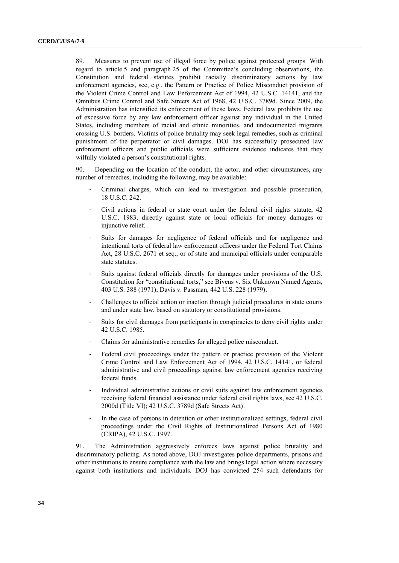89. Measures to prevent use of illegal force by police against protected groups. With regard to article 5 and paragraph 25 of the Committee's concluding observations, the Constitution and federal statutes prohibit racially discriminatory actions by law enforcement agencies, see, e.g., the Pattern or Practice of Police Misconduct provision of the Violent Crime Control and Law Enforcement Act of 1994, 42 U.S.C. 14141, and the Omnibus Crime Control and Safe Streets Act of 1968, 42 U.S.C. 3789d. Since 2009, the Administration has intensified its enforcement of these laws. Federal law prohibits the use of excessive force by any law enforcement officer against any individual in the United States, including members of racial and ethnic minorities, and undocumented migrants crossing U.S. borders. Victims of police brutality may seek legal remedies, such as criminal punishment of the perpetrator or civil damages. DOJ has successfully prosecuted law enforcement officers and public officials were sufficient evidence indicates that they wilfully violated a person's constitutional rights.

90. Depending on the location of the conduct, the actor, and other circumstances, any number of remedies, including the following, may be available:

- Criminal charges, which can lead to investigation and possible prosecution, 18 U.S.C. 242.
- Civil actions in federal or state court under the federal civil rights statute, 42 U.S.C. 1983, directly against state or local officials for money damages or injunctive relief.
- Suits for damages for negligence of federal officials and for negligence and intentional torts of federal law enforcement officers under the Federal Tort Claims Act, 28 U.S.C. 2671 et seq., or of state and municipal officials under comparable state statutes.
- Suits against federal officials directly for damages under provisions of the U.S. Constitution for "constitutional torts," see Bivens v. Six Unknown Named Agents, 403 U.S. 388 (1971); Davis v. Passman, 442 U.S. 228 (1979).
- Challenges to official action or inaction through judicial procedures in state courts and under state law, based on statutory or constitutional provisions.
- Suits for civil damages from participants in conspiracies to deny civil rights under 42 U.S.C. 1985.
- Claims for administrative remedies for alleged police misconduct.
- Federal civil proceedings under the pattern or practice provision of the Violent Crime Control and Law Enforcement Act of 1994, 42 U.S.C. 14141, or federal administrative and civil proceedings against law enforcement agencies receiving federal funds.
- Individual administrative actions or civil suits against law enforcement agencies receiving federal financial assistance under federal civil rights laws, see 42 U.S.C. 2000d (Title VI); 42 U.S.C. 3789d (Safe Streets Act).
- In the case of persons in detention or other institutionalized settings, federal civil proceedings under the Civil Rights of Institutionalized Persons Act of 1980 (CRIPA), 42 U.S.C. 1997.

91. The Administration aggressively enforces laws against police brutality and discriminatory policing. As noted above, DOJ investigates police departments, prisons and other institutions to ensure compliance with the law and brings legal action where necessary against both institutions and individuals. DOJ has convicted 254 such defendants for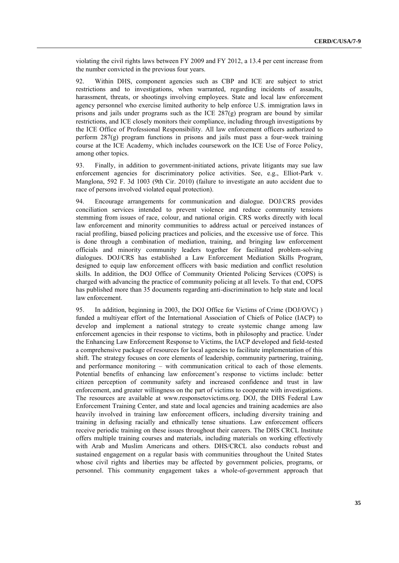violating the civil rights laws between FY 2009 and FY 2012, a 13.4 per cent increase from the number convicted in the previous four years.

92. Within DHS, component agencies such as CBP and ICE are subject to strict restrictions and to investigations, when warranted, regarding incidents of assaults, harassment, threats, or shootings involving employees. State and local law enforcement agency personnel who exercise limited authority to help enforce U.S. immigration laws in prisons and jails under programs such as the ICE 287(g) program are bound by similar restrictions, and ICE closely monitors their compliance, including through investigations by the ICE Office of Professional Responsibility. All law enforcement officers authorized to perform 287(g) program functions in prisons and jails must pass a four-week training course at the ICE Academy, which includes coursework on the ICE Use of Force Policy, among other topics.

93. Finally, in addition to government-initiated actions, private litigants may sue law enforcement agencies for discriminatory police activities. See, e.g., Elliot-Park v. Manglona, 592 F. 3d 1003 (9th Cir. 2010) (failure to investigate an auto accident due to race of persons involved violated equal protection).

94. Encourage arrangements for communication and dialogue. DOJ/CRS provides conciliation services intended to prevent violence and reduce community tensions stemming from issues of race, colour, and national origin. CRS works directly with local law enforcement and minority communities to address actual or perceived instances of racial profiling, biased policing practices and policies, and the excessive use of force. This is done through a combination of mediation, training, and bringing law enforcement officials and minority community leaders together for facilitated problem-solving dialogues. DOJ/CRS has established a Law Enforcement Mediation Skills Program, designed to equip law enforcement officers with basic mediation and conflict resolution skills. In addition, the DOJ Office of Community Oriented Policing Services (COPS) is charged with advancing the practice of community policing at all levels. To that end, COPS has published more than 35 documents regarding anti-discrimination to help state and local law enforcement.

95. In addition, beginning in 2003, the DOJ Office for Victims of Crime (DOJ/OVC) ) funded a multiyear effort of the International Association of Chiefs of Police (IACP) to develop and implement a national strategy to create systemic change among law enforcement agencies in their response to victims, both in philosophy and practice. Under the Enhancing Law Enforcement Response to Victims, the IACP developed and field-tested a comprehensive package of resources for local agencies to facilitate implementation of this shift. The strategy focuses on core elements of leadership, community partnering, training, and performance monitoring – with communication critical to each of those elements. Potential benefits of enhancing law enforcement's response to victims include: better citizen perception of community safety and increased confidence and trust in law enforcement, and greater willingness on the part of victims to cooperate with investigations. The resources are available at [www.responsetovictims.org.](http://www.responsetovictims.org/) DOJ, the DHS Federal Law Enforcement Training Center, and state and local agencies and training academies are also heavily involved in training law enforcement officers, including diversity training and training in defusing racially and ethnically tense situations. Law enforcement officers receive periodic training on these issues throughout their careers. The DHS CRCL Institute offers multiple training courses and materials, including materials on working effectively with Arab and Muslim Americans and others. DHS/CRCL also conducts robust and sustained engagement on a regular basis with communities throughout the United States whose civil rights and liberties may be affected by government policies, programs, or personnel. This community engagement takes a whole-of-government approach that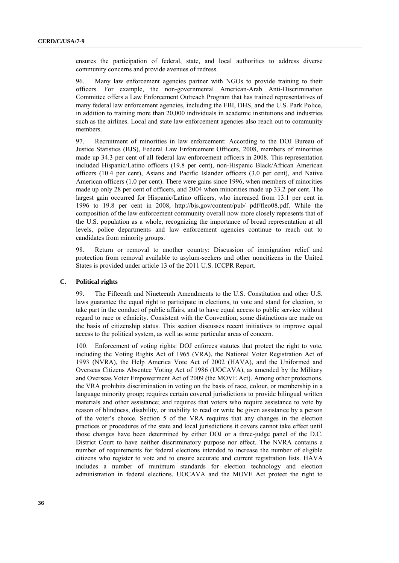ensures the participation of federal, state, and local authorities to address diverse community concerns and provide avenues of redress.

96. Many law enforcement agencies partner with NGOs to provide training to their officers. For example, the non-governmental American-Arab Anti-Discrimination Committee offers a Law Enforcement Outreach Program that has trained representatives of many federal law enforcement agencies, including the FBI, DHS, and the U.S. Park Police, in addition to training more than 20,000 individuals in academic institutions and industries such as the airlines. Local and state law enforcement agencies also reach out to community members.

97. Recruitment of minorities in law enforcement: According to the DOJ Bureau of Justice Statistics (BJS), Federal Law Enforcement Officers, 2008, members of minorities made up 34.3 per cent of all federal law enforcement officers in 2008. This representation included Hispanic/Latino officers (19.8 per cent), non-Hispanic Black/African American officers (10.4 per cent), Asians and Pacific Islander officers (3.0 per cent), and Native American officers (1.0 per cent). There were gains since 1996, when members of minorities made up only 28 per cent of officers, and 2004 when minorities made up 33.2 per cent. The largest gain occurred for Hispanic/Latino officers, who increased from 13.1 per cent in 1996 to 19.8 per cent in 2008, [http://bjs.gov/content/pub/ pdf/fleo08.pdf.](http://bjs.gov/content/pub/%20pdf/fleo08.pdf) While the composition of the law enforcement community overall now more closely represents that of the U.S. population as a whole, recognizing the importance of broad representation at all levels, police departments and law enforcement agencies continue to reach out to candidates from minority groups.

98. Return or removal to another country: Discussion of immigration relief and protection from removal available to asylum-seekers and other noncitizens in the United States is provided under article 13 of the 2011 U.S. ICCPR Report.

### **C. Political rights**

99. The Fifteenth and Nineteenth Amendments to the U.S. Constitution and other U.S. laws guarantee the equal right to participate in elections, to vote and stand for election, to take part in the conduct of public affairs, and to have equal access to public service without regard to race or ethnicity. Consistent with the Convention, some distinctions are made on the basis of citizenship status. This section discusses recent initiatives to improve equal access to the political system, as well as some particular areas of concern.

100. Enforcement of voting rights: DOJ enforces statutes that protect the right to vote, including the Voting Rights Act of 1965 (VRA), the National Voter Registration Act of 1993 (NVRA), the Help America Vote Act of 2002 (HAVA), and the Uniformed and Overseas Citizens Absentee Voting Act of 1986 (UOCAVA), as amended by the Military and Overseas Voter Empowerment Act of 2009 (the MOVE Act). Among other protections, the VRA prohibits discrimination in voting on the basis of race, colour, or membership in a language minority group; requires certain covered jurisdictions to provide bilingual written materials and other assistance; and requires that voters who require assistance to vote by reason of blindness, disability, or inability to read or write be given assistance by a person of the voter's choice. Section 5 of the VRA requires that any changes in the election practices or procedures of the state and local jurisdictions it covers cannot take effect until those changes have been determined by either DOJ or a three-judge panel of the D.C. District Court to have neither discriminatory purpose nor effect. The NVRA contains a number of requirements for federal elections intended to increase the number of eligible citizens who register to vote and to ensure accurate and current registration lists. HAVA includes a number of minimum standards for election technology and election administration in federal elections. UOCAVA and the MOVE Act protect the right to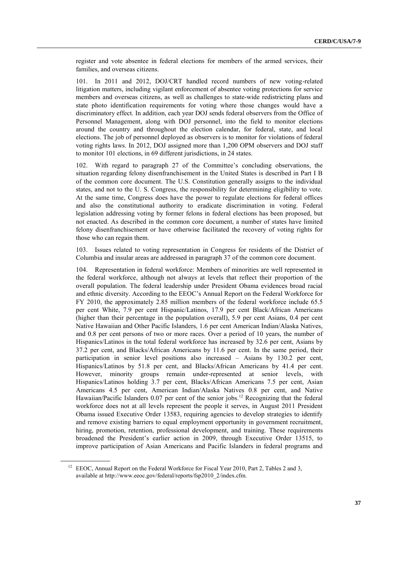register and vote absentee in federal elections for members of the armed services, their families, and overseas citizens.

101. In 2011 and 2012, DOJ/CRT handled record numbers of new voting-related litigation matters, including vigilant enforcement of absentee voting protections for service members and overseas citizens, as well as challenges to state-wide redistricting plans and state photo identification requirements for voting where those changes would have a discriminatory effect. In addition, each year DOJ sends federal observers from the Office of Personnel Management, along with DOJ personnel, into the field to monitor elections around the country and throughout the election calendar, for federal, state, and local elections. The job of personnel deployed as observers is to monitor for violations of federal voting rights laws. In 2012, DOJ assigned more than 1,200 OPM observers and DOJ staff to monitor 101 elections, in 69 different jurisdictions, in 24 states.

102. With regard to paragraph 27 of the Committee's concluding observations, the situation regarding felony disenfranchisement in the United States is described in Part I B of the common core document. The U.S. Constitution generally assigns to the individual states, and not to the U. S. Congress, the responsibility for determining eligibility to vote. At the same time, Congress does have the power to regulate elections for federal offices and also the constitutional authority to eradicate discrimination in voting. Federal legislation addressing voting by former felons in federal elections has been proposed, but not enacted. As described in the common core document, a number of states have limited felony disenfranchisement or have otherwise facilitated the recovery of voting rights for those who can regain them.

103. Issues related to voting representation in Congress for residents of the District of Columbia and insular areas are addressed in paragraph 37 of the common core document.

104. Representation in federal workforce: Members of minorities are well represented in the federal workforce, although not always at levels that reflect their proportion of the overall population. The federal leadership under President Obama evidences broad racial and ethnic diversity. According to the EEOC's Annual Report on the Federal Workforce for FY 2010, the approximately 2.85 million members of the federal workforce include 65.5 per cent White, 7.9 per cent Hispanic/Latinos, 17.9 per cent Black/African Americans (higher than their percentage in the population overall), 5.9 per cent Asians, 0.4 per cent Native Hawaiian and Other Pacific Islanders, 1.6 per cent American Indian/Alaska Natives, and 0.8 per cent persons of two or more races. Over a period of 10 years, the number of Hispanics/Latinos in the total federal workforce has increased by 32.6 per cent, Asians by 37.2 per cent, and Blacks/African Americans by 11.6 per cent. In the same period, their participation in senior level positions also increased – Asians by 130.2 per cent, Hispanics/Latinos by 51.8 per cent, and Blacks/African Americans by 41.4 per cent. However, minority groups remain under-represented at senior levels, with Hispanics/Latinos holding 3.7 per cent, Blacks/African Americans 7.5 per cent, Asian Americans 4.5 per cent, American Indian/Alaska Natives 0.8 per cent, and Native Hawaiian/Pacific Islanders 0.07 per cent of the senior jobs.<sup>12</sup> Recognizing that the federal workforce does not at all levels represent the people it serves, in August 2011 President Obama issued Executive Order 13583, requiring agencies to develop strategies to identify and remove existing barriers to equal employment opportunity in government recruitment, hiring, promotion, retention, professional development, and training. These requirements broadened the President's earlier action in 2009, through Executive Order 13515, to improve participation of Asian Americans and Pacific Islanders in federal programs and

<sup>&</sup>lt;sup>12</sup> EEOC, Annual Report on the Federal Workforce for Fiscal Year 2010, Part 2, Tables 2 and 3, available at [http://www.eeoc.gov/federal/reports/fsp2010\\_2/index.cfm.](http://www.eeoc.gov/federal/reports/fsp2010_2/index.cfm)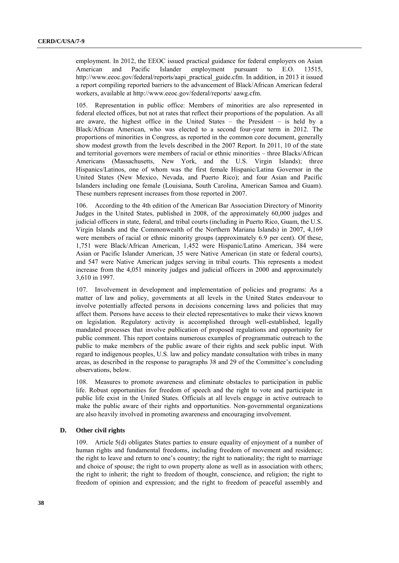employment. In 2012, the EEOC issued practical guidance for federal employers on Asian American and Pacific Islander employment pursuant to E.O. 13515, [http://www.eeoc.gov/federal/reports/aapi\\_practical\\_guide.cfm.](http://www.eeoc.gov/federal/reports/aapi_practical_guide.cfm) In addition, in 2013 it issued a report compiling reported barriers to the advancement of Black/African American federal workers, available at [http://www.eeoc.gov/federal/reports/ aawg.cfm.](http://www.eeoc.gov/federal/reports/%20aawg.cfm)

Representation in public office: Members of minorities are also represented in federal elected offices, but not at rates that reflect their proportions of the population. As all are aware, the highest office in the United States – the President – is held by a Black/African American, who was elected to a second four-year term in 2012. The proportions of minorities in Congress, as reported in the common core document, generally show modest growth from the levels described in the 2007 Report. In 2011, 10 of the state and territorial governors were members of racial or ethnic minorities – three Blacks/African Americans (Massachusetts, New York, and the U.S. Virgin Islands); three Hispanics/Latinos, one of whom was the first female Hispanic/Latina Governor in the United States (New Mexico, Nevada, and Puerto Rico); and four Asian and Pacific Islanders including one female (Louisiana, South Carolina, American Samoa and Guam). These numbers represent increases from those reported in 2007.

106. According to the 4th edition of the American Bar Association Directory of Minority Judges in the United States, published in 2008, of the approximately 60,000 judges and judicial officers in state, federal, and tribal courts (including in Puerto Rico, Guam, the U.S. Virgin Islands and the Commonwealth of the Northern Mariana Islands) in 2007, 4,169 were members of racial or ethnic minority groups (approximately 6.9 per cent). Of these, 1,751 were Black/African American, 1,452 were Hispanic/Latino American, 384 were Asian or Pacific Islander American, 35 were Native American (in state or federal courts), and 547 were Native American judges serving in tribal courts. This represents a modest increase from the 4,051 minority judges and judicial officers in 2000 and approximately 3,610 in 1997.

107. Involvement in development and implementation of policies and programs: As a matter of law and policy, governments at all levels in the United States endeavour to involve potentially affected persons in decisions concerning laws and policies that may affect them. Persons have access to their elected representatives to make their views known on legislation. Regulatory activity is accomplished through well-established, legally mandated processes that involve publication of proposed regulations and opportunity for public comment. This report contains numerous examples of programmatic outreach to the public to make members of the public aware of their rights and seek public input. With regard to indigenous peoples, U.S. law and policy mandate consultation with tribes in many areas, as described in the response to paragraphs 38 and 29 of the Committee's concluding observations, below.

108. Measures to promote awareness and eliminate obstacles to participation in public life. Robust opportunities for freedom of speech and the right to vote and participate in public life exist in the United States. Officials at all levels engage in active outreach to make the public aware of their rights and opportunities. Non-governmental organizations are also heavily involved in promoting awareness and encouraging involvement.

#### **D. Other civil rights**

109. Article 5(d) obligates States parties to ensure equality of enjoyment of a number of human rights and fundamental freedoms, including freedom of movement and residence; the right to leave and return to one's country; the right to nationality; the right to marriage and choice of spouse; the right to own property alone as well as in association with others; the right to inherit; the right to freedom of thought, conscience, and religion; the right to freedom of opinion and expression; and the right to freedom of peaceful assembly and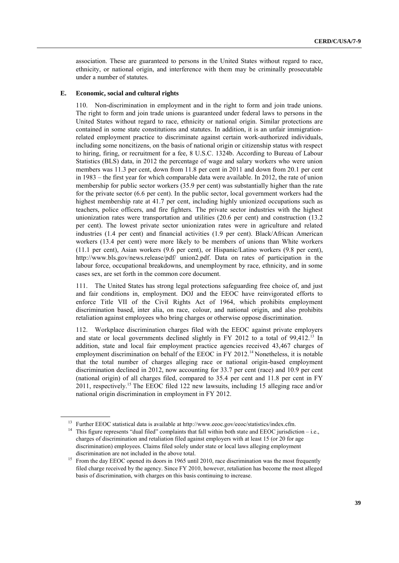association. These are guaranteed to persons in the United States without regard to race, ethnicity, or national origin, and interference with them may be criminally prosecutable under a number of statutes.

#### **E. Economic, social and cultural rights**

110. Non-discrimination in employment and in the right to form and join trade unions. The right to form and join trade unions is guaranteed under federal laws to persons in the United States without regard to race, ethnicity or national origin. Similar protections are contained in some state constitutions and statutes. In addition, it is an unfair immigrationrelated employment practice to discriminate against certain work-authorized individuals, including some noncitizens, on the basis of national origin or citizenship status with respect to hiring, firing, or recruitment for a fee, 8 U.S.C. 1324b. According to Bureau of Labour Statistics (BLS) data, in 2012 the percentage of wage and salary workers who were union members was 11.3 per cent, down from 11.8 per cent in 2011 and down from 20.1 per cent in 1983 – the first year for which comparable data were available. In 2012, the rate of union membership for public sector workers (35.9 per cent) was substantially higher than the rate for the private sector (6.6 per cent). In the public sector, local government workers had the highest membership rate at 41.7 per cent, including highly unionized occupations such as teachers, police officers, and fire fighters. The private sector industries with the highest unionization rates were transportation and utilities (20.6 per cent) and construction (13.2 per cent). The lowest private sector unionization rates were in agriculture and related industries (1.4 per cent) and financial activities (1.9 per cent). Black/African American workers (13.4 per cent) were more likely to be members of unions than White workers (11.1 per cent), Asian workers (9.6 per cent), or Hispanic/Latino workers (9.8 per cent), [http://www.bls.gov/news.release/pdf/ union2.pdf.](http://www.bls.gov/news.release/pdf/%20union2.pdf) Data on rates of participation in the labour force, occupational breakdowns, and unemployment by race, ethnicity, and in some cases sex, are set forth in the common core document.

111. The United States has strong legal protections safeguarding free choice of, and just and fair conditions in, employment. DOJ and the EEOC have reinvigorated efforts to enforce Title VII of the Civil Rights Act of 1964, which prohibits employment discrimination based, inter alia, on race, colour, and national origin, and also prohibits retaliation against employees who bring charges or otherwise oppose discrimination.

112. Workplace discrimination charges filed with the EEOC against private employers and state or local governments declined slightly in FY 2012 to a total of  $99,412$ .<sup>13</sup> In addition, state and local fair employment practice agencies received 43,467 charges of employment discrimination on behalf of the EEOC in FY 2012.<sup>14</sup> Nonetheless, it is notable that the total number of charges alleging race or national origin-based employment discrimination declined in 2012, now accounting for 33.7 per cent (race) and 10.9 per cent (national origin) of all charges filed, compared to 35.4 per cent and 11.8 per cent in FY 2011, respectively.<sup>15</sup> The EEOC filed 122 new lawsuits, including 15 alleging race and/or national origin discrimination in employment in FY 2012.

<sup>13</sup> Further EEOC statistical data is available at [http://www.eeoc.gov/eeoc/statistics/index.cfm.](http://www.eeoc.gov/eeoc/statistics/index.cfm)

<sup>&</sup>lt;sup>14</sup> This figure represents "dual filed" complaints that fall within both state and EEOC jurisdiction – i.e., charges of discrimination and retaliation filed against employers with at least 15 (or 20 for age discrimination) employees. Claims filed solely under state or local laws alleging employment discrimination are not included in the above total.

<sup>&</sup>lt;sup>15</sup> From the day EEOC opened its doors in 1965 until 2010, race discrimination was the most frequently filed charge received by the agency. Since FY 2010, however, retaliation has become the most alleged basis of discrimination, with charges on this basis continuing to increase.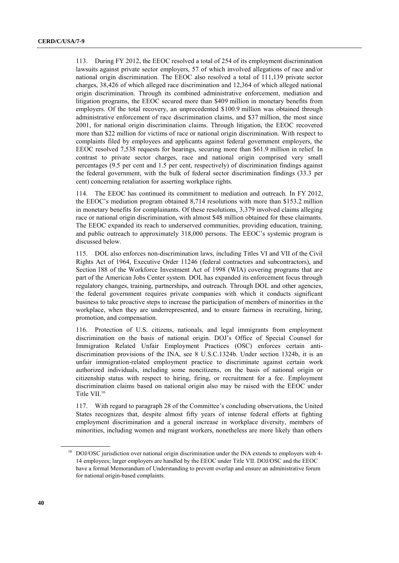113. During FY 2012, the EEOC resolved a total of 254 of its employment discrimination lawsuits against private sector employers, 57 of which involved allegations of race and/or national origin discrimination. The EEOC also resolved a total of 111,139 private sector charges, 38,426 of which alleged race discrimination and 12,364 of which alleged national origin discrimination. Through its combined administrative enforcement, mediation and litigation programs, the EEOC secured more than \$409 million in monetary benefits from employers. Of the total recovery, an unprecedented \$100.9 million was obtained through administrative enforcement of race discrimination claims, and \$37 million, the most since 2001, for national origin discrimination claims. Through litigation, the EEOC recovered more than \$22 million for victims of race or national origin discrimination. With respect to complaints filed by employees and applicants against federal government employers, the EEOC resolved 7,538 requests for hearings, securing more than \$61.9 million in relief. In contrast to private sector charges, race and national origin comprised very small percentages (9.5 per cent and 1.5 per cent, respectively) of discrimination findings against the federal government, with the bulk of federal sector discrimination findings (33.3 per cent) concerning retaliation for asserting workplace rights.

114. The EEOC has continued its commitment to mediation and outreach. In FY 2012, the EEOC's mediation program obtained 8,714 resolutions with more than \$153.2 million in monetary benefits for complainants. Of these resolutions, 3,379 involved claims alleging race or national origin discrimination, with almost \$48 million obtained for these claimants. The EEOC expanded its reach to underserved communities, providing education, training, and public outreach to approximately 318,000 persons. The EEOC's systemic program is discussed below.

115. DOL also enforces non-discrimination laws, including Titles VI and VII of the Civil Rights Act of 1964, Executive Order 11246 (federal contractors and subcontractors), and Section 188 of the Workforce Investment Act of 1998 (WIA) covering programs that are part of the American Jobs Center system. DOL has expanded its enforcement focus through regulatory changes, training, partnerships, and outreach. Through DOL and other agencies, the federal government requires private companies with which it conducts significant business to take proactive steps to increase the participation of members of minorities in the workplace, when they are underrepresented, and to ensure fairness in recruiting, hiring, promotion, and compensation.

116. Protection of U.S. citizens, nationals, and legal immigrants from employment discrimination on the basis of national origin. DOJ's Office of Special Counsel for Immigration Related Unfair Employment Practices (OSC) enforces certain antidiscrimination provisions of the INA, see 8 U.S.C.1324b. Under section 1324b, it is an unfair immigration-related employment practice to discriminate against certain work authorized individuals, including some noncitizens, on the basis of national origin or citizenship status with respect to hiring, firing, or recruitment for a fee. Employment discrimination claims based on national origin also may be raised with the EEOC under Title VII. 16

117. With regard to paragraph 28 of the Committee's concluding observations, the United States recognizes that, despite almost fifty years of intense federal efforts at fighting employment discrimination and a general increase in workplace diversity, members of minorities, including women and migrant workers, nonetheless are more likely than others

<sup>&</sup>lt;sup>16</sup> DOJ/OSC jurisdiction over national origin discrimination under the INA extends to employers with 4-14 employees; larger employers are handled by the EEOC under Title VII. DOJ/OSC and the EEOC have a formal Memorandum of Understanding to prevent overlap and ensure an administrative forum for national origin-based complaints.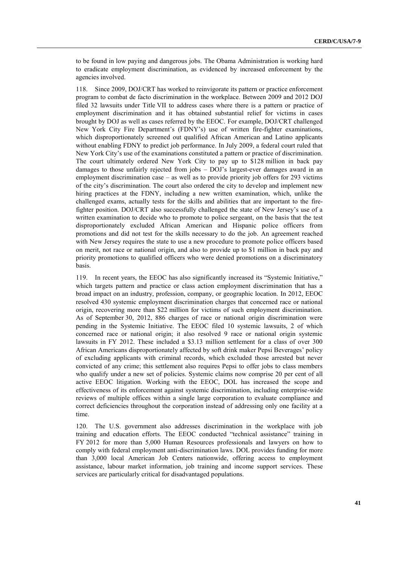to be found in low paying and dangerous jobs. The Obama Administration is working hard to eradicate employment discrimination, as evidenced by increased enforcement by the agencies involved.

118. Since 2009, DOJ/CRT has worked to reinvigorate its pattern or practice enforcement program to combat de facto discrimination in the workplace. Between 2009 and 2012 DOJ filed 32 lawsuits under Title VII to address cases where there is a pattern or practice of employment discrimination and it has obtained substantial relief for victims in cases brought by DOJ as well as cases referred by the EEOC. For example, DOJ/CRT challenged New York City Fire Department's (FDNY's) use of written fire-fighter examinations, which disproportionately screened out qualified African American and Latino applicants without enabling FDNY to predict job performance. In July 2009, a federal court ruled that New York City's use of the examinations constituted a pattern or practice of discrimination. The court ultimately ordered New York City to pay up to \$128 million in back pay damages to those unfairly rejected from jobs – DOJ's largest-ever damages award in an employment discrimination case – as well as to provide priority job offers for 293 victims of the city's discrimination. The court also ordered the city to develop and implement new hiring practices at the FDNY, including a new written examination, which, unlike the challenged exams, actually tests for the skills and abilities that are important to the firefighter position. DOJ/CRT also successfully challenged the state of New Jersey's use of a written examination to decide who to promote to police sergeant, on the basis that the test disproportionately excluded African American and Hispanic police officers from promotions and did not test for the skills necessary to do the job. An agreement reached with New Jersey requires the state to use a new procedure to promote police officers based on merit, not race or national origin, and also to provide up to \$1 million in back pay and priority promotions to qualified officers who were denied promotions on a discriminatory basis.

119. In recent years, the EEOC has also significantly increased its "Systemic Initiative," which targets pattern and practice or class action employment discrimination that has a broad impact on an industry, profession, company, or geographic location. In 2012, EEOC resolved 430 systemic employment discrimination charges that concerned race or national origin, recovering more than \$22 million for victims of such employment discrimination. As of September 30, 2012, 886 charges of race or national origin discrimination were pending in the Systemic Initiative. The EEOC filed 10 systemic lawsuits, 2 of which concerned race or national origin; it also resolved 9 race or national origin systemic lawsuits in FY 2012. These included a \$3.13 million settlement for a class of over 300 African Americans disproportionately affected by soft drink maker Pepsi Beverages' policy of excluding applicants with criminal records, which excluded those arrested but never convicted of any crime; this settlement also requires Pepsi to offer jobs to class members who qualify under a new set of policies. Systemic claims now comprise 20 per cent of all active EEOC litigation. Working with the EEOC, DOL has increased the scope and effectiveness of its enforcement against systemic discrimination, including enterprise-wide reviews of multiple offices within a single large corporation to evaluate compliance and correct deficiencies throughout the corporation instead of addressing only one facility at a time.

120. The U.S. government also addresses discrimination in the workplace with job training and education efforts. The EEOC conducted "technical assistance" training in FY 2012 for more than 5,000 Human Resources professionals and lawyers on how to comply with federal employment anti-discrimination laws. DOL provides funding for more than 3,000 local American Job Centers nationwide, offering access to employment assistance, labour market information, job training and income support services. These services are particularly critical for disadvantaged populations.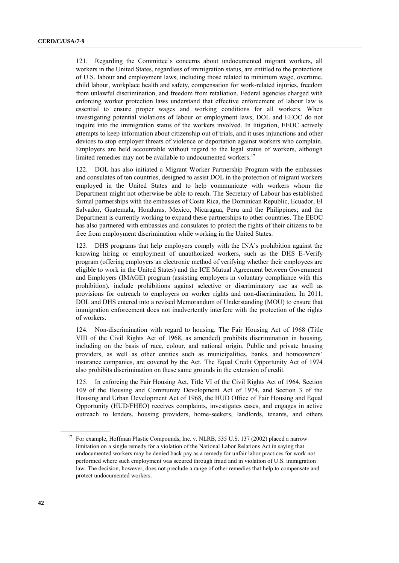121. Regarding the Committee's concerns about undocumented migrant workers, all workers in the United States, regardless of immigration status, are entitled to the protections of U.S. labour and employment laws, including those related to minimum wage, overtime, child labour, workplace health and safety, compensation for work-related injuries, freedom from unlawful discrimination, and freedom from retaliation. Federal agencies charged with enforcing worker protection laws understand that effective enforcement of labour law is essential to ensure proper wages and working conditions for all workers. When investigating potential violations of labour or employment laws, DOL and EEOC do not inquire into the immigration status of the workers involved. In litigation, EEOC actively attempts to keep information about citizenship out of trials, and it uses injunctions and other devices to stop employer threats of violence or deportation against workers who complain. Employers are held accountable without regard to the legal status of workers, although limited remedies may not be available to undocumented workers.<sup>17</sup>

122. DOL has also initiated a Migrant Worker Partnership Program with the embassies and consulates of ten countries, designed to assist DOL in the protection of migrant workers employed in the United States and to help communicate with workers whom the Department might not otherwise be able to reach. The Secretary of Labour has established formal partnerships with the embassies of Costa Rica, the Dominican Republic, Ecuador, El Salvador, Guatemala, Honduras, Mexico, Nicaragua, Peru and the Philippines; and the Department is currently working to expand these partnerships to other countries. The EEOC has also partnered with embassies and consulates to protect the rights of their citizens to be free from employment discrimination while working in the United States.

123. DHS programs that help employers comply with the INA's prohibition against the knowing hiring or employment of unauthorized workers, such as the DHS E-Verify program (offering employers an electronic method of verifying whether their employees are eligible to work in the United States) and the ICE Mutual Agreement between Government and Employers (IMAGE) program (assisting employers in voluntary compliance with this prohibition), include prohibitions against selective or discriminatory use as well as provisions for outreach to employers on worker rights and non-discrimination. In 2011, DOL and DHS entered into a revised Memorandum of Understanding (MOU) to ensure that immigration enforcement does not inadvertently interfere with the protection of the rights of workers.

124. Non-discrimination with regard to housing. The Fair Housing Act of 1968 (Title VIII of the Civil Rights Act of 1968, as amended) prohibits discrimination in housing, including on the basis of race, colour, and national origin. Public and private housing providers, as well as other entities such as municipalities, banks, and homeowners' insurance companies, are covered by the Act. The Equal Credit Opportunity Act of 1974 also prohibits discrimination on these same grounds in the extension of credit.

125. In enforcing the Fair Housing Act, Title VI of the Civil Rights Act of 1964, Section 109 of the Housing and Community Development Act of 1974, and Section 3 of the Housing and Urban Development Act of 1968, the HUD Office of Fair Housing and Equal Opportunity (HUD/FHEO) receives complaints, investigates cases, and engages in active outreach to lenders, housing providers, home-seekers, landlords, tenants, and others

<sup>17</sup> For example, Hoffman Plastic Compounds, Inc. v. NLRB, 535 U.S. 137 (2002) placed a narrow limitation on a single remedy for a violation of the National Labor Relations Act in saying that undocumented workers may be denied back pay as a remedy for unfair labor practices for work not performed where such employment was secured through fraud and in violation of U.S. immigration law. The decision, however, does not preclude a range of other remedies that help to compensate and protect undocumented workers.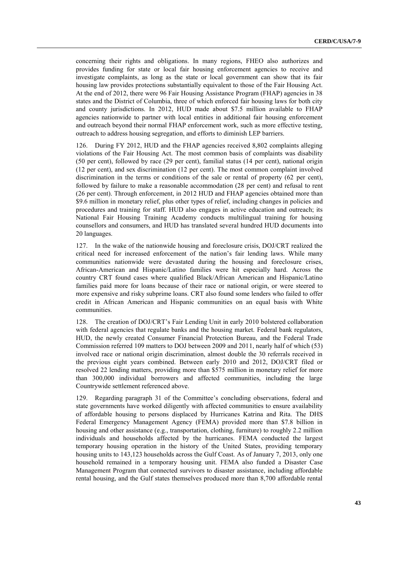concerning their rights and obligations. In many regions, FHEO also authorizes and provides funding for state or local fair housing enforcement agencies to receive and investigate complaints, as long as the state or local government can show that its fair housing law provides protections substantially equivalent to those of the Fair Housing Act. At the end of 2012, there were 96 Fair Housing Assistance Program (FHAP) agencies in 38 states and the District of Columbia, three of which enforced fair housing laws for both city and county jurisdictions. In 2012, HUD made about \$7.5 million available to FHAP agencies nationwide to partner with local entities in additional fair housing enforcement and outreach beyond their normal FHAP enforcement work, such as more effective testing, outreach to address housing segregation, and efforts to diminish LEP barriers.

126. During FY 2012, HUD and the FHAP agencies received 8,802 complaints alleging violations of the Fair Housing Act. The most common basis of complaints was disability (50 per cent), followed by race (29 per cent), familial status (14 per cent), national origin (12 per cent), and sex discrimination (12 per cent). The most common complaint involved discrimination in the terms or conditions of the sale or rental of property (62 per cent), followed by failure to make a reasonable accommodation (28 per cent) and refusal to rent (26 per cent). Through enforcement, in 2012 HUD and FHAP agencies obtained more than \$9.6 million in monetary relief, plus other types of relief, including changes in policies and procedures and training for staff. HUD also engages in active education and outreach; its National Fair Housing Training Academy conducts multilingual training for housing counsellors and consumers, and HUD has translated several hundred HUD documents into 20 languages.

127. In the wake of the nationwide housing and foreclosure crisis, DOJ/CRT realized the critical need for increased enforcement of the nation's fair lending laws. While many communities nationwide were devastated during the housing and foreclosure crises, African-American and Hispanic/Latino families were hit especially hard. Across the country CRT found cases where qualified Black/African American and Hispanic/Latino families paid more for loans because of their race or national origin, or were steered to more expensive and risky subprime loans. CRT also found some lenders who failed to offer credit in African American and Hispanic communities on an equal basis with White communities.

128. The creation of DOJ/CRT's Fair Lending Unit in early 2010 bolstered collaboration with federal agencies that regulate banks and the housing market. Federal bank regulators, HUD, the newly created Consumer Financial Protection Bureau, and the Federal Trade Commission referred 109 matters to DOJ between 2009 and 2011, nearly half of which (53) involved race or national origin discrimination, almost double the 30 referrals received in the previous eight years combined. Between early 2010 and 2012, DOJ/CRT filed or resolved 22 lending matters, providing more than \$575 million in monetary relief for more than 300,000 individual borrowers and affected communities, including the large Countrywide settlement referenced above.

129. Regarding paragraph 31 of the Committee's concluding observations, federal and state governments have worked diligently with affected communities to ensure availability of affordable housing to persons displaced by Hurricanes Katrina and Rita. The DHS Federal Emergency Management Agency (FEMA) provided more than \$7.8 billion in housing and other assistance (e.g., transportation, clothing, furniture) to roughly 2.2 million individuals and households affected by the hurricanes. FEMA conducted the largest temporary housing operation in the history of the United States, providing temporary housing units to 143,123 households across the Gulf Coast. As of January 7, 2013, only one household remained in a temporary housing unit. FEMA also funded a Disaster Case Management Program that connected survivors to disaster assistance, including affordable rental housing, and the Gulf states themselves produced more than 8,700 affordable rental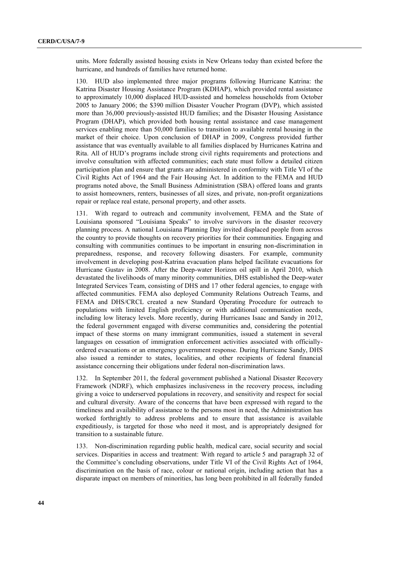units. More federally assisted housing exists in New Orleans today than existed before the hurricane, and hundreds of families have returned home.

130. HUD also implemented three major programs following Hurricane Katrina: the Katrina Disaster Housing Assistance Program (KDHAP), which provided rental assistance to approximately 10,000 displaced HUD-assisted and homeless households from October 2005 to January 2006; the \$390 million Disaster Voucher Program (DVP), which assisted more than 36,000 previously-assisted HUD families; and the Disaster Housing Assistance Program (DHAP), which provided both housing rental assistance and case management services enabling more than 50,000 families to transition to available rental housing in the market of their choice. Upon conclusion of DHAP in 2009, Congress provided further assistance that was eventually available to all families displaced by Hurricanes Katrina and Rita. All of HUD's programs include strong civil rights requirements and protections and involve consultation with affected communities; each state must follow a detailed citizen participation plan and ensure that grants are administered in conformity with Title VI of the Civil Rights Act of 1964 and the Fair Housing Act. In addition to the FEMA and HUD programs noted above, the Small Business Administration (SBA) offered loans and grants to assist homeowners, renters, businesses of all sizes, and private, non-profit organizations repair or replace real estate, personal property, and other assets.

131. With regard to outreach and community involvement, FEMA and the State of Louisiana sponsored "Louisiana Speaks" to involve survivors in the disaster recovery planning process. A national Louisiana Planning Day invited displaced people from across the country to provide thoughts on recovery priorities for their communities. Engaging and consulting with communities continues to be important in ensuring non-discrimination in preparedness, response, and recovery following disasters. For example, community involvement in developing post-Katrina evacuation plans helped facilitate evacuations for Hurricane Gustav in 2008. After the Deep-water Horizon oil spill in April 2010, which devastated the livelihoods of many minority communities, DHS established the Deep-water Integrated Services Team, consisting of DHS and 17 other federal agencies, to engage with affected communities. FEMA also deployed Community Relations Outreach Teams, and FEMA and DHS/CRCL created a new Standard Operating Procedure for outreach to populations with limited English proficiency or with additional communication needs, including low literacy levels. More recently, during Hurricanes Isaac and Sandy in 2012, the federal government engaged with diverse communities and, considering the potential impact of these storms on many immigrant communities, issued a statement in several languages on cessation of immigration enforcement activities associated with officiallyordered evacuations or an emergency government response. During Hurricane Sandy, DHS also issued a reminder to states, localities, and other recipients of federal financial assistance concerning their obligations under federal non-discrimination laws.

132. In September 2011, the federal government published a National Disaster Recovery Framework (NDRF), which emphasizes inclusiveness in the recovery process, including giving a voice to underserved populations in recovery, and sensitivity and respect for social and cultural diversity. Aware of the concerns that have been expressed with regard to the timeliness and availability of assistance to the persons most in need, the Administration has worked forthrightly to address problems and to ensure that assistance is available expeditiously, is targeted for those who need it most, and is appropriately designed for transition to a sustainable future.

133. Non-discrimination regarding public health, medical care, social security and social services. Disparities in access and treatment: With regard to article 5 and paragraph 32 of the Committee's concluding observations, under Title VI of the Civil Rights Act of 1964, discrimination on the basis of race, colour or national origin, including action that has a disparate impact on members of minorities, has long been prohibited in all federally funded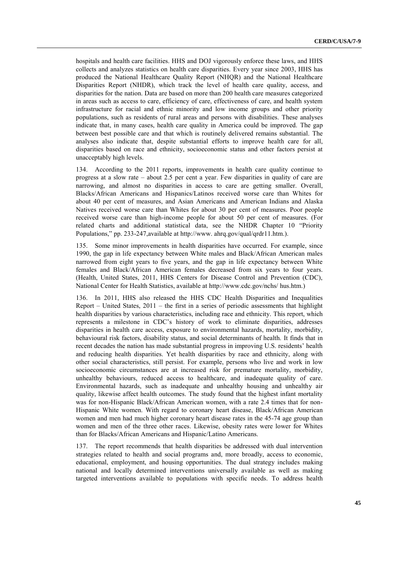hospitals and health care facilities. HHS and DOJ vigorously enforce these laws, and HHS collects and analyzes statistics on health care disparities. Every year since 2003, HHS has produced the National Healthcare Quality Report (NHQR) and the National Healthcare Disparities Report (NHDR), which track the level of health care quality, access, and disparities for the nation. Data are based on more than 200 health care measures categorized in areas such as access to care, efficiency of care, effectiveness of care, and health system infrastructure for racial and ethnic minority and low income groups and other priority populations, such as residents of rural areas and persons with disabilities. These analyses indicate that, in many cases, health care quality in America could be improved. The gap between best possible care and that which is routinely delivered remains substantial. The analyses also indicate that, despite substantial efforts to improve health care for all, disparities based on race and ethnicity, socioeconomic status and other factors persist at unacceptably high levels.

134. According to the 2011 reports, improvements in health care quality continue to progress at a slow rate – about 2.5 per cent a year. Few disparities in quality of care are narrowing, and almost no disparities in access to care are getting smaller. Overall, Blacks/African Americans and Hispanics/Latinos received worse care than Whites for about 40 per cent of measures, and Asian Americans and American Indians and Alaska Natives received worse care than Whites for about 30 per cent of measures. Poor people received worse care than high-income people for about 50 per cent of measures. (For related charts and additional statistical data, see the NHDR Chapter 10 "Priority Populations," pp. 233-247,available at http://www. ahrq.gov/qual/qrdr11.htm.).

135. Some minor improvements in health disparities have occurred. For example, since 1990, the gap in life expectancy between White males and Black/African American males narrowed from eight years to five years, and the gap in life expectancy between White females and Black/African American females decreased from six years to four years. (Health, United States, 2011, HHS Centers for Disease Control and Prevention (CDC), National Center for Health Statistics, available at [http://www.cdc.gov/nchs/ hus.htm.](http://www.cdc.gov/nchs/%20hus.htm))

136. In 2011, HHS also released the HHS CDC Health Disparities and Inequalities Report – United States,  $2011$  – the first in a series of periodic assessments that highlight health disparities by various characteristics, including race and ethnicity. This report, which represents a milestone in CDC's history of work to eliminate disparities, addresses disparities in health care access, exposure to environmental hazards, mortality, morbidity, behavioural risk factors, disability status, and social determinants of health. It finds that in recent decades the nation has made substantial progress in improving U.S. residents' health and reducing health disparities. Yet health disparities by race and ethnicity, along with other social characteristics, still persist. For example, persons who live and work in low socioeconomic circumstances are at increased risk for premature mortality, morbidity, unhealthy behaviours, reduced access to healthcare, and inadequate quality of care. Environmental hazards, such as inadequate and unhealthy housing and unhealthy air quality, likewise affect health outcomes. The study found that the highest infant mortality was for non-Hispanic Black/African American women, with a rate 2.4 times that for non-Hispanic White women. With regard to coronary heart disease, Black/African American women and men had much higher coronary heart disease rates in the 45-74 age group than women and men of the three other races. Likewise, obesity rates were lower for Whites than for Blacks/African Americans and Hispanic/Latino Americans.

137. The report recommends that health disparities be addressed with dual intervention strategies related to health and social programs and, more broadly, access to economic, educational, employment, and housing opportunities. The dual strategy includes making national and locally determined interventions universally available as well as making targeted interventions available to populations with specific needs. To address health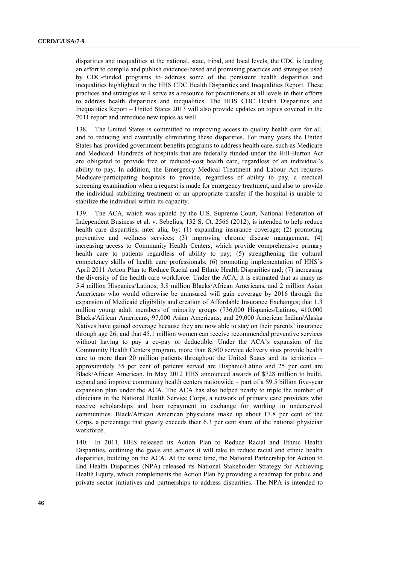disparities and inequalities at the national, state, tribal, and local levels, the CDC is leading an effort to compile and publish evidence-based and promising practices and strategies used by CDC-funded programs to address some of the persistent health disparities and inequalities highlighted in the HHS CDC Health Disparities and Inequalities Report. These practices and strategies will serve as a resource for practitioners at all levels in their efforts to address health disparities and inequalities. The HHS CDC Health Disparities and Inequalities Report – United States 2013 will also provide updates on topics covered in the 2011 report and introduce new topics as well.

138. The United States is committed to improving access to quality health care for all, and to reducing and eventually eliminating these disparities. For many years the United States has provided government benefits programs to address health care, such as Medicare and Medicaid. Hundreds of hospitals that are federally funded under the Hill-Burton Act are obligated to provide free or reduced-cost health care, regardless of an individual's ability to pay. In addition, the Emergency Medical Treatment and Labour Act requires Medicare-participating hospitals to provide, regardless of ability to pay, a medical screening examination when a request is made for emergency treatment, and also to provide the individual stabilizing treatment or an appropriate transfer if the hospital is unable to stabilize the individual within its capacity.

139. The ACA, which was upheld by the U.S. Supreme Court, National Federation of Independent Business et al. v. Sebelius, 132 S. Ct. 2566 (2012), is intended to help reduce health care disparities, inter alia, by: (1) expanding insurance coverage; (2) promoting preventive and wellness services; (3) improving chronic disease management; (4) increasing access to Community Health Centers, which provide comprehensive primary health care to patients regardless of ability to pay; (5) strengthening the cultural competency skills of health care professionals; (6) promoting implementation of HHS's April 2011 Action Plan to Reduce Racial and Ethnic Health Disparities and; (7) increasing the diversity of the health care workforce. Under the ACA, it is estimated that as many as 5.4 million Hispanics/Latinos, 3.8 million Blacks/African Americans, and 2 million Asian Americans who would otherwise be uninsured will gain coverage by 2016 through the expansion of Medicaid eligibility and creation of Affordable Insurance Exchanges; that 1.3 million young adult members of minority groups (736,000 Hispanics/Latinos, 410,000 Blacks/African Americans, 97,000 Asian Americans, and 29,000 American Indian/Alaska Natives have gained coverage because they are now able to stay on their parents' insurance through age 26; and that 45.1 million women can receive recommended preventive services without having to pay a co-pay or deductible. Under the ACA's expansion of the Community Health Centers program, more than 8,500 service delivery sites provide health care to more than 20 million patients throughout the United States and its territories – approximately 35 per cent of patients served are Hispanic/Latino and 25 per cent are Black/African American. In May 2012 HHS announced awards of \$728 million to build, expand and improve community health centers nationwide – part of a \$9.5 billion five-year expansion plan under the ACA. The ACA has also helped nearly to triple the number of clinicians in the National Health Service Corps, a network of primary care providers who receive scholarships and loan repayment in exchange for working in underserved communities. Black/African American physicians make up about 17.8 per cent of the Corps, a percentage that greatly exceeds their 6.3 per cent share of the national physician workforce.

140. In 2011, HHS released its Action Plan to Reduce Racial and Ethnic Health Disparities, outlining the goals and actions it will take to reduce racial and ethnic health disparities, building on the ACA. At the same time, the National Partnership for Action to End Health Disparities (NPA) released its National Stakeholder Strategy for Achieving Health Equity, which complements the Action Plan by providing a roadmap for public and private sector initiatives and partnerships to address disparities. The NPA is intended to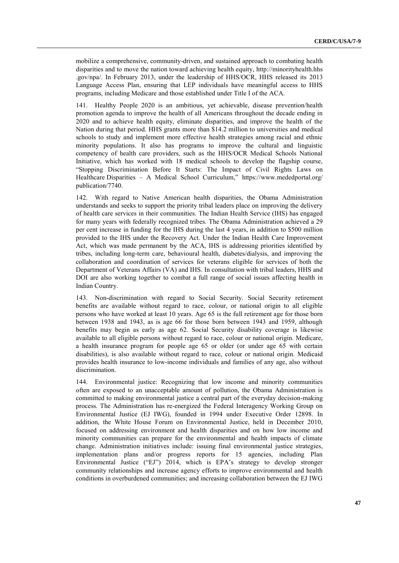mobilize a comprehensive, community-driven, and sustained approach to combating health disparities and to move the nation toward achieving health equity, http://minorityhealth.hhs .gov/npa/. In February 2013, under the leadership of HHS/OCR, HHS released its 2013 Language Access Plan, ensuring that LEP individuals have meaningful access to HHS programs, including Medicare and those established under Title I of the ACA.

Healthy People 2020 is an ambitious, yet achievable, disease prevention/health promotion agenda to improve the health of all Americans throughout the decade ending in 2020 and to achieve health equity, eliminate disparities, and improve the health of the Nation during that period. HHS grants more than \$14.2 million to universities and medical schools to study and implement more effective health strategies among racial and ethnic minority populations. It also has programs to improve the cultural and linguistic competency of health care providers, such as the HHS/OCR Medical Schools National Initiative, which has worked with 18 medical schools to develop the flagship course, "Stopping Discrimination Before It Starts: The Impact of Civil Rights Laws on Healthcare Disparities – A Medical School Curriculum," [https://www.mededportal.org/](https://www.mededportal.org/%20publication/7740)  [publication/7740.](https://www.mededportal.org/%20publication/7740)

142. With regard to Native American health disparities, the Obama Administration understands and seeks to support the priority tribal leaders place on improving the delivery of health care services in their communities. The Indian Health Service (IHS) has engaged for many years with federally recognized tribes. The Obama Administration achieved a 29 per cent increase in funding for the IHS during the last 4 years, in addition to \$500 million provided to the IHS under the Recovery Act. Under the Indian Health Care Improvement Act, which was made permanent by the ACA, IHS is addressing priorities identified by tribes, including long-term care, behavioural health, diabetes/dialysis, and improving the collaboration and coordination of services for veterans eligible for services of both the Department of Veterans Affairs (VA) and IHS. In consultation with tribal leaders, HHS and DOI are also working together to combat a full range of social issues affecting health in Indian Country.

143. Non-discrimination with regard to Social Security. Social Security retirement benefits are available without regard to race, colour, or national origin to all eligible persons who have worked at least 10 years. Age 65 is the full retirement age for those born between 1938 and 1943, as is age 66 for those born between 1943 and 1959, although benefits may begin as early as age 62. Social Security disability coverage is likewise available to all eligible persons without regard to race, colour or national origin. Medicare, a health insurance program for people age 65 or older (or under age 65 with certain disabilities), is also available without regard to race, colour or national origin. Medicaid provides health insurance to low-income individuals and families of any age, also without discrimination.

144. Environmental justice: Recognizing that low income and minority communities often are exposed to an unacceptable amount of pollution, the Obama Administration is committed to making environmental justice a central part of the everyday decision-making process. The Administration has re-energized the Federal Interagency Working Group on Environmental Justice (EJ IWG), founded in 1994 under Executive Order 12898. In addition, the White House Forum on Environmental Justice, held in December 2010, focused on addressing environment and health disparities and on how low income and minority communities can prepare for the environmental and health impacts of climate change. Administration initiatives include: issuing final environmental justice strategies, implementation plans and/or progress reports for 15 agencies, including Plan Environmental Justice ("EJ") 2014, which is EPA's strategy to develop stronger community relationships and increase agency efforts to improve environmental and health conditions in overburdened communities; and increasing collaboration between the EJ IWG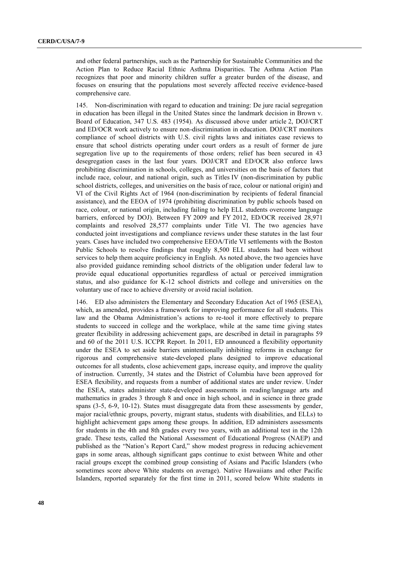and other federal partnerships, such as the Partnership for Sustainable Communities and the Action Plan to Reduce Racial Ethnic Asthma Disparities. The Asthma Action Plan recognizes that poor and minority children suffer a greater burden of the disease, and focuses on ensuring that the populations most severely affected receive evidence-based comprehensive care.

145. Non-discrimination with regard to education and training: De jure racial segregation in education has been illegal in the United States since the landmark decision in Brown v. Board of Education, 347 U.S. 483 (1954). As discussed above under article 2, DOJ/CRT and ED/OCR work actively to ensure non-discrimination in education. DOJ/CRT monitors compliance of school districts with U.S. civil rights laws and initiates case reviews to ensure that school districts operating under court orders as a result of former de jure segregation live up to the requirements of those orders; relief has been secured in 43 desegregation cases in the last four years. DOJ/CRT and ED/OCR also enforce laws prohibiting discrimination in schools, colleges, and universities on the basis of factors that include race, colour, and national origin, such as Titles IV (non-discrimination by public school districts, colleges, and universities on the basis of race, colour or national origin) and VI of the Civil Rights Act of 1964 (non-discrimination by recipients of federal financial assistance), and the EEOA of 1974 (prohibiting discrimination by public schools based on race, colour, or national origin, including failing to help ELL students overcome language barriers, enforced by DOJ). Between FY 2009 and FY 2012, ED/OCR received 28,971 complaints and resolved 28,577 complaints under Title VI. The two agencies have conducted joint investigations and compliance reviews under these statutes in the last four years. Cases have included two comprehensive EEOA/Title VI settlements with the Boston Public Schools to resolve findings that roughly 8,500 ELL students had been without services to help them acquire proficiency in English. As noted above, the two agencies have also provided guidance reminding school districts of the obligation under federal law to provide equal educational opportunities regardless of actual or perceived immigration status, and also guidance for K-12 school districts and college and universities on the voluntary use of race to achieve diversity or avoid racial isolation.

146. ED also administers the Elementary and Secondary Education Act of 1965 (ESEA), which, as amended, provides a framework for improving performance for all students. This law and the Obama Administration's actions to re-tool it more effectively to prepare students to succeed in college and the workplace, while at the same time giving states greater flexibility in addressing achievement gaps, are described in detail in paragraphs 59 and 60 of the 2011 U.S. ICCPR Report. In 2011, ED announced a flexibility opportunity under the ESEA to set aside barriers unintentionally inhibiting reforms in exchange for rigorous and comprehensive state-developed plans designed to improve educational outcomes for all students, close achievement gaps, increase equity, and improve the quality of instruction. Currently, 34 states and the District of Columbia have been approved for ESEA flexibility, and requests from a number of additional states are under review. Under the ESEA, states administer state-developed assessments in reading/language arts and mathematics in grades 3 through 8 and once in high school, and in science in three grade spans (3-5, 6-9, 10-12). States must disaggregate data from these assessments by gender, major racial/ethnic groups, poverty, migrant status, students with disabilities, and ELLs) to highlight achievement gaps among these groups. In addition, ED administers assessments for students in the 4th and 8th grades every two years, with an additional test in the 12th grade. These tests, called the National Assessment of Educational Progress (NAEP) and published as the "Nation's Report Card," show modest progress in reducing achievement gaps in some areas, although significant gaps continue to exist between White and other racial groups except the combined group consisting of Asians and Pacific Islanders (who sometimes score above White students on average). Native Hawaiians and other Pacific Islanders, reported separately for the first time in 2011, scored below White students in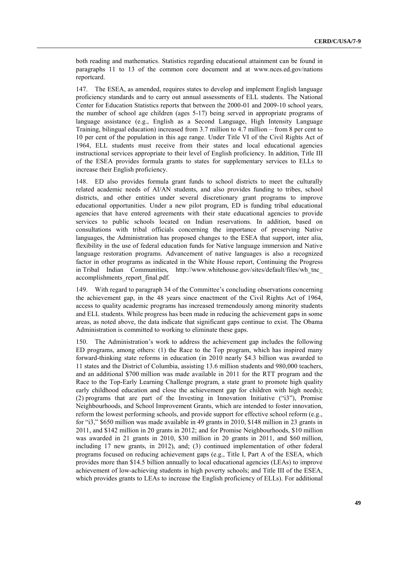both reading and mathematics. Statistics regarding educational attainment can be found in paragraphs 11 to 13 of the common core document and at [www.nces.ed.gov/nations](http://www.nces.ed.gov/nations%20reportcard/)  [reportcard.](http://www.nces.ed.gov/nations%20reportcard/)

147. The ESEA, as amended, requires states to develop and implement English language proficiency standards and to carry out annual assessments of ELL students. The National Center for Education Statistics reports that between the 2000-01 and 2009-10 school years, the number of school age children (ages 5-17) being served in appropriate programs of language assistance (e.g., English as a Second Language, High Intensity Language Training, bilingual education) increased from 3.7 million to 4.7 million – from 8 per cent to 10 per cent of the population in this age range. Under Title VI of the Civil Rights Act of 1964, ELL students must receive from their states and local educational agencies instructional services appropriate to their level of English proficiency. In addition, Title III of the ESEA provides formula grants to states for supplementary services to ELLs to increase their English proficiency.

148. ED also provides formula grant funds to school districts to meet the culturally related academic needs of AI/AN students, and also provides funding to tribes, school districts, and other entities under several discretionary grant programs to improve educational opportunities. Under a new pilot program, ED is funding tribal educational agencies that have entered agreements with their state educational agencies to provide services to public schools located on Indian reservations. In addition, based on consultations with tribal officials concerning the importance of preserving Native languages, the Administration has proposed changes to the ESEA that support, inter alia, flexibility in the use of federal education funds for Native language immersion and Native language restoration programs. Advancement of native languages is also a recognized factor in other programs as indicated in the White House report, Continuing the Progress in Tribal Indian Communities, [http://www.whitehouse.gov/sites/default/files/wh\\_tnc\\_](http://www.whitehouse.gov/sites/default/files/%20wh_tnc_%20accomplishments_report_final.pdf.)  [accomplishments\\_report\\_final.pdf.](http://www.whitehouse.gov/sites/default/files/%20wh_tnc_%20accomplishments_report_final.pdf.)

149. With regard to paragraph 34 of the Committee's concluding observations concerning the achievement gap, in the 48 years since enactment of the Civil Rights Act of 1964, access to quality academic programs has increased tremendously among minority students and ELL students. While progress has been made in reducing the achievement gaps in some areas, as noted above, the data indicate that significant gaps continue to exist. The Obama Administration is committed to working to eliminate these gaps.

150. The Administration's work to address the achievement gap includes the following ED programs, among others: (1) the Race to the Top program, which has inspired many forward-thinking state reforms in education (in 2010 nearly \$4.3 billion was awarded to 11 states and the District of Columbia, assisting 13.6 million students and 980,000 teachers, and an additional \$700 million was made available in 2011 for the RTT program and the Race to the Top-Early Learning Challenge program, a state grant to promote high quality early childhood education and close the achievement gap for children with high needs); (2) programs that are part of the Investing in Innovation Initiative ("i3"), Promise Neighbourhoods, and School Improvement Grants, which are intended to foster innovation, reform the lowest performing schools, and provide support for effective school reform (e.g., for "i3," \$650 million was made available in 49 grants in 2010, \$148 million in 23 grants in 2011, and \$142 million in 20 grants in 2012; and for Promise Neighbourhoods, \$10 million was awarded in 21 grants in 2010, \$30 million in 20 grants in 2011, and \$60 million, including 17 new grants, in 2012), and; (3) continued implementation of other federal programs focused on reducing achievement gaps (e.g., Title I, Part A of the ESEA, which provides more than \$14.5 billion annually to local educational agencies (LEAs) to improve achievement of low-achieving students in high poverty schools; and Title III of the ESEA, which provides grants to LEAs to increase the English proficiency of ELLs). For additional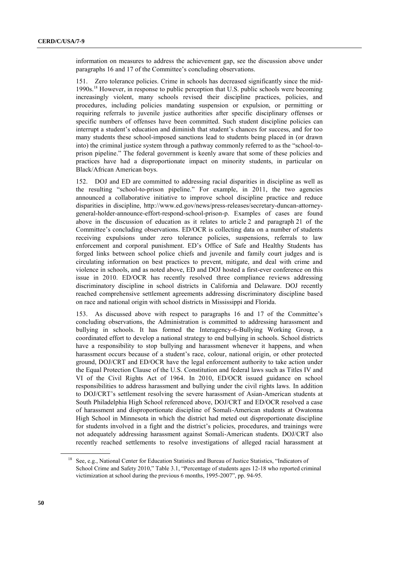information on measures to address the achievement gap, see the discussion above under paragraphs 16 and 17 of the Committee's concluding observations.

151. Zero tolerance policies. Crime in schools has decreased significantly since the mid-1990s.<sup>18</sup> However, in response to public perception that U.S. public schools were becoming increasingly violent, many schools revised their discipline practices, policies, and procedures, including policies mandating suspension or expulsion, or permitting or requiring referrals to juvenile justice authorities after specific disciplinary offenses or specific numbers of offenses have been committed. Such student discipline policies can interrupt a student's education and diminish that student's chances for success, and for too many students these school-imposed sanctions lead to students being placed in (or drawn into) the criminal justice system through a pathway commonly referred to as the "school-toprison pipeline." The federal government is keenly aware that some of these policies and practices have had a disproportionate impact on minority students, in particular on Black/African American boys.

152. DOJ and ED are committed to addressing racial disparities in discipline as well as the resulting "school-to-prison pipeline." For example, in 2011, the two agencies announced a collaborative initiative to improve school discipline practice and reduce disparities in discipline, [http://www.ed.gov/news/press-releases/secretary-duncan-attorney](http://www.ed.gov/news/press-releases/secretary-duncan-attorney-general-holder-announce-effort-respond-school-prison-p)[general-holder-announce-effort-respond-school-prison-p.](http://www.ed.gov/news/press-releases/secretary-duncan-attorney-general-holder-announce-effort-respond-school-prison-p) Examples of cases are found above in the discussion of education as it relates to article 2 and paragraph 21 of the Committee's concluding observations. ED/OCR is collecting data on a number of students receiving expulsions under zero tolerance policies, suspensions, referrals to law enforcement and corporal punishment. ED's Office of Safe and Healthy Students has forged links between school police chiefs and juvenile and family court judges and is circulating information on best practices to prevent, mitigate, and deal with crime and violence in schools, and as noted above, ED and DOJ hosted a first-ever conference on this issue in 2010. ED/OCR has recently resolved three compliance reviews addressing discriminatory discipline in school districts in California and Delaware. DOJ recently reached comprehensive settlement agreements addressing discriminatory discipline based on race and national origin with school districts in Mississippi and Florida.

153. As discussed above with respect to paragraphs 16 and 17 of the Committee's concluding observations, the Administration is committed to addressing harassment and bullying in schools. It has formed the Interagency-6-Bullying Working Group, a coordinated effort to develop a national strategy to end bullying in schools. School districts have a responsibility to stop bullying and harassment whenever it happens, and when harassment occurs because of a student's race, colour, national origin, or other protected ground, DOJ/CRT and ED/OCR have the legal enforcement authority to take action under the Equal Protection Clause of the U.S. Constitution and federal laws such as Titles IV and VI of the Civil Rights Act of 1964. In 2010, ED/OCR issued guidance on school responsibilities to address harassment and bullying under the civil rights laws. In addition to DOJ/CRT's settlement resolving the severe harassment of Asian-American students at South Philadelphia High School referenced above, DOJ/CRT and ED/OCR resolved a case of harassment and disproportionate discipline of Somali-American students at Owatonna High School in Minnesota in which the district had meted out disproportionate discipline for students involved in a fight and the district's policies, procedures, and trainings were not adequately addressing harassment against Somali-American students. DOJ/CRT also recently reached settlements to resolve investigations of alleged racial harassment at

<sup>18</sup> See, e.g., National Center for Education Statistics and Bureau of Justice Statistics, "Indicators of School Crime and Safety 2010," Table 3.1, "Percentage of students ages 12-18 who reported criminal victimization at school during the previous 6 months, 1995-2007", pp. 94-95.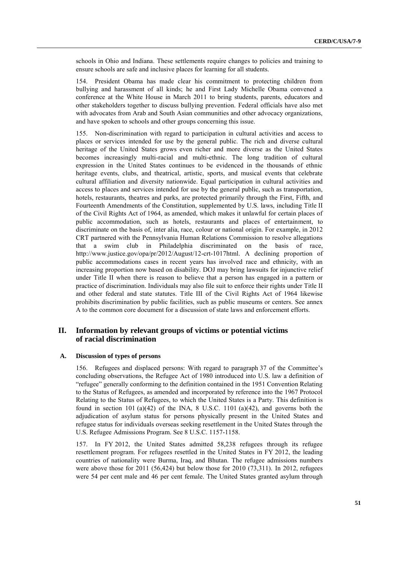schools in Ohio and Indiana. These settlements require changes to policies and training to ensure schools are safe and inclusive places for learning for all students.

154. President Obama has made clear his commitment to protecting children from bullying and harassment of all kinds; he and First Lady Michelle Obama convened a conference at the White House in March 2011 to bring students, parents, educators and other stakeholders together to discuss bullying prevention. Federal officials have also met with advocates from Arab and South Asian communities and other advocacy organizations, and have spoken to schools and other groups concerning this issue.

155. Non-discrimination with regard to participation in cultural activities and access to places or services intended for use by the general public. The rich and diverse cultural heritage of the United States grows even richer and more diverse as the United States becomes increasingly multi-racial and multi-ethnic. The long tradition of cultural expression in the United States continues to be evidenced in the thousands of ethnic heritage events, clubs, and theatrical, artistic, sports, and musical events that celebrate cultural affiliation and diversity nationwide. Equal participation in cultural activities and access to places and services intended for use by the general public, such as transportation, hotels, restaurants, theatres and parks, are protected primarily through the First, Fifth, and Fourteenth Amendments of the Constitution, supplemented by U.S. laws, including Title II of the Civil Rights Act of 1964, as amended, which makes it unlawful for certain places of public accommodation, such as hotels, restaurants and places of entertainment, to discriminate on the basis of, inter alia, race, colour or national origin. For example, in 2012 CRT partnered with the Pennsylvania Human Relations Commission to resolve allegations that a swim club in Philadelphia discriminated on the basis of race, [http://www.justice.gov/opa/pr/2012/August/12-crt-1017html.](http://www.justice.gov/opa/pr/2012/August/12-crt-1017html) A declining proportion of public accommodations cases in recent years has involved race and ethnicity, with an increasing proportion now based on disability. DOJ may bring lawsuits for injunctive relief under Title II when there is reason to believe that a person has engaged in a pattern or practice of discrimination. Individuals may also file suit to enforce their rights under Title II and other federal and state statutes. Title III of the Civil Rights Act of 1964 likewise prohibits discrimination by public facilities, such as public museums or centers. See annex A to the common core document for a discussion of state laws and enforcement efforts.

# **II. Information by relevant groups of victims or potential victims of racial discrimination**

#### **A. Discussion of types of persons**

156. Refugees and displaced persons: With regard to paragraph 37 of the Committee's concluding observations, the Refugee Act of 1980 introduced into U.S. law a definition of "refugee" generally conforming to the definition contained in the 1951 Convention Relating to the Status of Refugees, as amended and incorporated by reference into the 1967 Protocol Relating to the Status of Refugees, to which the United States is a Party. This definition is found in section 101 (a)(42) of the INA, 8 U.S.C. 1101 (a)(42), and governs both the adjudication of asylum status for persons physically present in the United States and refugee status for individuals overseas seeking resettlement in the United States through the U.S. Refugee Admissions Program. See 8 U.S.C. 1157-1158.

157. In FY 2012, the United States admitted 58,238 refugees through its refugee resettlement program. For refugees resettled in the United States in FY 2012, the leading countries of nationality were Burma, Iraq, and Bhutan. The refugee admissions numbers were above those for 2011 (56,424) but below those for 2010 (73,311). In 2012, refugees were 54 per cent male and 46 per cent female. The United States granted asylum through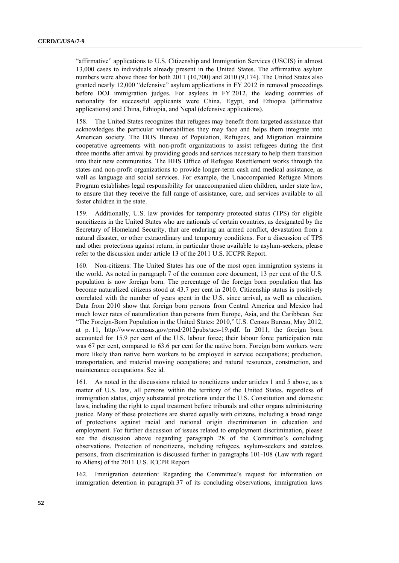"affirmative" applications to U.S. Citizenship and Immigration Services (USCIS) in almost 13,000 cases to individuals already present in the United States. The affirmative asylum numbers were above those for both 2011 (10,700) and 2010 (9,174). The United States also granted nearly 12,000 "defensive" asylum applications in FY 2012 in removal proceedings before DOJ immigration judges. For asylees in FY 2012, the leading countries of nationality for successful applicants were China, Egypt, and Ethiopia (affirmative applications) and China, Ethiopia, and Nepal (defensive applications).

158. The United States recognizes that refugees may benefit from targeted assistance that acknowledges the particular vulnerabilities they may face and helps them integrate into American society. The DOS Bureau of Population, Refugees, and Migration maintains cooperative agreements with non-profit organizations to assist refugees during the first three months after arrival by providing goods and services necessary to help them transition into their new communities. The HHS Office of Refugee Resettlement works through the states and non-profit organizations to provide longer-term cash and medical assistance, as well as language and social services. For example, the Unaccompanied Refugee Minors Program establishes legal responsibility for unaccompanied alien children, under state law, to ensure that they receive the full range of assistance, care, and services available to all foster children in the state.

159. Additionally, U.S. law provides for temporary protected status (TPS) for eligible noncitizens in the United States who are nationals of certain countries, as designated by the Secretary of Homeland Security, that are enduring an armed conflict, devastation from a natural disaster, or other extraordinary and temporary conditions. For a discussion of TPS and other protections against return, in particular those available to asylum-seekers, please refer to the discussion under article 13 of the 2011 U.S. ICCPR Report.

160. Non-citizens: The United States has one of the most open immigration systems in the world. As noted in paragraph 7 of the common core document, 13 per cent of the U.S. population is now foreign born. The percentage of the foreign born population that has become naturalized citizens stood at 43.7 per cent in 2010. Citizenship status is positively correlated with the number of years spent in the U.S. since arrival, as well as education. Data from 2010 show that foreign born persons from Central America and Mexico had much lower rates of naturalization than persons from Europe, Asia, and the Caribbean. See "The Foreign-Born Population in the United States: 2010," U.S. Census Bureau, May 2012, at p. 11, [http://www.census.gov/prod/2012pubs/acs-19.pdf.](http://www.census.gov/prod/2012pubs/acs-19.pdf) In 2011, the foreign born accounted for 15.9 per cent of the U.S. labour force; their labour force participation rate was 67 per cent, compared to 63.6 per cent for the native born. Foreign born workers were more likely than native born workers to be employed in service occupations; production, transportation, and material moving occupations; and natural resources, construction, and maintenance occupations. See id.

161. As noted in the discussions related to noncitizens under articles 1 and 5 above, as a matter of U.S. law, all persons within the territory of the United States, regardless of immigration status, enjoy substantial protections under the U.S. Constitution and domestic laws, including the right to equal treatment before tribunals and other organs administering justice. Many of these protections are shared equally with citizens, including a broad range of protections against racial and national origin discrimination in education and employment. For further discussion of issues related to employment discrimination, please see the discussion above regarding paragraph 28 of the Committee's concluding observations. Protection of noncitizens, including refugees, asylum-seekers and stateless persons, from discrimination is discussed further in paragraphs 101-108 (Law with regard to Aliens) of the 2011 U.S. ICCPR Report.

162. Immigration detention: Regarding the Committee's request for information on immigration detention in paragraph 37 of its concluding observations, immigration laws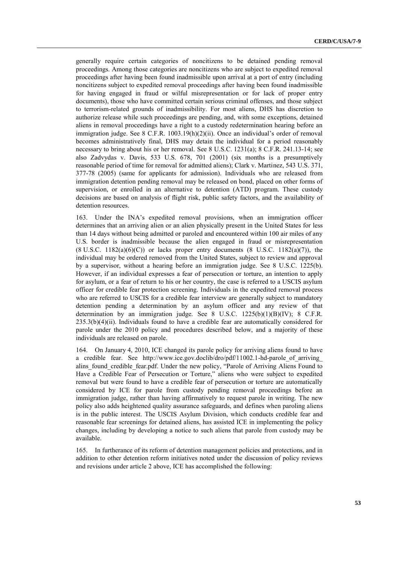generally require certain categories of noncitizens to be detained pending removal proceedings. Among those categories are noncitizens who are subject to expedited removal proceedings after having been found inadmissible upon arrival at a port of entry (including noncitizens subject to expedited removal proceedings after having been found inadmissible for having engaged in fraud or wilful misrepresentation or for lack of proper entry documents), those who have committed certain serious criminal offenses, and those subject to terrorism-related grounds of inadmissibility. For most aliens, DHS has discretion to authorize release while such proceedings are pending, and, with some exceptions, detained aliens in removal proceedings have a right to a custody redetermination hearing before an immigration judge. See 8 C.F.R. 1003.19(h)(2)(ii). Once an individual's order of removal becomes administratively final, DHS may detain the individual for a period reasonably necessary to bring about his or her removal. See 8 U.S.C. 1231(a); 8 C.F.R. 241.13-14; see also Zadvydas v. Davis, 533 U.S. 678, 701 (2001) (six months is a presumptively reasonable period of time for removal for admitted aliens); Clark v. Martinez, 543 U.S. 371, 377-78 (2005) (same for applicants for admission). Individuals who are released from immigration detention pending removal may be released on bond, placed on other forms of supervision, or enrolled in an alternative to detention (ATD) program. These custody decisions are based on analysis of flight risk, public safety factors, and the availability of detention resources.

163. Under the INA's expedited removal provisions, when an immigration officer determines that an arriving alien or an alien physically present in the United States for less than 14 days without being admitted or paroled and encountered within 100 air miles of any U.S. border is inadmissible because the alien engaged in fraud or misrepresentation  $(8 \text{ U.S.C. } 1182(a)(6)(C))$  or lacks proper entry documents  $(8 \text{ U.S.C. } 1182(a)(7))$ , the individual may be ordered removed from the United States, subject to review and approval by a supervisor, without a hearing before an immigration judge. See 8 U.S.C. 1225(b). However, if an individual expresses a fear of persecution or torture, an intention to apply for asylum, or a fear of return to his or her country, the case is referred to a USCIS asylum officer for credible fear protection screening. Individuals in the expedited removal process who are referred to USCIS for a credible fear interview are generally subject to mandatory detention pending a determination by an asylum officer and any review of that determination by an immigration judge. See 8 U.S.C.  $1225(b)(1)(B)(IV)$ ; 8 C.F.R. 235.3(b)(4)(ii). Individuals found to have a credible fear are automatically considered for parole under the 2010 policy and procedures described below, and a majority of these individuals are released on parole.

164. On January 4, 2010, ICE changed its parole policy for arriving aliens found to have a credible fear. See http://www.ice.gov.doclib/dro/pdf/11002.1-hd-parole of arriving [alins\\_found\\_credible\\_fear.pdf.](http://www.ice.gov.doclib/dro/pdf/11002.1-hd-parole_of_arriving_%20alins_found_credible_fear.pdf) Under the new policy, "Parole of Arriving Aliens Found to Have a Credible Fear of Persecution or Torture," aliens who were subject to expedited removal but were found to have a credible fear of persecution or torture are automatically considered by ICE for parole from custody pending removal proceedings before an immigration judge, rather than having affirmatively to request parole in writing. The new policy also adds heightened quality assurance safeguards, and defines when paroling aliens is in the public interest. The USCIS Asylum Division, which conducts credible fear and reasonable fear screenings for detained aliens, has assisted ICE in implementing the policy changes, including by developing a notice to such aliens that parole from custody may be available.

165. In furtherance of its reform of detention management policies and protections, and in addition to other detention reform initiatives noted under the discussion of policy reviews and revisions under article 2 above, ICE has accomplished the following: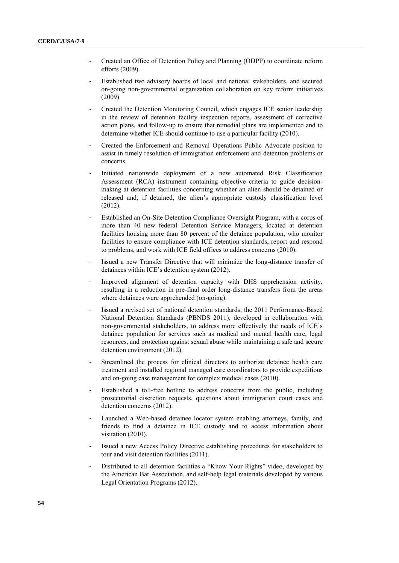- Created an Office of Detention Policy and Planning (ODPP) to coordinate reform efforts (2009).
- Established two advisory boards of local and national stakeholders, and secured on-going non-governmental organization collaboration on key reform initiatives (2009).
- Created the Detention Monitoring Council, which engages ICE senior leadership in the review of detention facility inspection reports, assessment of corrective action plans, and follow-up to ensure that remedial plans are implemented and to determine whether ICE should continue to use a particular facility (2010).
- Created the Enforcement and Removal Operations Public Advocate position to assist in timely resolution of immigration enforcement and detention problems or concerns.
- Initiated nationwide deployment of a new automated Risk Classification Assessment (RCA) instrument containing objective criteria to guide decisionmaking at detention facilities concerning whether an alien should be detained or released and, if detained, the alien's appropriate custody classification level (2012).
- Established an On-Site Detention Compliance Oversight Program, with a corps of more than 40 new federal Detention Service Managers, located at detention facilities housing more than 80 percent of the detainee population, who monitor facilities to ensure compliance with ICE detention standards, report and respond to problems, and work with ICE field offices to address concerns (2010).
- Issued a new Transfer Directive that will minimize the long-distance transfer of detainees within ICE's detention system (2012).
- Improved alignment of detention capacity with DHS apprehension activity, resulting in a reduction in pre-final order long-distance transfers from the areas where detainees were apprehended (on-going).
- Issued a revised set of national detention standards, the 2011 Performance-Based National Detention Standards (PBNDS 2011), developed in collaboration with non-governmental stakeholders, to address more effectively the needs of ICE's detainee population for services such as medical and mental health care, legal resources, and protection against sexual abuse while maintaining a safe and secure detention environment (2012).
- Streamlined the process for clinical directors to authorize detainee health care treatment and installed regional managed care coordinators to provide expeditious and on-going case management for complex medical cases (2010).
- Established a toll-free hotline to address concerns from the public, including prosecutorial discretion requests, questions about immigration court cases and detention concerns (2012).
- Launched a Web-based detainee locator system enabling attorneys, family, and friends to find a detainee in ICE custody and to access information about visitation (2010).
- Issued a new Access Policy Directive establishing procedures for stakeholders to tour and visit detention facilities (2011).
- Distributed to all detention facilities a "Know Your Rights" video, developed by the American Bar Association, and self-help legal materials developed by various Legal Orientation Programs (2012).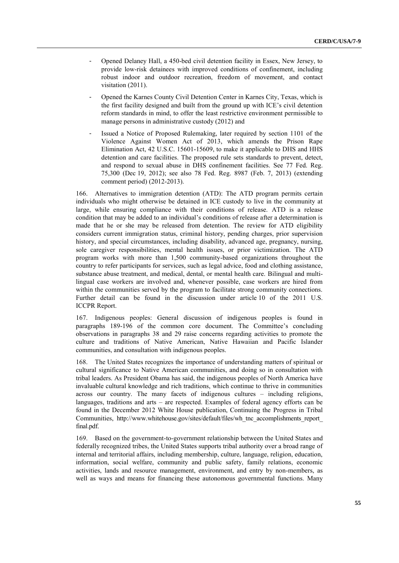- Opened Delaney Hall, a 450-bed civil detention facility in Essex, New Jersey, to provide low-risk detainees with improved conditions of confinement, including robust indoor and outdoor recreation, freedom of movement, and contact visitation (2011).
- Opened the Karnes County Civil Detention Center in Karnes City, Texas, which is the first facility designed and built from the ground up with ICE's civil detention reform standards in mind, to offer the least restrictive environment permissible to manage persons in administrative custody (2012) and
- Issued a Notice of Proposed Rulemaking, later required by section 1101 of the Violence Against Women Act of 2013, which amends the Prison Rape Elimination Act, 42 U.S.C. 15601-15609, to make it applicable to DHS and HHS detention and care facilities. The proposed rule sets standards to prevent, detect, and respond to sexual abuse in DHS confinement facilities. See 77 Fed. Reg. 75,300 (Dec 19, 2012); see also 78 Fed. Reg. 8987 (Feb. 7, 2013) (extending comment period) (2012-2013).

166. Alternatives to immigration detention (ATD): The ATD program permits certain individuals who might otherwise be detained in ICE custody to live in the community at large, while ensuring compliance with their conditions of release. ATD is a release condition that may be added to an individual's conditions of release after a determination is made that he or she may be released from detention. The review for ATD eligibility considers current immigration status, criminal history, pending charges, prior supervision history, and special circumstances, including disability, advanced age, pregnancy, nursing, sole caregiver responsibilities, mental health issues, or prior victimization. The ATD program works with more than 1,500 community-based organizations throughout the country to refer participants for services, such as legal advice, food and clothing assistance, substance abuse treatment, and medical, dental, or mental health care. Bilingual and multilingual case workers are involved and, whenever possible, case workers are hired from within the communities served by the program to facilitate strong community connections. Further detail can be found in the discussion under article 10 of the 2011 U.S. ICCPR Report.

167. Indigenous peoples: General discussion of indigenous peoples is found in paragraphs 189-196 of the common core document. The Committee's concluding observations in paragraphs 38 and 29 raise concerns regarding activities to promote the culture and traditions of Native American, Native Hawaiian and Pacific Islander communities, and consultation with indigenous peoples.

168. The United States recognizes the importance of understanding matters of spiritual or cultural significance to Native American communities, and doing so in consultation with tribal leaders. As President Obama has said, the indigenous peoples of North America have invaluable cultural knowledge and rich traditions, which continue to thrive in communities across our country. The many facets of indigenous cultures – including religions, languages, traditions and arts – are respected. Examples of federal agency efforts can be found in the December 2012 White House publication, Continuing the Progress in Tribal Communities, http://www.whitehouse.gov/sites/default/files/wh\_tnc\_accomplishments\_report [final.pdf.](http://www.whitehouse.gov/sites/default/files/wh_tnc_accomplishments_report_%20final.pdf.)

169. Based on the government-to-government relationship between the United States and federally recognized tribes, the United States supports tribal authority over a broad range of internal and territorial affairs, including membership, culture, language, religion, education, information, social welfare, community and public safety, family relations, economic activities, lands and resource management, environment, and entry by non-members, as well as ways and means for financing these autonomous governmental functions. Many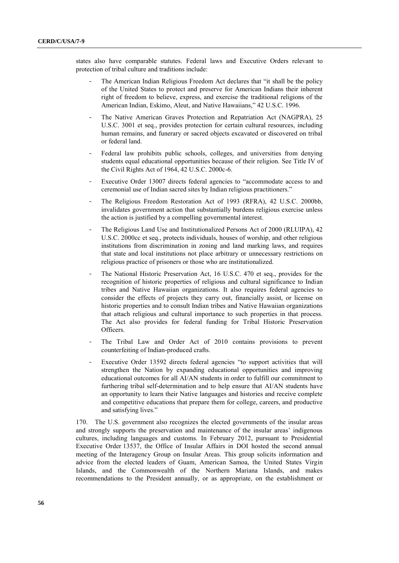states also have comparable statutes. Federal laws and Executive Orders relevant to protection of tribal culture and traditions include:

- The American Indian Religious Freedom Act declares that "it shall be the policy of the United States to protect and preserve for American Indians their inherent right of freedom to believe, express, and exercise the traditional religions of the American Indian, Eskimo, Aleut, and Native Hawaiians," 42 U.S.C. 1996.
- The Native American Graves Protection and Repatriation Act (NAGPRA), 25 U.S.C. 3001 et seq., provides protection for certain cultural resources, including human remains, and funerary or sacred objects excavated or discovered on tribal or federal land.
- Federal law prohibits public schools, colleges, and universities from denying students equal educational opportunities because of their religion. See Title IV of the Civil Rights Act of 1964, 42 U.S.C. 2000c-6.
- Executive Order 13007 directs federal agencies to "accommodate access to and ceremonial use of Indian sacred sites by Indian religious practitioners."
- The Religious Freedom Restoration Act of 1993 (RFRA), 42 U.S.C. 2000bb, invalidates government action that substantially burdens religious exercise unless the action is justified by a compelling governmental interest.
- The Religious Land Use and Institutionalized Persons Act of 2000 (RLUIPA), 42 U.S.C. 2000cc et seq., protects individuals, houses of worship, and other religious institutions from discrimination in zoning and land marking laws, and requires that state and local institutions not place arbitrary or unnecessary restrictions on religious practice of prisoners or those who are institutionalized.
- The National Historic Preservation Act, 16 U.S.C. 470 et seq., provides for the recognition of historic properties of religious and cultural significance to Indian tribes and Native Hawaiian organizations. It also requires federal agencies to consider the effects of projects they carry out, financially assist, or license on historic properties and to consult Indian tribes and Native Hawaiian organizations that attach religious and cultural importance to such properties in that process. The Act also provides for federal funding for Tribal Historic Preservation Officers.
- The Tribal Law and Order Act of 2010 contains provisions to prevent counterfeiting of Indian-produced crafts.
- Executive Order 13592 directs federal agencies "to support activities that will strengthen the Nation by expanding educational opportunities and improving educational outcomes for all AI/AN students in order to fulfill our commitment to furthering tribal self-determination and to help ensure that AI/AN students have an opportunity to learn their Native languages and histories and receive complete and competitive educations that prepare them for college, careers, and productive and satisfying lives."

170. The U.S. government also recognizes the elected governments of the insular areas and strongly supports the preservation and maintenance of the insular areas' indigenous cultures, including languages and customs. In February 2012, pursuant to Presidential Executive Order 13537, the Office of Insular Affairs in DOI hosted the second annual meeting of the Interagency Group on Insular Areas. This group solicits information and advice from the elected leaders of Guam, American Samoa, the United States Virgin Islands, and the Commonwealth of the Northern Mariana Islands, and makes recommendations to the President annually, or as appropriate, on the establishment or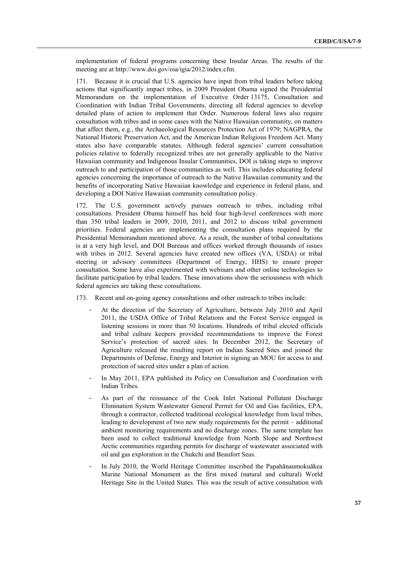implementation of federal programs concerning these Insular Areas. The results of the meeting are at [http://www.doi.gov/oia/igia/2012/index.cfm.](http://www.doi.gov/oia/igia/2012/index.cfm)

171. Because it is crucial that U.S. agencies have input from tribal leaders before taking actions that significantly impact tribes, in 2009 President Obama signed the Presidential Memorandum on the implementation of Executive Order 13175, Consultation and Coordination with Indian Tribal Governments, directing all federal agencies to develop detailed plans of action to implement that Order. Numerous federal laws also require consultation with tribes and in some cases with the Native Hawaiian community, on matters that affect them, e.g., the Archaeological Resources Protection Act of 1979; NAGPRA, the National Historic Preservation Act, and the American Indian Religious Freedom Act. Many states also have comparable statutes. Although federal agencies' current consultation policies relative to federally recognized tribes are not generally applicable to the Native Hawaiian community and Indigenous Insular Communities, DOI is taking steps to improve outreach to and participation of those communities as well. This includes educating federal agencies concerning the importance of outreach to the Native Hawaiian community and the benefits of incorporating Native Hawaiian knowledge and experience in federal plans, and developing a DOI Native Hawaiian community consultation policy.

172. The U.S. government actively pursues outreach to tribes, including tribal consultations. President Obama himself has held four high-level conferences with more than 350 tribal leaders in 2009, 2010, 2011, and 2012 to discuss tribal government priorities. Federal agencies are implementing the consultation plans required by the Presidential Memorandum mentioned above. As a result, the number of tribal consultations is at a very high level, and DOI Bureaus and offices worked through thousands of issues with tribes in 2012. Several agencies have created new offices (VA, USDA) or tribal steering or advisory committees (Department of Energy, HHS) to ensure proper consultation. Some have also experimented with webinars and other online technologies to facilitate participation by tribal leaders. These innovations show the seriousness with which federal agencies are taking these consultations.

- 173. Recent and on-going agency consultations and other outreach to tribes include:
	- At the direction of the Secretary of Agriculture, between July 2010 and April 2011, the USDA Office of Tribal Relations and the Forest Service engaged in listening sessions in more than 50 locations. Hundreds of tribal elected officials and tribal culture keepers provided recommendations to improve the Forest Service's protection of sacred sites. In December 2012, the Secretary of Agriculture released the resulting report on Indian Sacred Sites and joined the Departments of Defense, Energy and Interior in signing an MOU for access to and protection of sacred sites under a plan of action.
	- In May 2011, EPA published its Policy on Consultation and Coordination with Indian Tribes.
	- As part of the reissuance of the Cook Inlet National Pollutant Discharge Elimination System Wastewater General Permit for Oil and Gas facilities, EPA, through a contractor, collected traditional ecological knowledge from local tribes, leading to development of two new study requirements for the permit – additional ambient monitoring requirements and no discharge zones. The same template has been used to collect traditional knowledge from North Slope and Northwest Arctic communities regarding permits for discharge of wastewater associated with oil and gas exploration in the Chukchi and Beaufort Seas.
	- In July 2010, the World Heritage Committee inscribed the Papahānaumokuākea Marine National Monument as the first mixed (natural and cultural) World Heritage Site in the United States. This was the result of active consultation with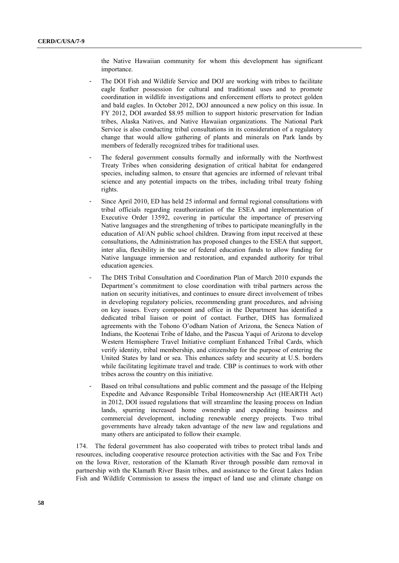the Native Hawaiian community for whom this development has significant importance.

- The DOI Fish and Wildlife Service and DOJ are working with tribes to facilitate eagle feather possession for cultural and traditional uses and to promote coordination in wildlife investigations and enforcement efforts to protect golden and bald eagles. In October 2012, DOJ announced a new policy on this issue. In FY 2012, DOI awarded \$8.95 million to support historic preservation for Indian tribes, Alaska Natives, and Native Hawaiian organizations. The National Park Service is also conducting tribal consultations in its consideration of a regulatory change that would allow gathering of plants and minerals on Park lands by members of federally recognized tribes for traditional uses.
- The federal government consults formally and informally with the Northwest Treaty Tribes when considering designation of critical habitat for endangered species, including salmon, to ensure that agencies are informed of relevant tribal science and any potential impacts on the tribes, including tribal treaty fishing rights.
- Since April 2010, ED has held 25 informal and formal regional consultations with tribal officials regarding reauthorization of the ESEA and implementation of Executive Order 13592, covering in particular the importance of preserving Native languages and the strengthening of tribes to participate meaningfully in the education of AI/AN public school children. Drawing from input received at these consultations, the Administration has proposed changes to the ESEA that support, inter alia, flexibility in the use of federal education funds to allow funding for Native language immersion and restoration, and expanded authority for tribal education agencies.
- The DHS Tribal Consultation and Coordination Plan of March 2010 expands the Department's commitment to close coordination with tribal partners across the nation on security initiatives, and continues to ensure direct involvement of tribes in developing regulatory policies, recommending grant procedures, and advising on key issues. Every component and office in the Department has identified a dedicated tribal liaison or point of contact. Further, DHS has formalized agreements with the Tohono O'odham Nation of Arizona, the Seneca Nation of Indians, the Kootenai Tribe of Idaho, and the Pascua Yaqui of Arizona to develop Western Hemisphere Travel Initiative compliant Enhanced Tribal Cards, which verify identity, tribal membership, and citizenship for the purpose of entering the United States by land or sea. This enhances safety and security at U.S. borders while facilitating legitimate travel and trade. CBP is continues to work with other tribes across the country on this initiative.
- Based on tribal consultations and public comment and the passage of the Helping Expedite and Advance Responsible Tribal Homeownership Act (HEARTH Act) in 2012, DOI issued regulations that will streamline the leasing process on Indian lands, spurring increased home ownership and expediting business and commercial development, including renewable energy projects. Two tribal governments have already taken advantage of the new law and regulations and many others are anticipated to follow their example.

174. The federal government has also cooperated with tribes to protect tribal lands and resources, including cooperative resource protection activities with the Sac and Fox Tribe on the Iowa River, restoration of the Klamath River through possible dam removal in partnership with the Klamath River Basin tribes, and assistance to the Great Lakes Indian Fish and Wildlife Commission to assess the impact of land use and climate change on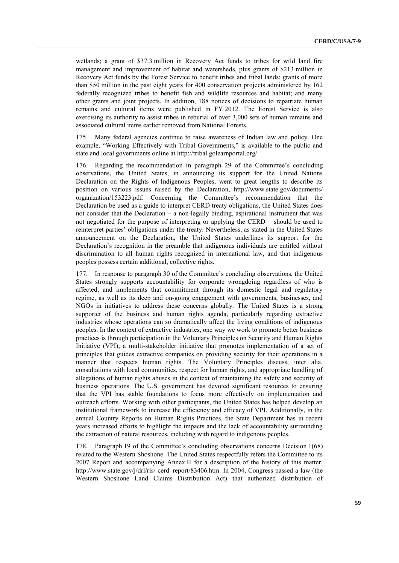wetlands; a grant of \$37.3 million in Recovery Act funds to tribes for wild land fire management and improvement of habitat and watersheds, plus grants of \$213 million in Recovery Act funds by the Forest Service to benefit tribes and tribal lands; grants of more than \$50 million in the past eight years for 400 conservation projects administered by 162 federally recognized tribes to benefit fish and wildlife resources and habitat; and many other grants and joint projects. In addition, 188 notices of decisions to repatriate human remains and cultural items were published in FY 2012. The Forest Service is also exercising its authority to assist tribes in reburial of over 3,000 sets of human remains and associated cultural items earlier removed from National Forests.

175. Many federal agencies continue to raise awareness of Indian law and policy. One example, "Working Effectively with Tribal Governments," is available to the public and state and local governments online at [http://tribal.golearnportal.org/.](http://tribal.golearnportal.org/)

176. Regarding the recommendation in paragraph 29 of the Committee's concluding observations, the United States, in announcing its support for the United Nations Declaration on the Rights of Indigenous Peoples, went to great lengths to describe its position on various issues raised by the Declaration, [http://www.state.gov/documents/](http://www.state.gov/documents/%20organization/153223.pdf)  [organization/153223.pdf.](http://www.state.gov/documents/%20organization/153223.pdf) Concerning the Committee's recommendation that the Declaration be used as a guide to interpret CERD treaty obligations, the United States does not consider that the Declaration – a non-legally binding, aspirational instrument that was not negotiated for the purpose of interpreting or applying the CERD – should be used to reinterpret parties' obligations under the treaty. Nevertheless, as stated in the United States announcement on the Declaration, the United States underlines its support for the Declaration's recognition in the preamble that indigenous individuals are entitled without discrimination to all human rights recognized in international law, and that indigenous peoples possess certain additional, collective rights.

177. In response to paragraph 30 of the Committee's concluding observations, the United States strongly supports accountability for corporate wrongdoing regardless of who is affected, and implements that commitment through its domestic legal and regulatory regime, as well as its deep and on-going engagement with governments, businesses, and NGOs in initiatives to address these concerns globally. The United States is a strong supporter of the business and human rights agenda, particularly regarding extractive industries whose operations can so dramatically affect the living conditions of indigenous peoples. In the context of extractive industries, one way we work to promote better business practices is through participation in the Voluntary Principles on Security and Human Rights Initiative (VPI), a multi-stakeholder initiative that promotes implementation of a set of principles that guides extractive companies on providing security for their operations in a manner that respects human rights. The Voluntary Principles discuss, inter alia, consultations with local communities, respect for human rights, and appropriate handling of allegations of human rights abuses in the context of maintaining the safety and security of business operations. The U.S. government has devoted significant resources to ensuring that the VPI has stable foundations to focus more effectively on implementation and outreach efforts. Working with other participants, the United States has helped develop an institutional framework to increase the efficiency and efficacy of VPI. Additionally, in the annual Country Reports on Human Rights Practices, the State Department has in recent years increased efforts to highlight the impacts and the lack of accountability surrounding the extraction of natural resources, including with regard to indigenous peoples.

178. Paragraph 19 of the Committee's concluding observations concerns Decision 1(68) related to the Western Shoshone. The United States respectfully refers the Committee to its 2007 Report and accompanying Annex II for a description of the history of this matter, [http://www.state.gov/j/drl/rls/ cerd\\_report/83406.htm.](http://www.state.gov/j/drl/rls/%20cerd_report/83406.htm) In 2004, Congress passed a law (the Western Shoshone Land Claims Distribution Act) that authorized distribution of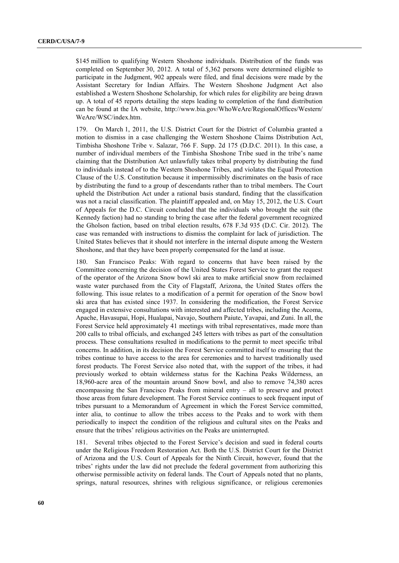\$145 million to qualifying Western Shoshone individuals. Distribution of the funds was completed on September 30, 2012. A total of 5,362 persons were determined eligible to participate in the Judgment, 902 appeals were filed, and final decisions were made by the Assistant Secretary for Indian Affairs. The Western Shoshone Judgment Act also established a Western Shoshone Scholarship, for which rules for eligibility are being drawn up. A total of 45 reports detailing the steps leading to completion of the fund distribution can be found at the IA website, [http://www.bia.gov/WhoWeAre/RegionalOffices/Western/](http://www.bia.gov/WhoWeAre/RegionalOffices/Western/%20WeAre/WSC/index.htm)  [WeAre/WSC/index.htm.](http://www.bia.gov/WhoWeAre/RegionalOffices/Western/%20WeAre/WSC/index.htm)

179. On March 1, 2011, the U.S. District Court for the District of Columbia granted a motion to dismiss in a case challenging the Western Shoshone Claims Distribution Act, Timbisha Shoshone Tribe v. Salazar, 766 F. Supp. 2d 175 (D.D.C. 2011). In this case, a number of individual members of the Timbisha Shoshone Tribe sued in the tribe's name claiming that the Distribution Act unlawfully takes tribal property by distributing the fund to individuals instead of to the Western Shoshone Tribes, and violates the Equal Protection Clause of the U.S. Constitution because it impermissibly discriminates on the basis of race by distributing the fund to a group of descendants rather than to tribal members. The Court upheld the Distribution Act under a rational basis standard, finding that the classification was not a racial classification. The plaintiff appealed and, on May 15, 2012, the U.S. Court of Appeals for the D.C. Circuit concluded that the individuals who brought the suit (the Kennedy faction) had no standing to bring the case after the federal government recognized the Gholson faction, based on tribal election results, 678 F.3d 935 (D.C. Cir. 2012). The case was remanded with instructions to dismiss the complaint for lack of jurisdiction. The United States believes that it should not interfere in the internal dispute among the Western Shoshone, and that they have been properly compensated for the land at issue.

180. San Francisco Peaks: With regard to concerns that have been raised by the Committee concerning the decision of the United States Forest Service to grant the request of the operator of the Arizona Snow bowl ski area to make artificial snow from reclaimed waste water purchased from the City of Flagstaff, Arizona, the United States offers the following. This issue relates to a modification of a permit for operation of the Snow bowl ski area that has existed since 1937. In considering the modification, the Forest Service engaged in extensive consultations with interested and affected tribes, including the Acoma, Apache, Havasupai, Hopi, Hualapai, Navajo, Southern Paiute, Yavapai, and Zuni. In all, the Forest Service held approximately 41 meetings with tribal representatives, made more than 200 calls to tribal officials, and exchanged 245 letters with tribes as part of the consultation process. These consultations resulted in modifications to the permit to meet specific tribal concerns. In addition, in its decision the Forest Service committed itself to ensuring that the tribes continue to have access to the area for ceremonies and to harvest traditionally used forest products. The Forest Service also noted that, with the support of the tribes, it had previously worked to obtain wilderness status for the Kachina Peaks Wilderness, an 18,960-acre area of the mountain around Snow bowl, and also to remove 74,380 acres encompassing the San Francisco Peaks from mineral entry – all to preserve and protect those areas from future development. The Forest Service continues to seek frequent input of tribes pursuant to a Memorandum of Agreement in which the Forest Service committed, inter alia, to continue to allow the tribes access to the Peaks and to work with them periodically to inspect the condition of the religious and cultural sites on the Peaks and ensure that the tribes' religious activities on the Peaks are uninterrupted.

Several tribes objected to the Forest Service's decision and sued in federal courts under the Religious Freedom Restoration Act. Both the U.S. District Court for the District of Arizona and the U.S. Court of Appeals for the Ninth Circuit, however, found that the tribes' rights under the law did not preclude the federal government from authorizing this otherwise permissible activity on federal lands. The Court of Appeals noted that no plants, springs, natural resources, shrines with religious significance, or religious ceremonies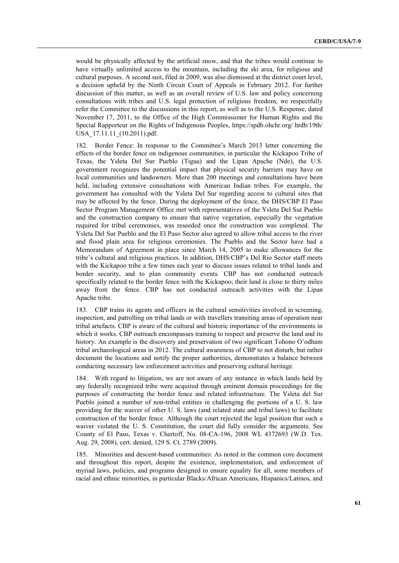would be physically affected by the artificial snow, and that the tribes would continue to have virtually unlimited access to the mountain, including the ski area, for religious and cultural purposes. A second suit, filed in 2009, was also dismissed at the district court level, a decision upheld by the Ninth Circuit Court of Appeals in February 2012. For further discussion of this matter, as well as an overall review of U.S. law and policy concerning consultations with tribes and U.S. legal protection of religious freedom, we respectfully refer the Committee to the discussions in this report, as well as to the U.S. Response, dated November 17, 2011, to the Office of the High Commissioner for Human Rights and the Special Rapporteur on the Rights of Indigenous Peoples, [https://spdb.ohchr.org/ hrdb/19th/](https://spdb.ohchr.org/%20hrdb/19th/%20USA_17.11.11_(10.2011).pdf)  [USA\\_17.11.11\\_\(10.2011\).pdf.](https://spdb.ohchr.org/%20hrdb/19th/%20USA_17.11.11_(10.2011).pdf)

182. Border Fence: In response to the Committee's March 2013 letter concerning the effects of the border fence on indigenous communities, in particular the Kickapoo Tribe of Texas, the Ysleta Del Sur Pueblo (Tigua) and the Lipan Apache (Nde), the U.S. government recognizes the potential impact that physical security barriers may have on local communities and landowners. More than 200 meetings and consultations have been held, including extensive consultations with American Indian tribes. For example, the government has consulted with the Ysleta Del Sur regarding access to cultural sites that may be affected by the fence. During the deployment of the fence, the DHS/CBP El Paso Sector Program Management Office met with representatives of the Ysleta Del Sur Pueblo and the construction company to ensure that native vegetation, especially the vegetation required for tribal ceremonies, was reseeded once the construction was completed. The Ysleta Del Sur Pueblo and the El Paso Sector also agreed to allow tribal access to the river and flood plain area for religious ceremonies. The Pueblo and the Sector have had a Memorandum of Agreement in place since March 14, 2005 to make allowances for the tribe's cultural and religious practices. In addition, DHS/CBP's Del Rio Sector staff meets with the Kickapoo tribe a few times each year to discuss issues related to tribal lands and border security, and to plan community events. CBP has not conducted outreach specifically related to the border fence with the Kickapoo; their land is close to thirty miles away from the fence. CBP has not conducted outreach activities with the Lipan Apache tribe.

183. CBP trains its agents and officers in the cultural sensitivities involved in screening, inspection, and patrolling on tribal lands or with travellers transiting areas of operation near tribal artefacts. CBP is aware of the cultural and historic importance of the environments in which it works. CBP outreach encompasses training to respect and preserve the land and its history. An example is the discovery and preservation of two significant Tohono O'odham tribal archaeological areas in 2012. The cultural awareness of CBP to not disturb, but rather document the locations and notify the proper authorities, demonstrates a balance between conducting necessary law enforcement activities and preserving cultural heritage.

184. With regard to litigation, we are not aware of any instance in which lands held by any federally recognized tribe were acquired through eminent domain proceedings for the purposes of constructing the border fence and related infrastructure. The Ysleta del Sur Pueblo joined a number of non-tribal entities in challenging the portions of a U. S. law providing for the waiver of other U. S. laws (and related state and tribal laws) to facilitate construction of the border fence. Although the court rejected the legal position that such a waiver violated the U. S. Constitution, the court did fully consider the arguments. See County of El Paso, Texas v. Chertoff, No. 08-CA-196, 2008 WL 4372693 (W.D. Tex. Aug. 29, 2008), cert. denied, 129 S. Ct. 2789 (2009).

185. Minorities and descent-based communities: As noted in the common core document and throughout this report, despite the existence, implementation, and enforcement of myriad laws, policies, and programs designed to ensure equality for all, some members of racial and ethnic minorities, in particular Blacks/African Americans, Hispanics/Latinos, and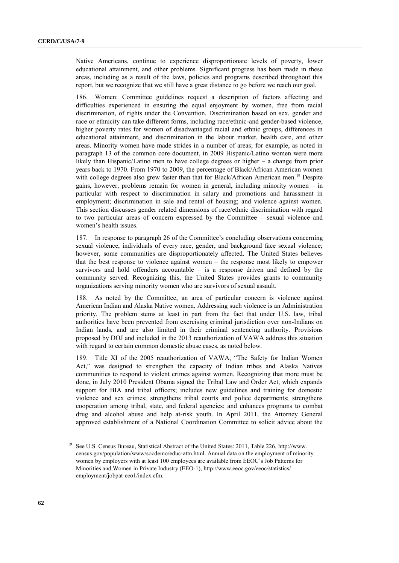Native Americans, continue to experience disproportionate levels of poverty, lower educational attainment, and other problems. Significant progress has been made in these areas, including as a result of the laws, policies and programs described throughout this report, but we recognize that we still have a great distance to go before we reach our goal.

186. Women: Committee guidelines request a description of factors affecting and difficulties experienced in ensuring the equal enjoyment by women, free from racial discrimination, of rights under the Convention. Discrimination based on sex, gender and race or ethnicity can take different forms, including race/ethnic-and gender-based violence, higher poverty rates for women of disadvantaged racial and ethnic groups, differences in educational attainment, and discrimination in the labour market, health care, and other areas. Minority women have made strides in a number of areas; for example, as noted in paragraph 13 of the common core document, in 2009 Hispanic/Latino women were more likely than Hispanic/Latino men to have college degrees or higher – a change from prior years back to 1970. From 1970 to 2009, the percentage of Black/African American women with college degrees also grew faster than that for Black/African American men.<sup>19</sup> Despite gains, however, problems remain for women in general, including minority women – in particular with respect to discrimination in salary and promotions and harassment in employment; discrimination in sale and rental of housing; and violence against women. This section discusses gender related dimensions of race/ethnic discrimination with regard to two particular areas of concern expressed by the Committee – sexual violence and women's health issues.

187. In response to paragraph 26 of the Committee's concluding observations concerning sexual violence, individuals of every race, gender, and background face sexual violence; however, some communities are disproportionately affected. The United States believes that the best response to violence against women – the response most likely to empower survivors and hold offenders accountable – is a response driven and defined by the community served. Recognizing this, the United States provides grants to community organizations serving minority women who are survivors of sexual assault.

188. As noted by the Committee, an area of particular concern is violence against American Indian and Alaska Native women. Addressing such violence is an Administration priority. The problem stems at least in part from the fact that under U.S. law, tribal authorities have been prevented from exercising criminal jurisdiction over non-Indians on Indian lands, and are also limited in their criminal sentencing authority. Provisions proposed by DOJ and included in the 2013 reauthorization of VAWA address this situation with regard to certain common domestic abuse cases, as noted below.

189. Title XI of the 2005 reauthorization of VAWA, "The Safety for Indian Women Act," was designed to strengthen the capacity of Indian tribes and Alaska Natives communities to respond to violent crimes against women. Recognizing that more must be done, in July 2010 President Obama signed the Tribal Law and Order Act, which expands support for BIA and tribal officers; includes new guidelines and training for domestic violence and sex crimes; strengthens tribal courts and police departments; strengthens cooperation among tribal, state, and federal agencies; and enhances programs to combat drug and alcohol abuse and help at-risk youth. In April 2011, the Attorney General approved establishment of a National Coordination Committee to solicit advice about the

<sup>&</sup>lt;sup>19</sup> See U.S. Census Bureau, Statistical Abstract of the United States: 2011, Table 226, http://www. census.gov/population/www/socdemo/educ-attn.html. Annual data on the employment of minority women by employers with at least 100 employees are available from EEOC's Job Patterns for Minorities and Women in Private Industry (EEO-1), [http://www.eeoc.gov/eeoc/statistics/](http://www.eeoc.gov/eeoc/statistics/%20employment/jobpat-eeo1/index.cfm)  [employment/jobpat-eeo1/index.cfm.](http://www.eeoc.gov/eeoc/statistics/%20employment/jobpat-eeo1/index.cfm)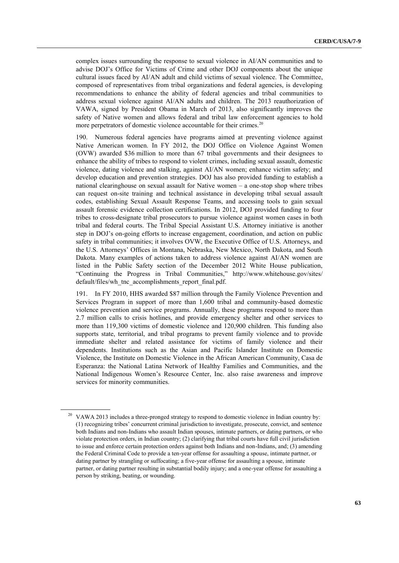complex issues surrounding the response to sexual violence in AI/AN communities and to advise DOJ's Office for Victims of Crime and other DOJ components about the unique cultural issues faced by AI/AN adult and child victims of sexual violence. The Committee, composed of representatives from tribal organizations and federal agencies, is developing recommendations to enhance the ability of federal agencies and tribal communities to address sexual violence against AI/AN adults and children. The 2013 reauthorization of VAWA, signed by President Obama in March of 2013, also significantly improves the safety of Native women and allows federal and tribal law enforcement agencies to hold more perpetrators of domestic violence accountable for their crimes.<sup>20</sup>

190. Numerous federal agencies have programs aimed at preventing violence against Native American women. In FY 2012, the DOJ Office on Violence Against Women (OVW) awarded \$36 million to more than 67 tribal governments and their designees to enhance the ability of tribes to respond to violent crimes, including sexual assault, domestic violence, dating violence and stalking, against AI/AN women; enhance victim safety; and develop education and prevention strategies. DOJ has also provided funding to establish a national clearinghouse on sexual assault for Native women – a one-stop shop where tribes can request on-site training and technical assistance in developing tribal sexual assault codes, establishing Sexual Assault Response Teams, and accessing tools to gain sexual assault forensic evidence collection certifications. In 2012, DOJ provided funding to four tribes to cross-designate tribal prosecutors to pursue violence against women cases in both tribal and federal courts. The Tribal Special Assistant U.S. Attorney initiative is another step in DOJ's on-going efforts to increase engagement, coordination, and action on public safety in tribal communities; it involves OVW, the Executive Office of U.S. Attorneys, and the U.S. Attorneys' Offices in Montana, Nebraska, New Mexico, North Dakota, and South Dakota. Many examples of actions taken to address violence against AI/AN women are listed in the Public Safety section of the December 2012 White House publication, "Continuing the Progress in Tribal Communities," [http://www.whitehouse.gov/sites/](http://www.whitehouse.gov/sites/%20default/files/wh_tnc_accomplishments_report_final.pdf.)  [default/files/wh\\_tnc\\_accomplishments\\_report\\_final.pdf.](http://www.whitehouse.gov/sites/%20default/files/wh_tnc_accomplishments_report_final.pdf.)

191. In FY 2010, HHS awarded \$87 million through the Family Violence Prevention and Services Program in support of more than 1,600 tribal and community-based domestic violence prevention and service programs. Annually, these programs respond to more than 2.7 million calls to crisis hotlines, and provide emergency shelter and other services to more than 119,300 victims of domestic violence and 120,900 children. This funding also supports state, territorial, and tribal programs to prevent family violence and to provide immediate shelter and related assistance for victims of family violence and their dependents. Institutions such as the Asian and Pacific Islander Institute on Domestic Violence, the Institute on Domestic Violence in the African American Community, Casa de Esperanza: the National Latina Network of Healthy Families and Communities, and the National Indigenous Women's Resource Center, Inc. also raise awareness and improve services for minority communities.

<sup>&</sup>lt;sup>20</sup> VAWA 2013 includes a three-pronged strategy to respond to domestic violence in Indian country by: (1) recognizing tribes' concurrent criminal jurisdiction to investigate, prosecute, convict, and sentence both Indians and non-Indians who assault Indian spouses, intimate partners, or dating partners, or who violate protection orders, in Indian country; (2) clarifying that tribal courts have full civil jurisdiction to issue and enforce certain protection orders against both Indians and non-Indians, and; (3) amending the Federal Criminal Code to provide a ten-year offense for assaulting a spouse, intimate partner, or dating partner by strangling or suffocating; a five-year offense for assaulting a spouse, intimate partner, or dating partner resulting in substantial bodily injury; and a one-year offense for assaulting a person by striking, beating, or wounding.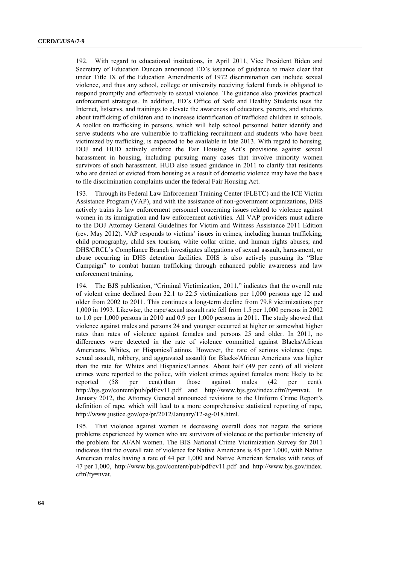192. With regard to educational institutions, in April 2011, Vice President Biden and Secretary of Education Duncan announced ED's issuance of guidance to make clear that under Title IX of the Education Amendments of 1972 discrimination can include sexual violence, and thus any school, college or university receiving federal funds is obligated to respond promptly and effectively to sexual violence. The guidance also provides practical enforcement strategies. In addition, ED's Office of Safe and Healthy Students uses the Internet, listservs, and trainings to elevate the awareness of educators, parents, and students about trafficking of children and to increase identification of trafficked children in schools. A toolkit on trafficking in persons, which will help school personnel better identify and serve students who are vulnerable to trafficking recruitment and students who have been victimized by trafficking, is expected to be available in late 2013. With regard to housing, DOJ and HUD actively enforce the Fair Housing Act's provisions against sexual harassment in housing, including pursuing many cases that involve minority women survivors of such harassment. HUD also issued guidance in 2011 to clarify that residents who are denied or evicted from housing as a result of domestic violence may have the basis to file discrimination complaints under the federal Fair Housing Act.

193. Through its Federal Law Enforcement Training Center (FLETC) and the ICE Victim Assistance Program (VAP), and with the assistance of non-government organizations, DHS actively trains its law enforcement personnel concerning issues related to violence against women in its immigration and law enforcement activities. All VAP providers must adhere to the DOJ Attorney General Guidelines for Victim and Witness Assistance 2011 Edition (rev. May 2012). VAP responds to victims' issues in crimes, including human trafficking, child pornography, child sex tourism, white collar crime, and human rights abuses; and DHS/CRCL's Compliance Branch investigates allegations of sexual assault, harassment, or abuse occurring in DHS detention facilities. DHS is also actively pursuing its "Blue Campaign" to combat human trafficking through enhanced public awareness and law enforcement training.

194. The BJS publication, "Criminal Victimization, 2011," indicates that the overall rate of violent crime declined from 32.1 to 22.5 victimizations per 1,000 persons age 12 and older from 2002 to 2011. This continues a long-term decline from 79.8 victimizations per 1,000 in 1993. Likewise, the rape/sexual assault rate fell from 1.5 per 1,000 persons in 2002 to 1.0 per 1,000 persons in 2010 and 0.9 per 1,000 persons in 2011. The study showed that violence against males and persons 24 and younger occurred at higher or somewhat higher rates than rates of violence against females and persons 25 and older. In 2011, no differences were detected in the rate of violence committed against Blacks/African Americans, Whites, or Hispanics/Latinos. However, the rate of serious violence (rape, sexual assault, robbery, and aggravated assault) for Blacks/African Americans was higher than the rate for Whites and Hispanics/Latinos. About half (49 per cent) of all violent crimes were reported to the police, with violent crimes against females more likely to be reported (58 per cent) than those against males (42 per cent). <http://bjs.gov/content/pub/pdf/cv11.pdf> and [http://www.bjs.gov/index.cfm?ty=nvat.](http://www.bjs.gov/index.cfm?ty=nvat) In January 2012, the Attorney General announced revisions to the Uniform Crime Report's definition of rape, which will lead to a more comprehensive statistical reporting of rape, [http://www.justice.gov/opa/pr/2012/January/12-ag-018.html.](http://www.justice.gov/opa/pr/2012/January/12-ag-018.html)

195. That violence against women is decreasing overall does not negate the serious problems experienced by women who are survivors of violence or the particular intensity of the problem for AI/AN women. The BJS National Crime Victimization Survey for 2011 indicates that the overall rate of violence for Native Americans is 45 per 1,000, with Native American males having a rate of 44 per 1,000 and Native American females with rates of 47 per 1,000, <http://www.bjs.gov/content/pub/pdf/cv11.pdf> and [http://www.bjs.gov/index.](http://www.bjs.gov/index.%20cfm?ty=nvat)  [cfm?ty=nvat.](http://www.bjs.gov/index.%20cfm?ty=nvat)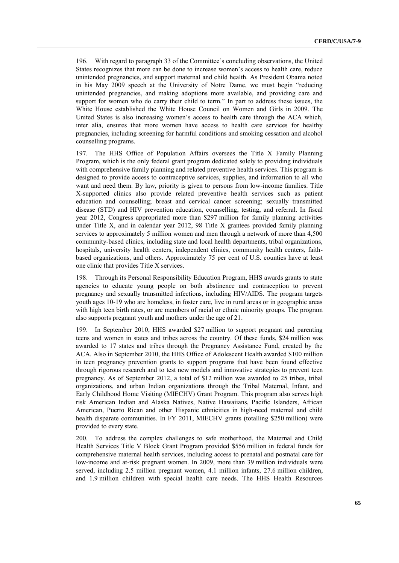196. With regard to paragraph 33 of the Committee's concluding observations, the United States recognizes that more can be done to increase women's access to health care, reduce unintended pregnancies, and support maternal and child health. As President Obama noted in his May 2009 speech at the University of Notre Dame, we must begin "reducing unintended pregnancies, and making adoptions more available, and providing care and support for women who do carry their child to term." In part to address these issues, the White House established the White House Council on Women and Girls in 2009. The United States is also increasing women's access to health care through the ACA which, inter alia, ensures that more women have access to health care services for healthy pregnancies, including screening for harmful conditions and smoking cessation and alcohol counselling programs.

197. The HHS Office of Population Affairs oversees the Title X Family Planning Program, which is the only federal grant program dedicated solely to providing individuals with comprehensive family planning and related preventive health services. This program is designed to provide access to contraceptive services, supplies, and information to all who want and need them. By law, priority is given to persons from low-income families. Title X-supported clinics also provide related preventive health services such as patient education and counselling; breast and cervical cancer screening; sexually transmitted disease (STD) and HIV prevention education, counselling, testing, and referral. In fiscal year 2012, Congress appropriated more than \$297 million for family planning activities under Title X, and in calendar year 2012, 98 Title X grantees provided family planning services to approximately 5 million women and men through a network of more than 4,500 community-based clinics, including state and local health departments, tribal organizations, hospitals, university health centers, independent clinics, community health centers, faithbased organizations, and others. Approximately 75 per cent of U.S. counties have at least one clinic that provides Title X services.

198. Through its Personal Responsibility Education Program, HHS awards grants to state agencies to educate young people on both abstinence and contraception to prevent pregnancy and sexually transmitted infections, including HIV/AIDS. The program targets youth ages 10-19 who are homeless, in foster care, live in rural areas or in geographic areas with high teen birth rates, or are members of racial or ethnic minority groups. The program also supports pregnant youth and mothers under the age of 21.

199. In September 2010, HHS awarded \$27 million to support pregnant and parenting teens and women in states and tribes across the country. Of these funds, \$24 million was awarded to 17 states and tribes through the Pregnancy Assistance Fund, created by the ACA. Also in September 2010, the HHS Office of Adolescent Health awarded \$100 million in teen pregnancy prevention grants to support programs that have been found effective through rigorous research and to test new models and innovative strategies to prevent teen pregnancy. As of September 2012, a total of \$12 million was awarded to 25 tribes, tribal organizations, and urban Indian organizations through the Tribal Maternal, Infant, and Early Childhood Home Visiting (MIECHV) Grant Program. This program also serves high risk American Indian and Alaska Natives, Native Hawaiians, Pacific Islanders, African American, Puerto Rican and other Hispanic ethnicities in high-need maternal and child health disparate communities. In FY 2011, MIECHV grants (totalling \$250 million) were provided to every state.

200. To address the complex challenges to safe motherhood, the Maternal and Child Health Services Title V Block Grant Program provided \$556 million in federal funds for comprehensive maternal health services, including access to prenatal and postnatal care for low-income and at-risk pregnant women. In 2009, more than 39 million individuals were served, including 2.5 million pregnant women, 4.1 million infants, 27.6 million children, and 1.9 million children with special health care needs. The HHS Health Resources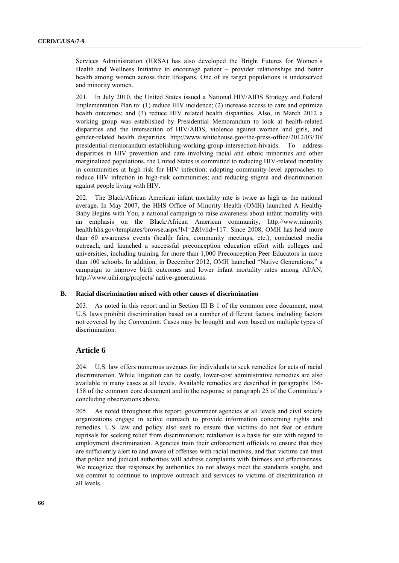Services Administration (HRSA) has also developed the Bright Futures for Women's Health and Wellness Initiative to encourage patient – provider relationships and better health among women across their lifespans. One of its target populations is underserved and minority women.

201. In July 2010, the United States issued a National HIV/AIDS Strategy and Federal Implementation Plan to: (1) reduce HIV incidence; (2) increase access to care and optimize health outcomes; and (3) reduce HIV related health disparities. Also, in March 2012 a working group was established by Presidential Memorandum to look at health-related disparities and the intersection of HIV/AIDS, violence against women and girls, and gender-related health disparities. [http://www.whitehouse.gov/the-press-office/2012/03/30/](http://www.whitehouse.gov/the-press-office/2012/03/30/%20presidential-memorandum-establishing-working-group-intersection-hivaids-)  [presidential-memorandum-establishing-working-group-intersection-hivaids.](http://www.whitehouse.gov/the-press-office/2012/03/30/%20presidential-memorandum-establishing-working-group-intersection-hivaids-) To address disparities in HIV prevention and care involving racial and ethnic minorities and other marginalized populations, the United States is committed to reducing HIV-related mortality in communities at high risk for HIV infection; adopting community-level approaches to reduce HIV infection in high-risk communities; and reducing stigma and discrimination against people living with HIV.

202. The Black/African American infant mortality rate is twice as high as the national average. In May 2007, the HHS Office of Minority Health (OMH) launched A Healthy Baby Begins with You, a national campaign to raise awareness about infant mortality with an emphasis on the Black/African American community, [http://www.minority](http://www.minorityhealth.hhs.gov/templates/%20browse.aspx?lvl=2&lvlid+117) [health.hhs.gov/templates/browse.aspx?lvl=2&lvlid+117.](http://www.minorityhealth.hhs.gov/templates/%20browse.aspx?lvl=2&lvlid+117) Since 2008, OMH has held more than 60 awareness events (health fairs, community meetings, etc.), conducted media outreach, and launched a successful preconception education effort with colleges and universities, including training for more than 1,000 Preconception Peer Educators in more than 100 schools. In addition, in December 2012, OMH launched "Native Generations," a campaign to improve birth outcomes and lower infant mortality rates among AI/AN, [http://www.uihi.org/projects/ native-generations.](http://www.uihi.org/projects/%20native-generations)

#### **B. Racial discrimination mixed with other causes of discrimination**

203. As noted in this report and in Section III B 1 of the common core document, most U.S. laws prohibit discrimination based on a number of different factors, including factors not covered by the Convention. Cases may be brought and won based on multiple types of discrimination.

## **Article 6**

204. U.S. law offers numerous avenues for individuals to seek remedies for acts of racial discrimination. While litigation can be costly, lower-cost administrative remedies are also available in many cases at all levels. Available remedies are described in paragraphs 156- 158 of the common core document and in the response to paragraph 25 of the Committee's concluding observations above.

205. As noted throughout this report, government agencies at all levels and civil society organizations engage in active outreach to provide information concerning rights and remedies. U.S. law and policy also seek to ensure that victims do not fear or endure reprisals for seeking relief from discrimination; retaliation is a basis for suit with regard to employment discrimination. Agencies train their enforcement officials to ensure that they are sufficiently alert to and aware of offenses with racial motives, and that victims can trust that police and judicial authorities will address complaints with fairness and effectiveness. We recognize that responses by authorities do not always meet the standards sought, and we commit to continue to improve outreach and services to victims of discrimination at all levels.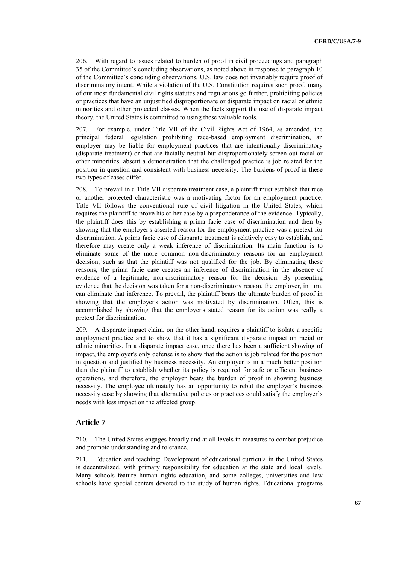206. With regard to issues related to burden of proof in civil proceedings and paragraph 35 of the Committee's concluding observations, as noted above in response to paragraph 10 of the Committee's concluding observations, U.S. law does not invariably require proof of discriminatory intent. While a violation of the U.S. Constitution requires such proof, many of our most fundamental civil rights statutes and regulations go further, prohibiting policies or practices that have an unjustified disproportionate or disparate impact on racial or ethnic minorities and other protected classes. When the facts support the use of disparate impact theory, the United States is committed to using these valuable tools.

207. For example, under Title VII of the Civil Rights Act of 1964, as amended, the principal federal legislation prohibiting race-based employment discrimination, an employer may be liable for employment practices that are intentionally discriminatory (disparate treatment) or that are facially neutral but disproportionately screen out racial or other minorities, absent a demonstration that the challenged practice is job related for the position in question and consistent with business necessity. The burdens of proof in these two types of cases differ.

208. To prevail in a Title VII disparate treatment case, a plaintiff must establish that race or another protected characteristic was a motivating factor for an employment practice. Title VII follows the conventional rule of civil litigation in the United States, which requires the plaintiff to prove his or her case by a preponderance of the evidence. Typically, the plaintiff does this by establishing a prima facie case of discrimination and then by showing that the employer's asserted reason for the employment practice was a pretext for discrimination. A prima facie case of disparate treatment is relatively easy to establish, and therefore may create only a weak inference of discrimination. Its main function is to eliminate some of the more common non-discriminatory reasons for an employment decision, such as that the plaintiff was not qualified for the job. By eliminating these reasons, the prima facie case creates an inference of discrimination in the absence of evidence of a legitimate, non-discriminatory reason for the decision. By presenting evidence that the decision was taken for a non-discriminatory reason, the employer, in turn, can eliminate that inference. To prevail, the plaintiff bears the ultimate burden of proof in showing that the employer's action was motivated by discrimination. Often, this is accomplished by showing that the employer's stated reason for its action was really a pretext for discrimination.

209. A disparate impact claim, on the other hand, requires a plaintiff to isolate a specific employment practice and to show that it has a significant disparate impact on racial or ethnic minorities. In a disparate impact case, once there has been a sufficient showing of impact, the employer's only defense is to show that the action is job related for the position in question and justified by business necessity. An employer is in a much better position than the plaintiff to establish whether its policy is required for safe or efficient business operations, and therefore, the employer bears the burden of proof in showing business necessity. The employee ultimately has an opportunity to rebut the employer's business necessity case by showing that alternative policies or practices could satisfy the employer's needs with less impact on the affected group.

## **Article 7**

210. The United States engages broadly and at all levels in measures to combat prejudice and promote understanding and tolerance.

211. Education and teaching: Development of educational curricula in the United States is decentralized, with primary responsibility for education at the state and local levels. Many schools feature human rights education, and some colleges, universities and law schools have special centers devoted to the study of human rights. Educational programs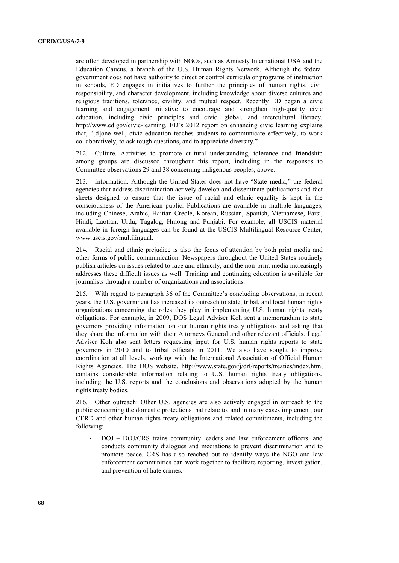are often developed in partnership with NGOs, such as Amnesty International USA and the Education Caucus, a branch of the U.S. Human Rights Network. Although the federal government does not have authority to direct or control curricula or programs of instruction in schools, ED engages in initiatives to further the principles of human rights, civil responsibility, and character development, including knowledge about diverse cultures and religious traditions, tolerance, civility, and mutual respect. Recently ED began a civic learning and engagement initiative to encourage and strengthen high-quality civic education, including civic principles and civic, global, and intercultural literacy, [http://www.ed.gov/civic-learning.](http://www.ed.gov/civic-learning) ED's 2012 report on enhancing civic learning explains that, "[d]one well, civic education teaches students to communicate effectively, to work collaboratively, to ask tough questions, and to appreciate diversity."

212. Culture. Activities to promote cultural understanding, tolerance and friendship among groups are discussed throughout this report, including in the responses to Committee observations 29 and 38 concerning indigenous peoples, above.

213. Information. Although the United States does not have "State media," the federal agencies that address discrimination actively develop and disseminate publications and fact sheets designed to ensure that the issue of racial and ethnic equality is kept in the consciousness of the American public. Publications are available in multiple languages, including Chinese, Arabic, Haitian Creole, Korean, Russian, Spanish, Vietnamese, Farsi, Hindi, Laotian, Urdu, Tagalog, Hmong and Punjabi. For example, all USCIS material available in foreign languages can be found at the USCIS Multilingual Resource Center, [www.uscis.gov/multilingual.](http://www.uscis.gov/multilingual)

214. Racial and ethnic prejudice is also the focus of attention by both print media and other forms of public communication. Newspapers throughout the United States routinely publish articles on issues related to race and ethnicity, and the non-print media increasingly addresses these difficult issues as well. Training and continuing education is available for journalists through a number of organizations and associations.

215. With regard to paragraph 36 of the Committee's concluding observations, in recent years, the U.S. government has increased its outreach to state, tribal, and local human rights organizations concerning the roles they play in implementing U.S. human rights treaty obligations. For example, in 2009, DOS Legal Adviser Koh sent a memorandum to state governors providing information on our human rights treaty obligations and asking that they share the information with their Attorneys General and other relevant officials. Legal Adviser Koh also sent letters requesting input for U.S. human rights reports to state governors in 2010 and to tribal officials in 2011. We also have sought to improve coordination at all levels, working with the International Association of Official Human Rights Agencies. The DOS website, [http://www.state.gov/j/drl/reports/treaties/index.htm,](http://www.state.gov/j/drl/reports/treaties/index.htm) contains considerable information relating to U.S. human rights treaty obligations, including the U.S. reports and the conclusions and observations adopted by the human rights treaty bodies.

216. Other outreach: Other U.S. agencies are also actively engaged in outreach to the public concerning the domestic protections that relate to, and in many cases implement, our CERD and other human rights treaty obligations and related commitments, including the following:

DOJ – DOJ/CRS trains community leaders and law enforcement officers, and conducts community dialogues and mediations to prevent discrimination and to promote peace. CRS has also reached out to identify ways the NGO and law enforcement communities can work together to facilitate reporting, investigation, and prevention of hate crimes.